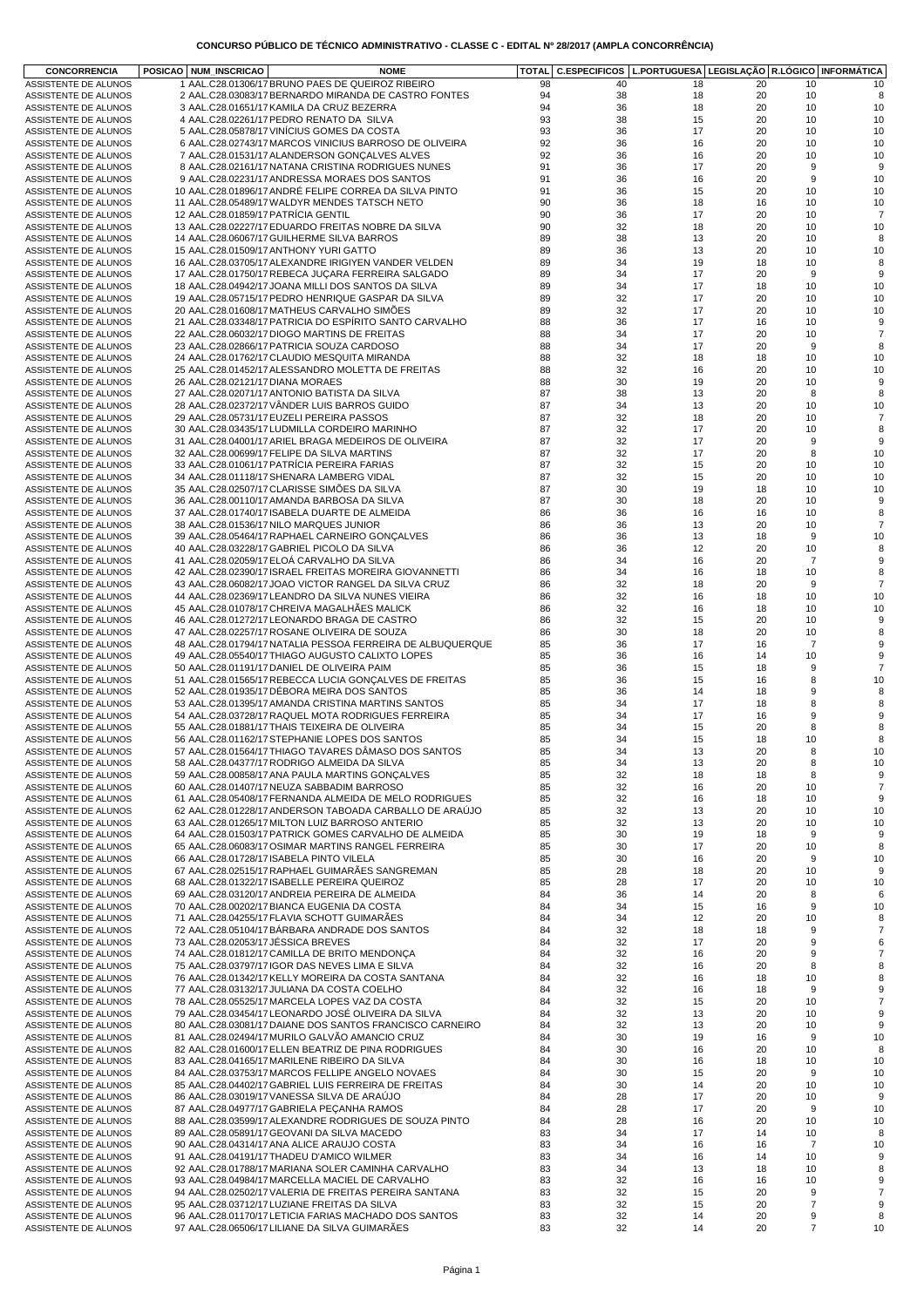| <b>CONCORRENCIA</b>                          | POSICAO NUM_INSCRICAO |                                     | <b>NOME</b>                                                                                       | <b>TOTAL</b> |          | C.ESPECIFICOS   L.PORTUGUESA   LEGISLAÇÃO   R.LÓGICO   INFORMÁTICA |          |                |                     |
|----------------------------------------------|-----------------------|-------------------------------------|---------------------------------------------------------------------------------------------------|--------------|----------|--------------------------------------------------------------------|----------|----------------|---------------------|
| ASSISTENTE DE ALUNOS                         |                       |                                     | 1 AAL.C28.01306/17 BRUNO PAES DE QUEIROZ RIBEIRO                                                  | 98           | 40       | 18                                                                 | 20       | 10             | 10                  |
| ASSISTENTE DE ALUNOS                         |                       |                                     | 2 AAL.C28.03083/17 BERNARDO MIRANDA DE CASTRO FONTES                                              | 94           | 38       | 18                                                                 | 20       | 10             | 8                   |
| ASSISTENTE DE ALUNOS                         |                       |                                     | 3 AAL.C28.01651/17 KAMILA DA CRUZ BEZERRA                                                         | 94           | 36       | 18                                                                 | 20       | 10             | 10                  |
| ASSISTENTE DE ALUNOS                         |                       |                                     | 4 AAL.C28.02261/17 PEDRO RENATO DA SILVA                                                          | 93           | 38       | 15                                                                 | 20       | 10             | 10                  |
| ASSISTENTE DE ALUNOS                         |                       |                                     | 5 AAL.C28.05878/17 VINICIUS GOMES DA COSTA                                                        | 93           | 36       | 17                                                                 | 20       | 10             | 10                  |
| ASSISTENTE DE ALUNOS                         |                       |                                     | 6 AAL.C28.02743/17 MARCOS VINICIUS BARROSO DE OLIVEIRA                                            | 92           | 36       | 16                                                                 | 20       | 10             | 10                  |
| ASSISTENTE DE ALUNOS                         |                       |                                     | 7 AAL.C28.01531/17 ALANDERSON GONÇALVES ALVES                                                     | 92           | 36       | 16                                                                 | 20       | 10             | 10                  |
| ASSISTENTE DE ALUNOS                         |                       |                                     | 8 AAL.C28.02161/17 NATANA CRISTINA RODRIGUES NUNES                                                | 91           | 36       | 17                                                                 | 20       | 9              | 9                   |
| ASSISTENTE DE ALUNOS                         |                       |                                     | 9 AAL.C28.02231/17 ANDRESSA MORAES DOS SANTOS                                                     | 91           | 36       | 16                                                                 | 20       | 9              | 10                  |
| ASSISTENTE DE ALUNOS                         |                       |                                     | 10 AAL.C28.01896/17 ANDRÉ FELIPE CORREA DA SILVA PINTO                                            | 91           | 36       | 15                                                                 | 20       | 10             | 10                  |
| ASSISTENTE DE ALUNOS                         |                       |                                     | 11 AAL.C28.05489/17 WALDYR MENDES TATSCH NETO                                                     | 90           | 36       | 18                                                                 | 16       | 10             | 10                  |
| ASSISTENTE DE ALUNOS                         |                       | 12 AAL.C28.01859/17 PATRICIA GENTIL |                                                                                                   | 90           | 36       | 17                                                                 | 20       | 10             | $\overline{7}$      |
| ASSISTENTE DE ALUNOS                         |                       |                                     | 13 AAL.C28.02227/17 EDUARDO FREITAS NOBRE DA SILVA                                                | 90           | 32       | 18                                                                 | 20       | 10             | 10                  |
| ASSISTENTE DE ALUNOS                         |                       |                                     | 14 AAL.C28.06067/17 GUILHERME SILVA BARROS                                                        | 89           | 38       | 13                                                                 | 20       | 10             | 8                   |
| ASSISTENTE DE ALUNOS                         |                       |                                     | 15 AAL.C28.01509/17 ANTHONY YURI GATTO                                                            | 89           | 36       | 13                                                                 | 20       | 10             | 10                  |
| ASSISTENTE DE ALUNOS                         |                       |                                     | 16 AAL.C28.03705/17 ALEXANDRE IRIGIYEN VANDER VELDEN                                              | 89           | 34       | 19                                                                 | 18       | 10             | 8                   |
| ASSISTENTE DE ALUNOS                         |                       |                                     | 17 AAL.C28.01750/17 REBECA JUÇARA FERREIRA SALGADO                                                | 89           | 34       | 17                                                                 | 20       | 9              | 9                   |
| ASSISTENTE DE ALUNOS                         |                       |                                     | 18 AAL.C28.04942/17 JOANA MILLI DOS SANTOS DA SILVA                                               | 89           | 34       | 17                                                                 | 18       | 10             | 10                  |
| ASSISTENTE DE ALUNOS                         |                       |                                     | 19 AAL.C28.05715/17 PEDRO HENRIQUE GASPAR DA SILVA                                                | 89           | 32       | 17                                                                 | 20       | 10             | 10                  |
| ASSISTENTE DE ALUNOS                         |                       |                                     | 20 AAL.C28.01608/17 MATHEUS CARVALHO SIMOES                                                       | 89           | 32       | 17                                                                 | 20       | 10             | 10                  |
| ASSISTENTE DE ALUNOS                         |                       |                                     | 21 AAL.C28.03348/17 PATRICIA DO ESPÍRITO SANTO CARVALHO                                           | 88           | 36       | 17                                                                 | 16       | 10             | 9                   |
| ASSISTENTE DE ALUNOS                         |                       |                                     | 22 AAL.C28.06032/17 DIOGO MARTINS DE FREITAS                                                      | 88<br>88     | 34<br>34 | 17<br>17                                                           | 20<br>20 | 10<br>9        | $\overline{7}$<br>8 |
| ASSISTENTE DE ALUNOS                         |                       |                                     | 23 AAL.C28.02866/17 PATRICIA SOUZA CARDOSO                                                        |              |          |                                                                    |          |                |                     |
| ASSISTENTE DE ALUNOS<br>ASSISTENTE DE ALUNOS |                       |                                     | 24 AAL.C28.01762/17 CLAUDIO MESQUITA MIRANDA<br>25 AAL.C28.01452/17 ALESSANDRO MOLETTA DE FREITAS | 88<br>88     | 32<br>32 | 18<br>16                                                           | 18<br>20 | 10<br>10       | 10<br>10            |
|                                              |                       | 26 AAL.C28.02121/17 DIANA MORAES    |                                                                                                   | 88           | 30       | 19                                                                 | 20       | 10             | 9                   |
| ASSISTENTE DE ALUNOS                         |                       |                                     | 27 AAL.C28.02071/17 ANTONIO BATISTA DA SILVA                                                      | 87           | 38       | 13                                                                 | 20       | 8              | 8                   |
| ASSISTENTE DE ALUNOS<br>ASSISTENTE DE ALUNOS |                       |                                     | 28 AAL.C28.02372/17 VÄNDER LUIS BARROS GUIDO                                                      | 87           | 34       | 13                                                                 | 20       | 10             | 10                  |
| ASSISTENTE DE ALUNOS                         |                       |                                     | 29 AAL.C28.05731/17 EUZELI PEREIRA PASSOS                                                         | 87           | 32       | 18                                                                 | 20       | 10             | $\overline{7}$      |
| ASSISTENTE DE ALUNOS                         |                       |                                     | 30 AAL.C28.03435/17 LUDMILLA CORDEIRO MARINHO                                                     | 87           | 32       | 17                                                                 | 20       | 10             | 8                   |
| ASSISTENTE DE ALUNOS                         |                       |                                     | 31 AAL.C28.04001/17 ARIEL BRAGA MEDEIROS DE OLIVEIRA                                              | 87           | 32       | 17                                                                 | 20       | 9              | 9                   |
| ASSISTENTE DE ALUNOS                         |                       |                                     | 32 AAL.C28.00699/17 FELIPE DA SILVA MARTINS                                                       | 87           | 32       | 17                                                                 | 20       | 8              | 10                  |
| ASSISTENTE DE ALUNOS                         |                       |                                     | 33 AAL.C28.01061/17 PATRÍCIA PEREIRA FARIAS                                                       | 87           | 32       | 15                                                                 | 20       | 10             | 10                  |
|                                              |                       |                                     | 34 AAL.C28.01118/17 SHENARA LAMBERG VIDAL                                                         | 87           | 32       | 15                                                                 | 20       | 10             | 10                  |
| ASSISTENTE DE ALUNOS<br>ASSISTENTE DE ALUNOS |                       |                                     | 35 AAL.C28.02507/17 CLARISSE SIMOES DA SILVA                                                      | 87           | 30       | 19                                                                 | 18       | 10             | 10                  |
| ASSISTENTE DE ALUNOS                         |                       |                                     | 36 AAL.C28.00110/17 AMANDA BARBOSA DA SILVA                                                       | 87           | 30       | 18                                                                 | 20       | 10             | 9                   |
| ASSISTENTE DE ALUNOS                         |                       |                                     | 37 AAL.C28.01740/17 ISABELA DUARTE DE ALMEIDA                                                     | 86           | 36       | 16                                                                 | 16       | 10             | 8                   |
| ASSISTENTE DE ALUNOS                         |                       |                                     | 38 AAL.C28.01536/17 NILO MARQUES JUNIOR                                                           | 86           | 36       | 13                                                                 | 20       | 10             | $\overline{7}$      |
| ASSISTENTE DE ALUNOS                         |                       |                                     | 39 AAL.C28.05464/17 RAPHAEL CARNEIRO GONÇALVES                                                    | 86           | 36       | 13                                                                 | 18       | 9              | 10                  |
| ASSISTENTE DE ALUNOS                         |                       |                                     | 40 AAL.C28.03228/17 GABRIEL PICOLO DA SILVA                                                       | 86           | 36       | 12                                                                 | 20       | 10             | 8                   |
| ASSISTENTE DE ALUNOS                         |                       |                                     | 41 AAL.C28.02059/17 ELOA CARVALHO DA SILVA                                                        | 86           | 34       | 16                                                                 | 20       | $\overline{7}$ | 9                   |
| ASSISTENTE DE ALUNOS                         |                       |                                     | 42 AAL.C28.02390/17 ISRAEL FREITAS MOREIRA GIOVANNETTI                                            | 86           | 34       | 16                                                                 | 18       | 10             | 8                   |
| ASSISTENTE DE ALUNOS                         |                       |                                     | 43 AAL.C28.06082/17 JOAO VICTOR RANGEL DA SILVA CRUZ                                              | 86           | 32       | 18                                                                 | 20       | 9              | $\overline{7}$      |
| ASSISTENTE DE ALUNOS                         |                       |                                     | 44 AAL.C28.02369/17 LEANDRO DA SILVA NUNES VIEIRA                                                 | 86           | 32       | 16                                                                 | 18       | 10             | 10                  |
| ASSISTENTE DE ALUNOS                         |                       |                                     | 45 AAL.C28.01078/17 CHREIVA MAGALHAES MALICK                                                      | 86           | 32       | 16                                                                 | 18       | 10             | 10                  |
| ASSISTENTE DE ALUNOS                         |                       |                                     | 46 AAL.C28.01272/17 LEONARDO BRAGA DE CASTRO                                                      | 86           | 32       | 15                                                                 | 20       | 10             | 9                   |
| ASSISTENTE DE ALUNOS                         |                       |                                     | 47 AAL.C28.02257/17 ROSANE OLIVEIRA DE SOUZA                                                      | 86           | 30       | 18                                                                 | 20       | 10             | 8                   |
| ASSISTENTE DE ALUNOS                         |                       |                                     | 48 AAL.C28.01794/17 NATALIA PESSOA FERREIRA DE ALBUQUERQUE                                        | 85           | 36       | 17                                                                 | 16       | $\overline{7}$ | 9                   |
| ASSISTENTE DE ALUNOS                         |                       |                                     | 49 AAL.C28.05540/17 THIAGO AUGUSTO CALIXTO LOPES                                                  | 85           | 36       | 16                                                                 | 14       | 10             | 9                   |
| ASSISTENTE DE ALUNOS                         |                       |                                     | 50 AAL.C28.01191/17 DANIEL DE OLIVEIRA PAIM                                                       | 85           | 36       | 15                                                                 | 18       | 9              | $\overline{7}$      |
| ASSISTENTE DE ALUNOS                         |                       |                                     | 51 AAL.C28.01565/17 REBECCA LUCIA GONÇALVES DE FREITAS                                            | 85           | 36       | 15                                                                 | 16       | 8              | 10                  |
| ASSISTENTE DE ALUNOS                         |                       |                                     | 52 AAL.C28.01935/17 DÉBORA MEIRA DOS SANTOS                                                       | 85           | 36       | 14                                                                 | 18       | 9              | 8                   |
| ASSISTENTE DE ALUNOS                         |                       |                                     | 53 AAL.C28.01395/17 AMANDA CRISTINA MARTINS SANTOS                                                | 85           | 34       | 17                                                                 | 18       | 8              | 8                   |
| ASSISTENTE DE ALUNOS                         |                       |                                     | 54 AAL.C28.03728/17 RAQUEL MOTA RODRIGUES FERREIRA                                                | 85           | 34       | 17                                                                 | 16       | 9              | 9                   |
| ASSISTENTE DE ALUNOS                         |                       |                                     | 55 AAL.C28.01881/17 THAIS TEIXEIRA DE OLIVEIRA                                                    | 85           | 34       | 15                                                                 | 20       | 8              | 8                   |
| ASSISTENTE DE ALUNOS                         |                       |                                     | 56 AAL.C28.01162/17 STEPHANIE LOPES DOS SANTOS                                                    | 85           | 34       | 15                                                                 | 18       | 10             | 8                   |
| ASSISTENTE DE ALUNOS                         |                       |                                     | 57 AAL.C28.01564/17 THIAGO TAVARES DÂMASO DOS SANTOS                                              | 85           | 34       | 13                                                                 | 20       | 8              | 10                  |
| ASSISTENTE DE ALUNOS                         |                       |                                     | 58 AAL.C28.04377/17 RODRIGO ALMEIDA DA SILVA                                                      | 85           | 34       | 13                                                                 | 20       | 8              | 10                  |
| ASSISTENTE DE ALUNOS                         |                       |                                     | 59 AAL.C28.00858/17 ANA PAULA MARTINS GONCALVES                                                   | 85           | 32       | 18                                                                 | 18       | 8              | 9                   |
| ASSISTENTE DE ALUNOS                         |                       |                                     | 60 AAL.C28.01407/17 NEUZA SABBADIM BARROSO                                                        | 85           | 32       | 16                                                                 | 20       | 10             | $\overline{7}$      |
| ASSISTENTE DE ALUNOS                         |                       |                                     | 61 AAL.C28.05408/17 FERNANDA ALMEIDA DE MELO RODRIGUES                                            | 85           | 32       | 16                                                                 | 18       | 10             | 9                   |
| ASSISTENTE DE ALUNOS                         |                       |                                     | 62 AAL.C28.01228/17 ANDERSON TABOADA CARBALLO DE ARAUJO                                           | 85           | 32       | 13                                                                 | 20       | 10             | 10                  |
| ASSISTENTE DE ALUNOS                         |                       |                                     | 63 AAL.C28.01265/17 MILTON LUIZ BARROSO ANTERIO                                                   | 85           | 32       | 13                                                                 | 20       | 10             | 10                  |
| ASSISTENTE DE ALUNOS                         |                       |                                     | 64 AAL.C28.01503/17 PATRICK GOMES CARVALHO DE ALMEIDA                                             | 85           | 30       | 19                                                                 | 18       | 9              | 9                   |
| ASSISTENTE DE ALUNOS                         |                       |                                     | 65 AAL.C28.06083/17 OSIMAR MARTINS RANGEL FERREIRA                                                | 85           | 30       | 17                                                                 | 20       | 10             | 8                   |
| ASSISTENTE DE ALUNOS                         |                       |                                     | 66 AAL.C28.01728/17 ISABELA PINTO VILELA                                                          | 85           | 30       | 16                                                                 | 20       | 9              | 10                  |
| ASSISTENTE DE ALUNOS                         |                       |                                     | 67 AAL.C28.02515/17 RAPHAEL GUIMARÃES SANGREMAN                                                   | 85           | 28       | 18                                                                 | 20       | 10             | 9                   |
| ASSISTENTE DE ALUNOS                         |                       |                                     | 68 AAL.C28.01322/17 ISABELLE PEREIRA QUEIROZ                                                      | 85           | 28       | 17                                                                 | 20       | 10             | 10                  |
| ASSISTENTE DE ALUNOS                         |                       |                                     | 69 AAL.C28.03120/17 ANDREIA PEREIRA DE ALMEIDA                                                    | 84           | 36       | 14                                                                 | 20       | 8              | 6                   |
| ASSISTENTE DE ALUNOS                         |                       |                                     | 70 AAL.C28.00202/17 BIANCA EUGENIA DA COSTA                                                       | 84           | 34       | 15                                                                 | 16       | 9              | 10                  |
| ASSISTENTE DE ALUNOS                         |                       |                                     | 71 AAL.C28.04255/17 FLAVIA SCHOTT GUIMARÃES                                                       | 84           | 34       | 12                                                                 | 20       | 10             | 8                   |
| ASSISTENTE DE ALUNOS                         |                       |                                     | 72 AAL.C28.05104/17 BÁRBARA ANDRADE DOS SANTOS                                                    | 84           | 32       | 18                                                                 | 18       | 9              | 7                   |
| ASSISTENTE DE ALUNOS                         |                       | 73 AAL.C28.02053/17 JÉSSICA BREVES  |                                                                                                   | 84           | 32       | 17                                                                 | 20       | 9              | 6                   |
| ASSISTENTE DE ALUNOS                         |                       |                                     | 74 AAL.C28.01812/17 CAMILLA DE BRITO MENDONÇA                                                     | 84           | 32       | 16                                                                 | 20       | 9              | $\overline{7}$      |
| ASSISTENTE DE ALUNOS                         |                       |                                     | 75 AAL.C28.03797/17 IGOR DAS NEVES LIMA E SILVA                                                   | 84           | 32       | 16                                                                 | 20       | 8              | 8                   |
| ASSISTENTE DE ALUNOS                         |                       |                                     | 76 AAL.C28.01342/17 KELLY MOREIRA DA COSTA SANTANA                                                | 84           | 32       | 16                                                                 | 18       | 10             | 8                   |
| ASSISTENTE DE ALUNOS                         |                       |                                     | 77 AAL.C28.03132/17 JULIANA DA COSTA COELHO                                                       | 84           | 32       | 16                                                                 | 18       | 9              | 9                   |
| ASSISTENTE DE ALUNOS                         |                       |                                     | 78 AAL.C28.05525/17 MARCELA LOPES VAZ DA COSTA                                                    | 84           | 32       | 15                                                                 | 20       | 10             | $\overline{7}$      |
| ASSISTENTE DE ALUNOS                         |                       |                                     | 79 AAL.C28.03454/17 LEONARDO JOSÉ OLIVEIRA DA SILVA                                               | 84           | 32       | 13                                                                 | 20       | 10             | 9                   |
| ASSISTENTE DE ALUNOS                         |                       |                                     | 80 AAL.C28.03081/17 DAIANE DOS SANTOS FRANCISCO CARNEIRO                                          | 84           | 32       | 13                                                                 | 20       | 10             | 9                   |
| ASSISTENTE DE ALUNOS                         |                       |                                     | 81 AAL.C28.02494/17 MURILO GALVÃO AMANCIO CRUZ                                                    | 84           | 30       | 19                                                                 | 16       | 9              | 10                  |
| ASSISTENTE DE ALUNOS                         |                       |                                     | 82 AAL.C28.01600/17 ELLEN BEATRIZ DE PINA RODRIGUES                                               | 84           | 30       | 16                                                                 | 20       | 10             | 8                   |
| ASSISTENTE DE ALUNOS                         |                       |                                     | 83 AAL.C28.04165/17 MARILENE RIBEIRO DA SILVA                                                     | 84           | 30       | 16                                                                 | 18       | 10             | 10                  |
| ASSISTENTE DE ALUNOS                         |                       |                                     | 84 AAL.C28.03753/17 MARCOS FELLIPE ANGELO NOVAES                                                  | 84           | 30       | 15                                                                 | 20       | 9              | 10                  |
| ASSISTENTE DE ALUNOS                         |                       |                                     | 85 AAL.C28.04402/17 GABRIEL LUIS FERREIRA DE FREITAS                                              | 84           | 30       | 14                                                                 | 20       | 10             | 10                  |
| ASSISTENTE DE ALUNOS                         |                       |                                     | 86 AAL.C28.03019/17 VANESSA SILVA DE ARAÚJO                                                       | 84           | 28       | 17                                                                 | 20       | 10             | 9                   |
| ASSISTENTE DE ALUNOS                         |                       |                                     | 87 AAL.C28.04977/17 GABRIELA PEÇANHA RAMOS                                                        | 84           | 28       | 17                                                                 | 20       | 9              | 10                  |
| ASSISTENTE DE ALUNOS                         |                       |                                     | 88 AAL.C28.03599/17 ALEXANDRE RODRIGUES DE SOUZA PINTO                                            | 84           | 28       | 16                                                                 | 20       | 10             | 10                  |
| ASSISTENTE DE ALUNOS                         |                       |                                     | 89 AAL.C28.05891/17 GEOVANI DA SILVA MACEDO                                                       | 83           | 34       | 17                                                                 | 14       | 10             | 8                   |
| ASSISTENTE DE ALUNOS                         |                       |                                     | 90 AAL.C28.04314/17 ANA ALICE ARAUJO COSTA                                                        | 83           | 34       | 16                                                                 | 16       | $\overline{7}$ | 10                  |
| ASSISTENTE DE ALUNOS                         |                       |                                     | 91 AAL.C28.04191/17 THADEU D'AMICO WILMER                                                         | 83           | 34       | 16                                                                 | 14       | 10             | 9                   |
| ASSISTENTE DE ALUNOS                         |                       |                                     | 92 AAL.C28.01788/17 MARIANA SOLER CAMINHA CARVALHO                                                | 83           | 34       | 13                                                                 | 18       | 10             | 8                   |
| ASSISTENTE DE ALUNOS                         |                       |                                     | 93 AAL.C28.04984/17 MARCELLA MACIEL DE CARVALHO                                                   | 83           | 32       | 16                                                                 | 16       | 10             | 9                   |
| ASSISTENTE DE ALUNOS                         |                       |                                     | 94 AAL.C28.02502/17 VALERIA DE FREITAS PEREIRA SANTANA                                            | 83           | 32       | 15                                                                 | 20       | 9              | $\overline{7}$      |
| ASSISTENTE DE ALUNOS                         |                       |                                     | 95 AAL.C28.03712/17 LUZIANE FREITAS DA SILVA                                                      | 83           | 32       | 15                                                                 | 20       | 7              | 9                   |
| ASSISTENTE DE ALUNOS                         |                       |                                     | 96 AAL.C28.01170/17 LETICIA FARIAS MACHADO DOS SANTOS                                             | 83           | 32       | 14                                                                 | 20       | 9              | 8                   |
| ASSISTENTE DE ALUNOS                         |                       |                                     | 97 AAL.C28.06506/17 LILIANE DA SILVA GUIMARÃES                                                    | 83           | 32       | 14                                                                 | 20       | $\overline{7}$ | 10                  |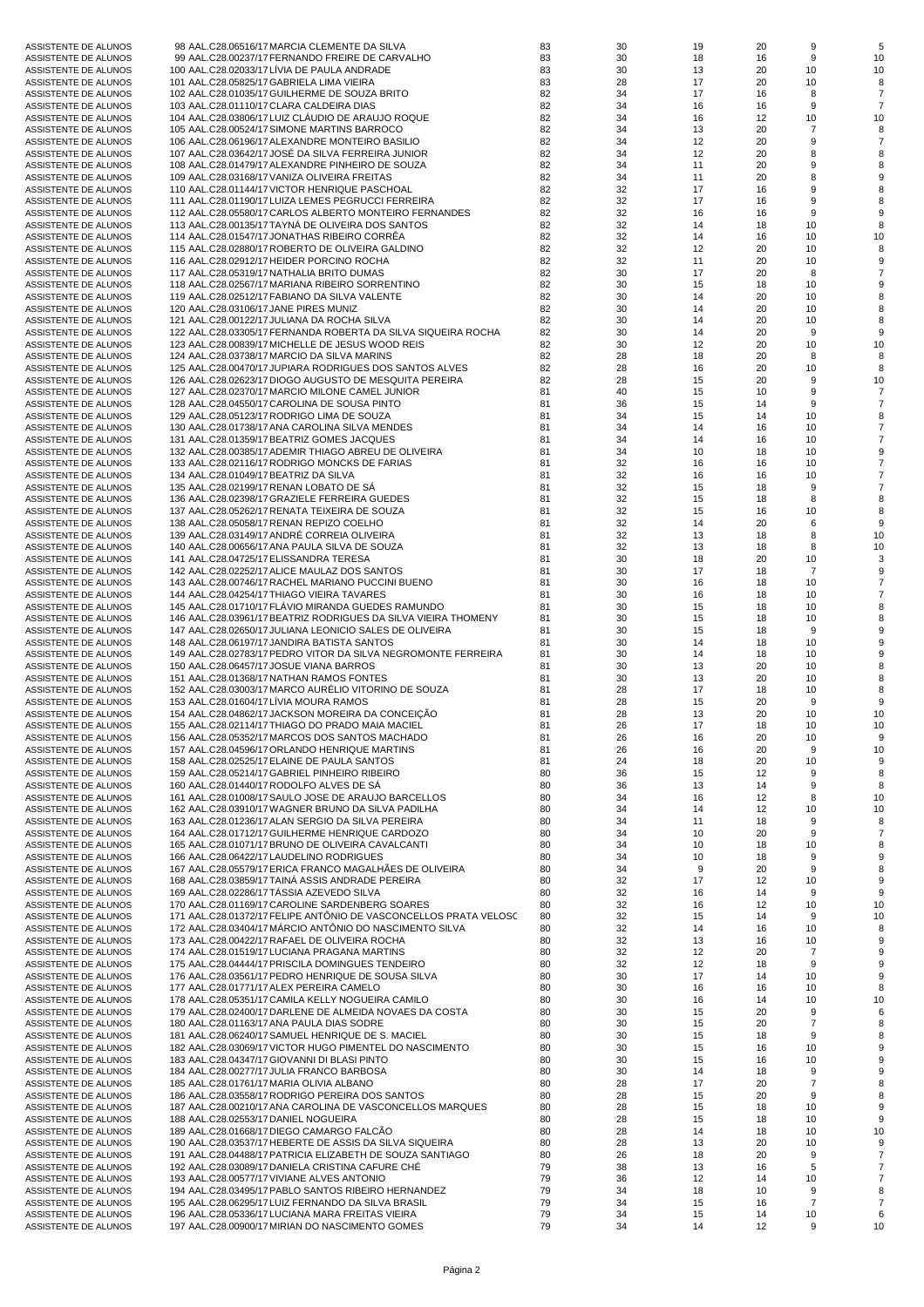|                      |                                                                  | 83 | 30 | 19 | 20 | 9              |    |
|----------------------|------------------------------------------------------------------|----|----|----|----|----------------|----|
| ASSISTENTE DE ALUNOS | 98 AAL.C28.06516/17 MARCIA CLEMENTE DA SILVA                     |    |    |    |    |                |    |
| ASSISTENTE DE ALUNOS | 99 AAL.C28.00237/17 FERNANDO FREIRE DE CARVALHO                  | 83 | 30 | 18 | 16 | 9              | 10 |
| ASSISTENTE DE ALUNOS | 100 AAL.C28.02033/17 LIVIA DE PAULA ANDRADE                      | 83 | 30 | 13 | 20 | 10             | 10 |
|                      |                                                                  |    |    |    |    |                |    |
| ASSISTENTE DE ALUNOS | 101 AAL.C28.05825/17 GABRIELA LIMA VIEIRA                        | 83 | 28 | 17 | 20 | 10             | 8  |
| ASSISTENTE DE ALUNOS | 102 AAL.C28.01035/17 GUILHERME DE SOUZA BRITO                    | 82 | 34 | 17 | 16 | 8              | 7  |
| ASSISTENTE DE ALUNOS | 103 AAL.C28.01110/17 CLARA CALDEIRA DIAS                         | 82 | 34 | 16 | 16 | 9              |    |
|                      |                                                                  | 82 | 34 |    |    |                |    |
| ASSISTENTE DE ALUNOS | 104 AAL.C28.03806/17 LUIZ CLAUDIO DE ARAUJO ROQUE                |    |    | 16 | 12 | 10             | 10 |
| ASSISTENTE DE ALUNOS | 105 AAL.C28.00524/17 SIMONE MARTINS BARROCO                      | 82 | 34 | 13 | 20 | $\overline{7}$ |    |
| ASSISTENTE DE ALUNOS | 106 AAL.C28.06196/17 ALEXANDRE MONTEIRO BASILIO                  | 82 | 34 | 12 | 20 | 9              |    |
|                      |                                                                  |    |    |    |    |                |    |
| ASSISTENTE DE ALUNOS | 107 AAL.C28.03642/17 JOSÉ DA SILVA FERREIRA JUNIOR               | 82 | 34 | 12 | 20 | 8              |    |
| ASSISTENTE DE ALUNOS | 108 AAL.C28.01479/17 ALEXANDRE PINHEIRO DE SOUZA                 | 82 | 34 | 11 | 20 | 9              |    |
| ASSISTENTE DE ALUNOS | 109 AAL.C28.03168/17 VANIZA OLIVEIRA FREITAS                     | 82 | 34 | 11 | 20 | 8              |    |
|                      |                                                                  |    |    |    |    |                |    |
| ASSISTENTE DE ALUNOS | 110 AAL.C28.01144/17 VICTOR HENRIQUE PASCHOAL                    | 82 | 32 | 17 | 16 | 9              |    |
| ASSISTENTE DE ALUNOS | 111 AAL.C28.01190/17 LUIZA LEMES PEGRUCCI FERREIRA               | 82 | 32 | 17 | 16 | 9              |    |
| ASSISTENTE DE ALUNOS | 112 AAL.C28.05580/17 CARLOS ALBERTO MONTEIRO FERNANDES           | 82 | 32 | 16 | 16 | 9              |    |
|                      |                                                                  |    |    |    |    |                |    |
| ASSISTENTE DE ALUNOS | 113 AAL.C28.00135/17 TAYNA DE OLIVEIRA DOS SANTOS                | 82 | 32 | 14 | 18 | 10             | 8  |
| ASSISTENTE DE ALUNOS | 114 AAL.C28.01547/17 JONATHAS RIBEIRO CORRÊA                     | 82 | 32 | 14 | 16 | 10             | 10 |
| ASSISTENTE DE ALUNOS | 115 AAL.C28.02880/17 ROBERTO DE OLIVEIRA GALDINO                 | 82 | 32 | 12 | 20 | 10             |    |
|                      |                                                                  |    |    |    |    |                |    |
| ASSISTENTE DE ALUNOS | 116 AAL.C28.02912/17 HEIDER PORCINO ROCHA                        | 82 | 32 | 11 | 20 | 10             |    |
| ASSISTENTE DE ALUNOS | 117 AAL.C28.05319/17 NATHALIA BRITO DUMAS                        | 82 | 30 | 17 | 20 | 8              |    |
| ASSISTENTE DE ALUNOS | 118 AAL.C28.02567/17 MARIANA RIBEIRO SORRENTINO                  | 82 | 30 | 15 | 18 | 10             |    |
|                      |                                                                  |    |    |    |    |                |    |
| ASSISTENTE DE ALUNOS | 119 AAL.C28.02512/17 FABIANO DA SILVA VALENTE                    | 82 | 30 | 14 | 20 | 10             |    |
| ASSISTENTE DE ALUNOS | 120 AAL.C28.03106/17 JANE PIRES MUNIZ                            | 82 | 30 | 14 | 20 | 10             |    |
| ASSISTENTE DE ALUNOS | 121 AAL.C28.00122/17 JULIANA DA ROCHA SILVA                      | 82 | 30 | 14 | 20 | 10             |    |
|                      |                                                                  |    |    |    |    |                |    |
| ASSISTENTE DE ALUNOS | 122 AAL.C28.03305/17 FERNANDA ROBERTA DA SILVA SIQUEIRA ROCHA    | 82 | 30 | 14 | 20 | 9              | 9  |
| ASSISTENTE DE ALUNOS | 123 AAL.C28.00839/17 MICHELLE DE JESUS WOOD REIS                 | 82 | 30 | 12 | 20 | 10             | 10 |
| ASSISTENTE DE ALUNOS | 124 AAL.C28.03738/17 MARCIO DA SILVA MARINS                      | 82 | 28 | 18 | 20 | 8              |    |
|                      |                                                                  |    |    |    |    |                |    |
| ASSISTENTE DE ALUNOS | 125 AAL.C28.00470/17 JUPIARA RODRIGUES DOS SANTOS ALVES          | 82 | 28 | 16 | 20 | 10             | 8  |
| ASSISTENTE DE ALUNOS | 126 AAL.C28.02623/17 DIOGO AUGUSTO DE MESQUITA PEREIRA           | 82 | 28 | 15 | 20 | 9              | 10 |
| ASSISTENTE DE ALUNOS | 127 AAL.C28.02370/17 MARCIO MILONE CAMEL JUNIOR                  | 81 | 40 | 15 | 10 | 9              |    |
|                      |                                                                  |    |    |    |    |                |    |
| ASSISTENTE DE ALUNOS | 128 AAL.C28.04550/17 CAROLINA DE SOUSA PINTO                     | 81 | 36 | 15 | 14 | 9              |    |
| ASSISTENTE DE ALUNOS | 129 AAL.C28.05123/17 RODRIGO LIMA DE SOUZA                       | 81 | 34 | 15 | 14 | 10             |    |
| ASSISTENTE DE ALUNOS | 130 AAL.C28.01738/17 ANA CAROLINA SILVA MENDES                   | 81 | 34 | 14 | 16 | 10             |    |
|                      |                                                                  |    |    |    |    |                |    |
| ASSISTENTE DE ALUNOS | 131 AAL.C28.01359/17 BEATRIZ GOMES JACQUES                       | 81 | 34 | 14 | 16 | 10             |    |
| ASSISTENTE DE ALUNOS | 132 AAL.C28.00385/17 ADEMIR THIAGO ABREU DE OLIVEIRA             | 81 | 34 | 10 | 18 | 10             |    |
| ASSISTENTE DE ALUNOS | 133 AAL.C28.02116/17 RODRIGO MONCKS DE FARIAS                    | 81 | 32 | 16 | 16 | 10             |    |
|                      |                                                                  |    |    |    |    |                |    |
| ASSISTENTE DE ALUNOS | 134 AAL.C28.01049/17 BEATRIZ DA SILVA                            | 81 | 32 | 16 | 16 | 10             |    |
| ASSISTENTE DE ALUNOS | 135 AAL.C28.02199/17 RENAN LOBATO DE SA                          | 81 | 32 | 15 | 18 | 9              |    |
| ASSISTENTE DE ALUNOS | 136 AAL.C28.02398/17 GRAZIELE FERREIRA GUEDES                    | 81 | 32 | 15 | 18 | 8              | 8  |
|                      |                                                                  |    |    |    |    |                |    |
| ASSISTENTE DE ALUNOS | 137 AAL.C28.05262/17 RENATA TEIXEIRA DE SOUZA                    | 81 | 32 | 15 | 16 | 10             | 8  |
| ASSISTENTE DE ALUNOS | 138 AAL.C28.05058/17 RENAN REPIZO COELHO                         | 81 | 32 | 14 | 20 | 6              |    |
| ASSISTENTE DE ALUNOS | 139 AAL.C28.03149/17 ANDRÉ CORREIA OLIVEIRA                      | 81 | 32 | 13 | 18 | 8              | 10 |
|                      |                                                                  |    |    |    |    |                |    |
| ASSISTENTE DE ALUNOS | 140 AAL.C28.00656/17 ANA PAULA SILVA DE SOUZA                    | 81 | 32 | 13 | 18 | 8              | 10 |
| ASSISTENTE DE ALUNOS | 141 AAL.C28.04725/17 ELISSANDRA TERESA                           | 81 | 30 | 18 | 20 | 10             |    |
| ASSISTENTE DE ALUNOS | 142 AAL.C28.02252/17 ALICE MAULAZ DOS SANTOS                     | 81 | 30 | 17 | 18 | $\overline{7}$ |    |
|                      |                                                                  |    |    |    |    |                |    |
| ASSISTENTE DE ALUNOS | 143 AAL.C28.00746/17 RACHEL MARIANO PUCCINI BUENO                | 81 | 30 | 16 | 18 | 10             |    |
| ASSISTENTE DE ALUNOS | 144 AAL.C28.04254/17 THIAGO VIEIRA TAVARES                       | 81 | 30 | 16 | 18 | 10             |    |
| ASSISTENTE DE ALUNOS | 145 AAL.C28.01710/17 FLAVIO MIRANDA GUEDES RAMUNDO               | 81 | 30 | 15 | 18 | 10             |    |
|                      |                                                                  |    |    |    |    |                |    |
| ASSISTENTE DE ALUNOS | 146 AAL.C28.03961/17 BEATRIZ RODRIGUES DA SILVA VIEIRA THOMENY   | 81 | 30 | 15 | 18 | 10             |    |
| ASSISTENTE DE ALUNOS | 147 AAL.C28.02650/17 JULIANA LEONICIO SALES DE OLIVEIRA          | 81 | 30 | 15 | 18 | 9              |    |
| ASSISTENTE DE ALUNOS | 148 AAL.C28.06197/17 JANDIRA BATISTA SANTOS                      | 81 | 30 | 14 | 18 | 10             |    |
|                      |                                                                  |    |    |    |    |                |    |
| ASSISTENTE DE ALUNOS | 149 AAL.C28.02783/17 PEDRO VITOR DA SILVA NEGROMONTE FERREIRA    | 81 | 30 | 14 | 18 | 10             |    |
| ASSISTENTE DE ALUNOS | 150 AAL.C28.06457/17 JOSUE VIANA BARROS                          | 81 | 30 | 13 | 20 | 10             |    |
| ASSISTENTE DE ALUNOS | 151 AAL.C28.01368/17 NATHAN RAMOS FONTES                         | 81 | 30 | 13 | 20 | 10             | 8  |
|                      |                                                                  |    |    |    |    |                |    |
| ASSISTENTE DE ALUNOS | 152 AAL.C28.03003/17 MARCO AURÉLIO VITORINO DE SOUZA             | 81 | 28 | 17 | 18 | 10             |    |
| ASSISTENTE DE ALUNOS | 153 AAL.C28.01604/17 LÍVIA MOURA RAMOS                           | 81 | 28 | 15 | 20 | 9              |    |
| ASSISTENTE DE ALUNOS | 154 AAL.C28.04862/17 JACKSON MOREIRA DA CONCEIÇÃO                | 81 | 28 | 13 | 20 | 10             | 10 |
|                      | 155 AAL.C28.02114/17 THIAGO DO PRADO MAIA MACIEL                 | 81 |    |    |    |                | 10 |
| ASSISTENTE DE ALUNOS |                                                                  |    | 26 | 17 | 18 | 10             |    |
| ASSISTENTE DE ALUNOS | 156 AAL.C28.05352/17 MARCOS DOS SANTOS MACHADO                   | 81 | 26 | 16 | 20 | 10             |    |
| ASSISTENTE DE ALUNOS | 157 AAL.C28.04596/17 ORLANDO HENRIQUE MARTINS                    | 81 | 26 | 16 | 20 | 9              | 10 |
|                      | 158 AAL.C28.02525/17 ELAINE DE PAULA SANTOS                      |    |    |    | 20 |                |    |
| ASSISTENTE DE ALUNOS |                                                                  | 81 | 24 | 18 |    | 10             |    |
| ASSISTENTE DE ALUNOS | 159 AAL.C28.05214/17 GABRIEL PINHEIRO RIBEIRO                    | 80 | 36 | 15 | 12 | 9              | 8  |
| ASSISTENTE DE ALUNOS | 160 AAL.C28.01440/17 RODOLFO ALVES DE SÀ                         | 80 | 36 | 13 | 14 | 9              |    |
|                      | 161 AAL.C28.01008/17 SAULO JOSE DE ARAUJO BARCELLOS              | 80 | 34 |    | 12 |                |    |
| ASSISTENTE DE ALUNOS |                                                                  |    |    | 16 |    | 8              | 10 |
| ASSISTENTE DE ALUNOS | 162 AAL.C28.03910/17 WAGNER BRUNO DA SILVA PADILHA               | 80 | 34 | 14 | 12 | 10             | 10 |
| ASSISTENTE DE ALUNOS | 163 AAL.C28.01236/17 ALAN SERGIO DA SILVA PEREIRA                | 80 | 34 | 11 | 18 | 9              |    |
| ASSISTENTE DE ALUNOS | 164 AAL.C28.01712/17 GUILHERME HENRIQUE CARDOZO                  | 80 | 34 | 10 | 20 | 9              |    |
|                      |                                                                  |    |    |    |    |                |    |
| ASSISTENTE DE ALUNOS | 165 AAL.C28.01071/17 BRUNO DE OLIVEIRA CAVALCANTI                | 80 | 34 | 10 | 18 | 10             |    |
| ASSISTENTE DE ALUNOS | 166 AAL.C28.06422/17 LAUDELINO RODRIGUES                         | 80 | 34 | 10 | 18 | 9              |    |
| ASSISTENTE DE ALUNOS | 167 AAL.C28.05579/17 ERICA FRANCO MAGALHÃES DE OLIVEIRA          | 80 | 34 | 9  | 20 | 9              |    |
| ASSISTENTE DE ALUNOS | 168 AAL.C28.03859/17 TAINA ASSIS ANDRADE PEREIRA                 | 80 | 32 | 17 | 12 | 10             |    |
|                      |                                                                  |    |    |    |    |                |    |
| ASSISTENTE DE ALUNOS | 169 AAL.C28.02286/17 TÁSSIA AZEVEDO SILVA                        | 80 | 32 | 16 | 14 | 9              | 9  |
| ASSISTENTE DE ALUNOS | 170 AAL.C28.01169/17 CAROLINE SARDENBERG SOARES                  | 80 | 32 | 16 | 12 | 10             | 10 |
| ASSISTENTE DE ALUNOS | 171 AAL.C28.01372/17 FELIPE ANTÔNIO DE VASCONCELLOS PRATA VELOSC | 80 | 32 | 15 | 14 | 9              | 10 |
|                      |                                                                  |    |    |    |    |                |    |
| ASSISTENTE DE ALUNOS | 172 AAL.C28.03404/17 MÁRCIO ANTÔNIO DO NASCIMENTO SILVA          | 80 | 32 | 14 | 16 | 10             |    |
| ASSISTENTE DE ALUNOS | 173 AAL.C28.00422/17 RAFAEL DE OLIVEIRA ROCHA                    | 80 | 32 | 13 | 16 | 10             |    |
| ASSISTENTE DE ALUNOS | 174 AAL.C28.01519/17 LUCIANA PRAGANA MARTINS                     | 80 | 32 | 12 | 20 | $\overline{7}$ |    |
|                      |                                                                  |    |    |    |    |                |    |
| ASSISTENTE DE ALUNOS | 175 AAL.C28.04444/17 PRISCILA DOMINGUES TENDEIRO                 | 80 | 32 | 12 | 18 | 9              |    |
| ASSISTENTE DE ALUNOS | 176 AAL.C28.03561/17 PEDRO HENRIQUE DE SOUSA SILVA               | 80 | 30 | 17 | 14 | 10             |    |
| ASSISTENTE DE ALUNOS | 177 AAL.C28.01771/17 ALEX PEREIRA CAMELO                         | 80 | 30 | 16 | 16 | 10             |    |
|                      |                                                                  |    |    |    |    |                |    |
| ASSISTENTE DE ALUNOS | 178 AAL.C28.05351/17 CAMILA KELLY NOGUEIRA CAMILO                | 80 | 30 | 16 | 14 | 10             | 10 |
| ASSISTENTE DE ALUNOS | 179 AAL.C28.02400/17 DARLENE DE ALMEIDA NOVAES DA COSTA          | 80 | 30 | 15 | 20 | 9              |    |
| ASSISTENTE DE ALUNOS | 180 AAL.C28.01163/17 ANA PAULA DIAS SODRE                        | 80 | 30 | 15 | 20 | $\overline{7}$ |    |
| ASSISTENTE DE ALUNOS | 181 AAL.C28.06240/17 SAMUEL HENRIQUE DE S. MACIEL                | 80 | 30 | 15 | 18 | 9              |    |
|                      |                                                                  |    |    |    |    |                |    |
| ASSISTENTE DE ALUNOS | 182 AAL.C28.03069/17 VICTOR HUGO PIMENTEL DO NASCIMENTO          | 80 | 30 | 15 | 16 | 10             |    |
| ASSISTENTE DE ALUNOS | 183 AAL.C28.04347/17 GIOVANNI DI BLASI PINTO                     | 80 | 30 | 15 | 16 | 10             |    |
| ASSISTENTE DE ALUNOS | 184 AAL.C28.00277/17 JULIA FRANCO BARBOSA                        | 80 | 30 | 14 | 18 | 9              |    |
|                      |                                                                  |    |    |    |    |                |    |
| ASSISTENTE DE ALUNOS | 185 AAL.C28.01761/17 MARIA OLIVIA ALBANO                         | 80 | 28 | 17 | 20 | $\overline{7}$ |    |
| ASSISTENTE DE ALUNOS | 186 AAL.C28.03558/17 RODRIGO PEREIRA DOS SANTOS                  | 80 | 28 | 15 | 20 | 9              |    |
| ASSISTENTE DE ALUNOS | 187 AAL.C28.00210/17 ANA CAROLINA DE VASCONCELLOS MARQUES        | 80 | 28 | 15 | 18 | 10             |    |
|                      |                                                                  |    |    |    |    |                |    |
| ASSISTENTE DE ALUNOS | 188 AAL.C28.02553/17 DANIEL NOGUEIRA                             | 80 | 28 | 15 | 18 | 10             |    |
| ASSISTENTE DE ALUNOS | 189 AAL.C28.01668/17 DIEGO CAMARGO FALCÃO                        | 80 | 28 | 14 | 18 | 10             | 10 |
| ASSISTENTE DE ALUNOS | 190 AAL.C28.03537/17 HEBERTE DE ASSIS DA SILVA SIQUEIRA          | 80 | 28 | 13 | 20 | 10             |    |
|                      |                                                                  |    |    |    |    |                |    |
| ASSISTENTE DE ALUNOS | 191 AAL.C28.04488/17 PATRICIA ELIZABETH DE SOUZA SANTIAGO        | 80 | 26 | 18 | 20 | 9              |    |
| ASSISTENTE DE ALUNOS | 192 AAL.C28.03089/17 DANIELA CRISTINA CAFURE CHÉ                 | 79 | 38 | 13 | 16 | 5              |    |
| ASSISTENTE DE ALUNOS | 193 AAL.C28.00577/17 VIVIANE ALVES ANTONIO                       | 79 | 36 | 12 | 14 | 10             |    |
| ASSISTENTE DE ALUNOS | 194 AAL.C28.03495/17 PABLO SANTOS RIBEIRO HERNANDEZ              | 79 | 34 | 18 | 10 | 9              | 8  |
|                      |                                                                  |    |    |    |    |                |    |
| ASSISTENTE DE ALUNOS | 195 AAL.C28.06295/17 LUIZ FERNANDO DA SILVA BRASIL               | 79 | 34 | 15 | 16 | $\overline{7}$ |    |
| ASSISTENTE DE ALUNOS | 196 AAL.C28.05336/17 LUCIANA MARA FREITAS VIEIRA                 | 79 | 34 | 15 | 14 | 10             |    |
| ASSISTENTE DE ALUNOS | 197 AAL.C28.00900/17 MIRIAN DO NASCIMENTO GOMES                  | 79 | 34 | 14 | 12 | 9              | 10 |
|                      |                                                                  |    |    |    |    |                |    |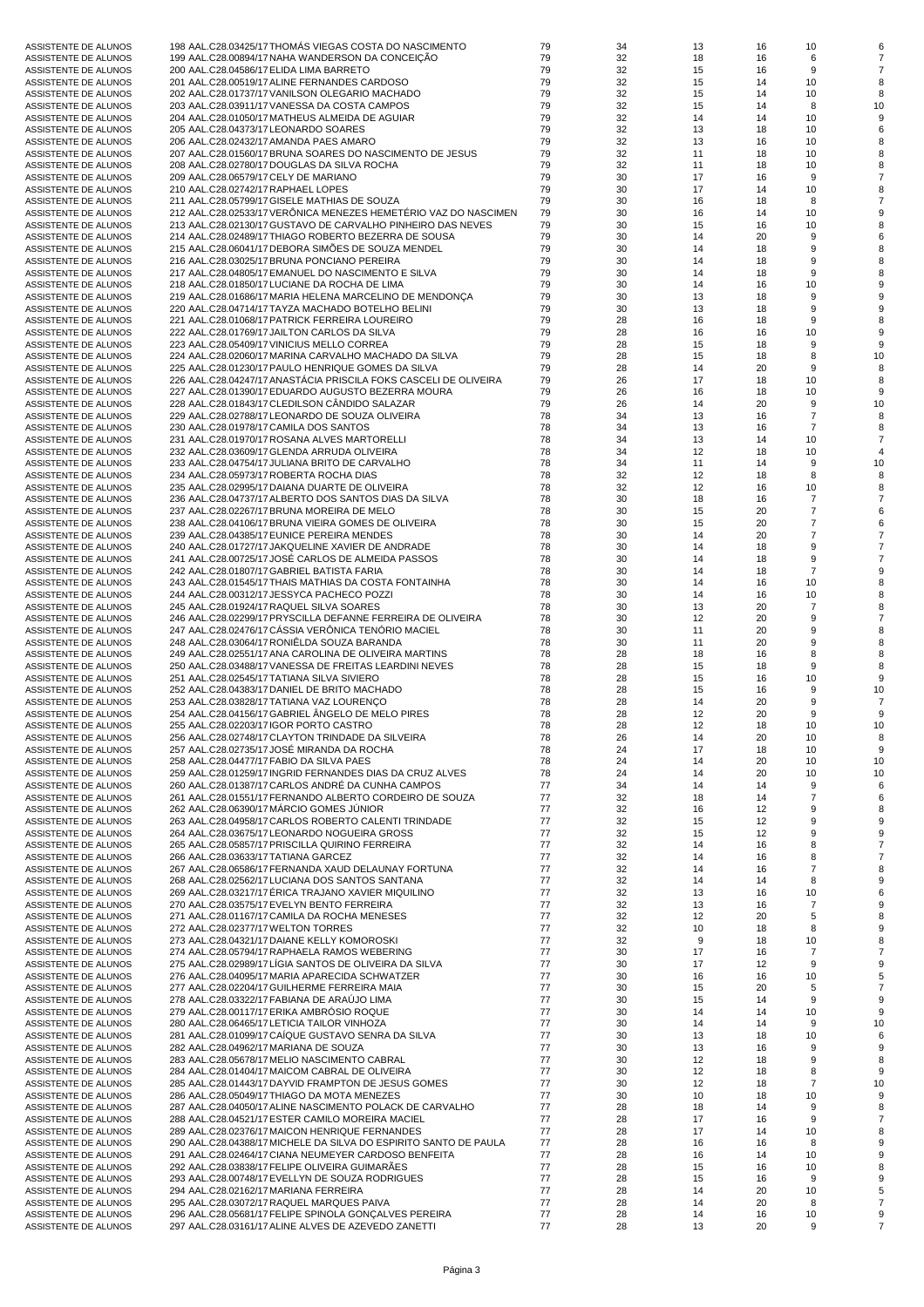| ASSISTENTE DE ALUNOS | 198 AAL.C28.03425/17 THOMÁS VIEGAS COSTA DO NASCIMENTO           | 79 | 34 | 13 | 16 | 10             |    |
|----------------------|------------------------------------------------------------------|----|----|----|----|----------------|----|
| ASSISTENTE DE ALUNOS | 199 AAL.C28.00894/17 NAHA WANDERSON DA CONCEIÇÃO                 | 79 | 32 | 18 | 16 | 6              |    |
| ASSISTENTE DE ALUNOS | 200 AAL.C28.04586/17 ELIDA LIMA BARRETO                          | 79 | 32 | 15 | 16 | 9              |    |
| ASSISTENTE DE ALUNOS | 201 AAL.C28.00519/17 ALINE FERNANDES CARDOSO                     | 79 | 32 | 15 | 14 | 10             |    |
| ASSISTENTE DE ALUNOS | 202 AAL.C28.01737/17 VANILSON OLEGARIO MACHADO                   | 79 | 32 | 15 | 14 | 10             | 8  |
|                      |                                                                  | 79 | 32 | 15 | 14 | 8              | 10 |
| ASSISTENTE DE ALUNOS | 203 AAL.C28.03911/17 VANESSA DA COSTA CAMPOS                     |    |    |    |    |                |    |
| ASSISTENTE DE ALUNOS | 204 AAL.C28.01050/17 MATHEUS ALMEIDA DE AGUIAR                   | 79 | 32 | 14 | 14 | 10             |    |
| ASSISTENTE DE ALUNOS | 205 AAL.C28.04373/17 LEONARDO SOARES                             | 79 | 32 | 13 | 18 | 10             |    |
| ASSISTENTE DE ALUNOS | 206 AAL.C28.02432/17 AMANDA PAES AMARO                           | 79 | 32 | 13 | 16 | 10             |    |
| ASSISTENTE DE ALUNOS | 207 AAL.C28.01560/17 BRUNA SOARES DO NASCIMENTO DE JESUS         | 79 | 32 | 11 | 18 | 10             |    |
| ASSISTENTE DE ALUNOS | 208 AAL.C28.02780/17 DOUGLAS DA SILVA ROCHA                      | 79 | 32 | 11 | 18 | 10             |    |
| ASSISTENTE DE ALUNOS | 209 AAL.C28.06579/17 CELY DE MARIANO                             | 79 | 30 | 17 | 16 | 9              |    |
| ASSISTENTE DE ALUNOS | 210 AAL.C28.02742/17 RAPHAEL LOPES                               | 79 | 30 | 17 | 14 | 10             |    |
|                      |                                                                  |    |    |    |    |                |    |
| ASSISTENTE DE ALUNOS | 211 AAL.C28.05799/17 GISELE MATHIAS DE SOUZA                     | 79 | 30 | 16 | 18 | 8              |    |
| ASSISTENTE DE ALUNOS | 212 AAL.C28.02533/17 VERÔNICA MENEZES HEMETÉRIO VAZ DO NASCIMEN  | 79 | 30 | 16 | 14 | 10             |    |
| ASSISTENTE DE ALUNOS | 213 AAL.C28.02130/17 GUSTAVO DE CARVALHO PINHEIRO DAS NEVES      | 79 | 30 | 15 | 16 | 10             |    |
| ASSISTENTE DE ALUNOS | 214 AAL.C28.02489/17 THIAGO ROBERTO BEZERRA DE SOUSA             | 79 | 30 | 14 | 20 | 9              |    |
| ASSISTENTE DE ALUNOS | 215 AAL.C28.06041/17 DEBORA SIMÕES DE SOUZA MENDEL               | 79 | 30 | 14 | 18 | 9              |    |
| ASSISTENTE DE ALUNOS | 216 AAL.C28.03025/17 BRUNA PONCIANO PEREIRA                      | 79 | 30 | 14 | 18 | 9              |    |
| ASSISTENTE DE ALUNOS | 217 AAL.C28.04805/17 EMANUEL DO NASCIMENTO E SILVA               | 79 | 30 | 14 | 18 | 9              |    |
| ASSISTENTE DE ALUNOS | 218 AAL.C28.01850/17 LUCIANE DA ROCHA DE LIMA                    | 79 | 30 | 14 | 16 | 10             |    |
|                      |                                                                  |    |    |    |    |                |    |
| ASSISTENTE DE ALUNOS | 219 AAL.C28.01686/17 MARIA HELENA MARCELINO DE MENDONÇA          | 79 | 30 | 13 | 18 | 9              |    |
| ASSISTENTE DE ALUNOS | 220 AAL.C28.04714/17 TAYZA MACHADO BOTELHO BELINI                | 79 | 30 | 13 | 18 | 9              |    |
| ASSISTENTE DE ALUNOS | 221 AAL.C28.01068/17 PATRICK FERREIRA LOUREIRO                   | 79 | 28 | 16 | 18 | 9              |    |
| ASSISTENTE DE ALUNOS | 222 AAL.C28.01769/17 JAILTON CARLOS DA SILVA                     | 79 | 28 | 16 | 16 | 10             |    |
| ASSISTENTE DE ALUNOS | 223 AAL.C28.05409/17 VINICIUS MELLO CORREA                       | 79 | 28 | 15 | 18 | 9              | 9  |
| ASSISTENTE DE ALUNOS | 224 AAL.C28.02060/17 MARINA CARVALHO MACHADO DA SILVA            | 79 | 28 | 15 | 18 | 8              | 10 |
|                      |                                                                  |    |    |    |    |                |    |
| ASSISTENTE DE ALUNOS | 225 AAL.C28.01230/17 PAULO HENRIQUE GOMES DA SILVA               | 79 | 28 | 14 | 20 | 9              |    |
| ASSISTENTE DE ALUNOS | 226 AAL.C28.04247/17 ANASTÁCIA PRISCILA FOKS CASCELI DE OLIVEIRA | 79 | 26 | 17 | 18 | 10             | 8  |
| ASSISTENTE DE ALUNOS | 227 AAL.C28.01390/17 EDUARDO AUGUSTO BEZERRA MOURA               | 79 | 26 | 16 | 18 | 10             | 9  |
| ASSISTENTE DE ALUNOS | 228 AAL.C28.01843/17 CLEDILSON CÄNDIDO SALAZAR                   | 79 | 26 | 14 | 20 | 9              | 10 |
| ASSISTENTE DE ALUNOS | 229 AAL.C28.02788/17 LEONARDO DE SOUZA OLIVEIRA                  | 78 | 34 | 13 | 16 | $\overline{7}$ |    |
| ASSISTENTE DE ALUNOS | 230 AAL.C28.01978/17 CAMILA DOS SANTOS                           | 78 | 34 | 13 | 16 | $\overline{7}$ |    |
| ASSISTENTE DE ALUNOS |                                                                  | 78 |    |    | 14 |                |    |
|                      | 231 AAL.C28.01970/17 ROSANA ALVES MARTORELLI                     |    | 34 | 13 |    | 10             |    |
| ASSISTENTE DE ALUNOS | 232 AAL.C28.03609/17 GLENDA ARRUDA OLIVEIRA                      | 78 | 34 | 12 | 18 | 10             |    |
| ASSISTENTE DE ALUNOS | 233 AAL.C28.04754/17 JULIANA BRITO DE CARVALHO                   | 78 | 34 | 11 | 14 | 9              | 10 |
| ASSISTENTE DE ALUNOS | 234 AAL.C28.05973/17 ROBERTA ROCHA DIAS                          | 78 | 32 | 12 | 18 | 8              |    |
| ASSISTENTE DE ALUNOS | 235 AAL.C28.02995/17 DAIANA DUARTE DE OLIVEIRA                   | 78 | 32 | 12 | 16 | 10             |    |
| ASSISTENTE DE ALUNOS | 236 AAL.C28.04737/17 ALBERTO DOS SANTOS DIAS DA SILVA            | 78 | 30 | 18 | 16 | $\overline{7}$ |    |
|                      | 237 AAL.C28.02267/17 BRUNA MOREIRA DE MELO                       | 78 | 30 | 15 | 20 | $\overline{7}$ |    |
| ASSISTENTE DE ALUNOS |                                                                  |    |    |    |    |                |    |
| ASSISTENTE DE ALUNOS | 238 AAL.C28.04106/17 BRUNA VIEIRA GOMES DE OLIVEIRA              | 78 | 30 | 15 | 20 | $\overline{7}$ |    |
| ASSISTENTE DE ALUNOS | 239 AAL.C28.04385/17 EUNICE PEREIRA MENDES                       | 78 | 30 | 14 | 20 | $\overline{7}$ |    |
| ASSISTENTE DE ALUNOS | 240 AAL.C28.01727/17 JAKQUELINE XAVIER DE ANDRADE                | 78 | 30 | 14 | 18 | 9              |    |
| ASSISTENTE DE ALUNOS | 241 AAL.C28.00725/17 JOSE CARLOS DE ALMEIDA PASSOS               | 78 | 30 | 14 | 18 | 9              |    |
| ASSISTENTE DE ALUNOS | 242 AAL.C28.01807/17 GABRIEL BATISTA FARIA                       | 78 | 30 | 14 | 18 | $\overline{7}$ |    |
| ASSISTENTE DE ALUNOS | 243 AAL.C28.01545/17 THAIS MATHIAS DA COSTA FONTAINHA            | 78 | 30 | 14 | 16 | 10             |    |
|                      | 244 AAL.C28.00312/17 JESSYCA PACHECO POZZI                       | 78 | 30 | 14 | 16 | 10             |    |
| ASSISTENTE DE ALUNOS |                                                                  | 78 |    |    |    | $\overline{7}$ |    |
| ASSISTENTE DE ALUNOS | 245 AAL.C28.01924/17 RAQUEL SILVA SOARES                         |    | 30 | 13 | 20 |                |    |
| ASSISTENTE DE ALUNOS | 246 AAL.C28.02299/17 PRYSCILLA DEFANNE FERREIRA DE OLIVEIRA      | 78 | 30 | 12 | 20 | 9              |    |
| ASSISTENTE DE ALUNOS | 247 AAL.C28.02476/17 CASSIA VERÖNICA TENORIO MACIEL              | 78 | 30 | 11 | 20 | 9              |    |
| ASSISTENTE DE ALUNOS | 248 AAL.C28.03064/17 RONIËLDA SOUZA BARANDA                      | 78 | 30 | 11 | 20 | 9              |    |
| ASSISTENTE DE ALUNOS | 249 AAL.C28.02551/17 ANA CAROLINA DE OLIVEIRA MARTINS            | 78 | 28 | 18 | 16 | 8              |    |
| ASSISTENTE DE ALUNOS | 250 AAL.C28.03488/17 VANESSA DE FREITAS LEARDINI NEVES           | 78 | 28 | 15 | 18 | 9              |    |
|                      | 251 AAL.C28.02545/17 TATIANA SILVA SIVIERO                       | 78 | 28 | 15 | 16 | 10             |    |
| ASSISTENTE DE ALUNOS |                                                                  |    |    |    |    |                |    |
| ASSISTENTE DE ALUNOS | 252 AAL.C28.04383/17 DANIEL DE BRITO MACHADO                     | 78 | 28 | 15 | 16 | 9              | 10 |
| ASSISTENTE DE ALUNOS | 253 AAL.C28.03828/17 TATIANA VAZ LOURENCO                        | 78 | 28 | 14 | 20 | 9              | 7  |
| ASSISTENTE DE ALUNOS | 254 AAL.C28.04156/17 GABRIEL ÄNGELO DE MELO PIRES                | 78 | 28 | 12 | 20 | 9              |    |
| ASSISTENTE DE ALUNOS | 255 AAL.C28.02203/17 IGOR PORTO CASTRO                           | 78 | 28 | 12 | 18 | 10             | 10 |
| ASSISTENTE DE ALUNOS | 256 AAL.C28.02748/17 CLAYTON TRINDADE DA SILVEIRA                | 78 | 26 | 14 | 20 | 10             |    |
| ASSISTENTE DE ALUNOS | 257 AAL.C28.02735/17 JOSÉ MIRANDA DA ROCHA                       | 78 | 24 | 17 | 18 | 10             | 9  |
| ASSISTENTE DE ALUNOS | 258 AAL.C28.04477/17 FABIO DA SILVA PAES                         | 78 | 24 | 14 | 20 | 10             | 10 |
| ASSISTENTE DE ALUNOS | 259 AAL.C28.01259/17 INGRID FERNANDES DIAS DA CRUZ ALVES         | 78 | 24 | 14 | 20 | 10             | 10 |
| ASSISTENTE DE ALUNOS | 260 AAL.C28.01387/17 CARLOS ANDRÉ DA CUNHA CAMPOS                | 77 | 34 | 14 | 14 | 9              |    |
|                      |                                                                  |    |    |    |    |                |    |
| ASSISTENTE DE ALUNOS | 261 AAL.C28.01551/17 FERNANDO ALBERTO CORDEIRO DE SOUZA          | 77 | 32 | 18 | 14 | $\overline{7}$ |    |
| ASSISTENTE DE ALUNOS | 262 AAL.C28.06390/17 MÁRCIO GOMES JÚNIOR                         | 77 | 32 | 16 | 12 | 9              |    |
| ASSISTENTE DE ALUNOS | 263 AAL.C28.04958/17 CARLOS ROBERTO CALENTI TRINDADE             | 77 | 32 | 15 | 12 | 9              |    |
| ASSISTENTE DE ALUNOS | 264 AAL.C28.03675/17 LEONARDO NOGUEIRA GROSS                     | 77 | 32 | 15 | 12 | 9              |    |
| ASSISTENTE DE ALUNOS | 265 AAL.C28.05857/17 PRISCILLA QUIRINO FERREIRA                  | 77 | 32 | 14 | 16 | 8              |    |
| ASSISTENTE DE ALUNOS | 266 AAL.C28.03633/17 TATIANA GARCEZ                              | 77 | 32 | 14 | 16 | 8              |    |
| ASSISTENTE DE ALUNOS | 267 AAL.C28.06586/17 FERNANDA XAUD DELAUNAY FORTUNA              | 77 | 32 | 14 | 16 | $\overline{7}$ |    |
| ASSISTENTE DE ALUNOS | 268 AAL.C28.02562/17 LUCIANA DOS SANTOS SANTANA                  | 77 | 32 | 14 | 14 | 8              |    |
|                      |                                                                  |    |    |    |    |                |    |
| ASSISTENTE DE ALUNOS | 269 AAL.C28.03217/17 ÉRICA TRAJANO XAVIER MIQUILINO              | 77 | 32 | 13 | 16 | 10             |    |
| ASSISTENTE DE ALUNOS | 270 AAL.C28.03575/17 EVELYN BENTO FERREIRA                       | 77 | 32 | 13 | 16 | $\overline{7}$ |    |
| ASSISTENTE DE ALUNOS | 271 AAL.C28.01167/17 CAMILA DA ROCHA MENESES                     | 77 | 32 | 12 | 20 | 5              |    |
| ASSISTENTE DE ALUNOS | 272 AAL.C28.02377/17 WELTON TORRES                               | 77 | 32 | 10 | 18 | 8              |    |
| ASSISTENTE DE ALUNOS | 273 AAL.C28.04321/17 DAIANE KELLY KOMOROSKI                      | 77 | 32 | 9  | 18 | 10             |    |
| ASSISTENTE DE ALUNOS | 274 AAL.C28.05794/17 RAPHAELA RAMOS WEBERING                     | 77 | 30 | 17 | 16 | 7              |    |
| ASSISTENTE DE ALUNOS | 275 AAL.C28.02989/17 LIGIA SANTOS DE OLIVEIRA DA SILVA           | 77 | 30 | 17 | 12 | 9              |    |
| ASSISTENTE DE ALUNOS | 276 AAL.C28.04095/17 MARIA APARECIDA SCHWATZER                   | 77 | 30 | 16 | 16 | 10             | 5  |
|                      |                                                                  |    |    |    |    |                | 7  |
| ASSISTENTE DE ALUNOS | 277 AAL.C28.02204/17 GUILHERME FERREIRA MAIA                     | 77 | 30 | 15 | 20 | 5              |    |
| ASSISTENTE DE ALUNOS | 278 AAL.C28.03322/17 FABIANA DE ARAÚJO LIMA                      | 77 | 30 | 15 | 14 | 9              |    |
| ASSISTENTE DE ALUNOS | 279 AAL.C28.00117/17 ERIKA AMBRÓSIO ROQUE                        | 77 | 30 | 14 | 14 | 10             |    |
| ASSISTENTE DE ALUNOS | 280 AAL.C28.06465/17 LETICIA TAILOR VINHOZA                      | 77 | 30 | 14 | 14 | 9              | 10 |
| ASSISTENTE DE ALUNOS | 281 AAL.C28.01099/17 CAIQUE GUSTAVO SENRA DA SILVA               | 77 | 30 | 13 | 18 | 10             |    |
| ASSISTENTE DE ALUNOS | 282 AAL.C28.04962/17 MARIANA DE SOUZA                            | 77 | 30 | 13 | 16 | 9              | 9  |
| ASSISTENTE DE ALUNOS | 283 AAL.C28.05678/17 MELIO NASCIMENTO CABRAL                     | 77 | 30 | 12 | 18 | 9              | 8  |
| ASSISTENTE DE ALUNOS | 284 AAL.C28.01404/17 MAICOM CABRAL DE OLIVEIRA                   | 77 | 30 | 12 | 18 | 8              | 9  |
|                      |                                                                  |    |    |    |    |                |    |
| ASSISTENTE DE ALUNOS | 285 AAL.C28.01443/17 DAYVID FRAMPTON DE JESUS GOMES              | 77 | 30 | 12 | 18 | $\overline{7}$ | 10 |
| ASSISTENTE DE ALUNOS | 286 AAL.C28.05049/17 THIAGO DA MOTA MENEZES                      | 77 | 30 | 10 | 18 | 10             |    |
| ASSISTENTE DE ALUNOS | 287 AAL.C28.04050/17 ALINE NASCIMENTO POLACK DE CARVALHO         | 77 | 28 | 18 | 14 | 9              |    |
| ASSISTENTE DE ALUNOS | 288 AAL.C28.04521/17 ESTER CAMILO MOREIRA MACIEL                 | 77 | 28 | 17 | 16 | 9              |    |
| ASSISTENTE DE ALUNOS | 289 AAL.C28.02376/17 MAICON HENRIQUE FERNANDES                   | 77 | 28 | 17 | 14 | 10             |    |
| ASSISTENTE DE ALUNOS | 290 AAL.C28.04388/17 MICHELE DA SILVA DO ESPIRITO SANTO DE PAULA | 77 | 28 | 16 | 16 | 8              |    |
| ASSISTENTE DE ALUNOS | 291 AAL.C28.02464/17 CIANA NEUMEYER CARDOSO BENFEITA             | 77 | 28 | 16 | 14 | 10             | 9  |
| ASSISTENTE DE ALUNOS | 292 AAL.C28.03838/17 FELIPE OLIVEIRA GUIMARÃES                   | 77 | 28 | 15 | 16 | 10             |    |
| ASSISTENTE DE ALUNOS | 293 AAL.C28.00748/17 EVELLYN DE SOUZA RODRIGUES                  | 77 | 28 | 15 | 16 | 9              |    |
|                      |                                                                  | 77 |    |    |    |                | 5  |
| ASSISTENTE DE ALUNOS | 294 AAL.C28.02162/17 MARIANA FERREIRA                            |    | 28 | 14 | 20 | 10             |    |
| ASSISTENTE DE ALUNOS | 295 AAL.C28.03072/17 RAQUEL MARQUES PAIVA                        | 77 | 28 | 14 | 20 | 8              |    |
| ASSISTENTE DE ALUNOS | 296 AAL.C28.05681/17 FELIPE SPINOLA GONÇALVES PEREIRA            | 77 | 28 | 14 | 16 | 10             |    |
| ASSISTENTE DE ALUNOS | 297 AAL.C28.03161/17 ALINE ALVES DE AZEVEDO ZANETTI              | 77 | 28 | 13 | 20 | 9              | 7  |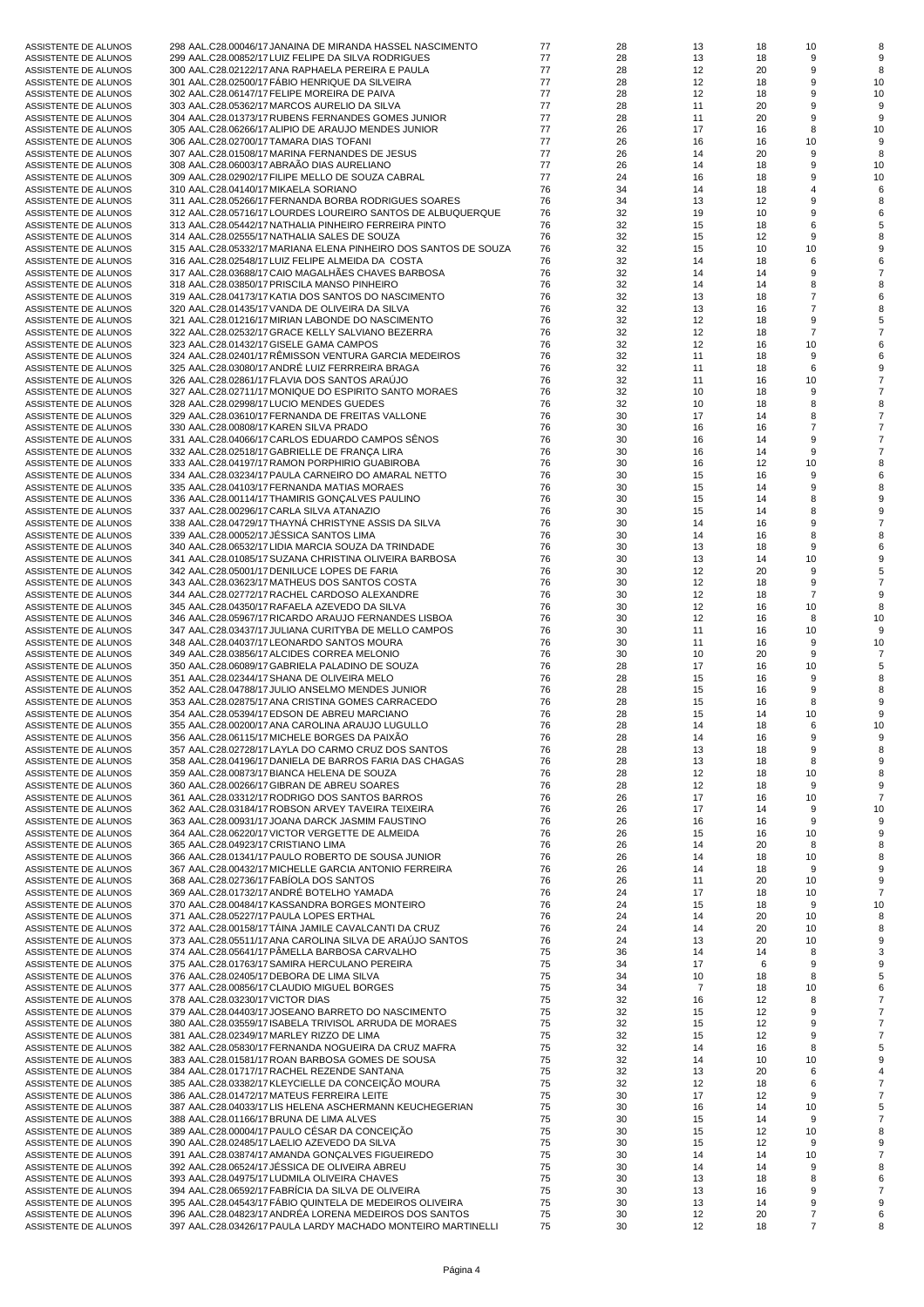| 298 AAL.C28.00046/17 JANAINA DE MIRANDA HASSEL NASCIMENTO<br>77<br>28<br>13<br>18<br>10<br>ASSISTENTE DE ALUNOS<br>299 AAL.C28.00852/17 LUIZ FELIPE DA SILVA RODRIGUES<br>77<br>28<br>9<br>13<br>18<br>ASSISTENTE DE ALUNOS<br>77<br>28<br>12<br>9<br>300 AAL.C28.02122/17 ANA RAPHAELA PEREIRA E PAULA<br>20<br>8<br>ASSISTENTE DE ALUNOS<br>9<br>301 AAL.C28.02500/17 FABIO HENRIQUE DA SILVEIRA<br>77<br>28<br>12<br>18<br>10<br>ASSISTENTE DE ALUNOS<br>77<br>9<br>302 AAL.C28.06147/17 FELIPE MOREIRA DE PAIVA<br>28<br>12<br>10<br>ASSISTENTE DE ALUNOS<br>18<br>77<br>9<br>303 AAL.C28.05362/17 MARCOS AURELIO DA SILVA<br>28<br>11<br>20<br>ASSISTENTE DE ALUNOS<br>77<br>304 AAL.C28.01373/17 RUBENS FERNANDES GOMES JUNIOR<br>28<br>11<br>20<br>9<br>9<br>ASSISTENTE DE ALUNOS<br>77<br>26<br>17<br>8<br>305 AAL.C28.06266/17 ALIPIO DE ARAUJO MENDES JUNIOR<br>16<br>10<br>ASSISTENTE DE ALUNOS<br>77<br>306 AAL.C28.02700/17 TAMARA DIAS TOFANI<br>26<br>16<br>16<br>10<br>ASSISTENTE DE ALUNOS<br>77<br>26<br>9<br>307 AAL.C28.01508/17 MARINA FERNANDES DE JESUS<br>14<br>20<br>8<br>ASSISTENTE DE ALUNOS<br>77<br>26<br>9<br>308 AAL.C28.06003/17 ABRAAO DIAS AURELIANO<br>14<br>18<br>10<br>ASSISTENTE DE ALUNOS<br>77<br>9<br>309 AAL.C28.02902/17 FILIPE MELLO DE SOUZA CABRAL<br>24<br>16<br>18<br>10<br>ASSISTENTE DE ALUNOS<br>76<br>310 AAL.C28.04140/17 MIKAELA SORIANO<br>34<br>14<br>18<br>$\overline{4}$<br>ASSISTENTE DE ALUNOS<br>76<br>9<br>311 AAL.C28.05266/17 FERNANDA BORBA RODRIGUES SOARES<br>34<br>13<br>12<br>ASSISTENTE DE ALUNOS<br>9<br>312 AAL.C28.05716/17 LOURDES LOUREIRO SANTOS DE ALBUQUERQUE<br>76<br>32<br>19<br>10<br>ASSISTENTE DE ALUNOS<br>313 AAL.C28.05442/17 NATHALIA PINHEIRO FERREIRA PINTO<br>76<br>32<br>6<br>15<br>18<br>ASSISTENTE DE ALUNOS<br>76<br>32<br>9<br>314 AAL.C28.02555/17 NATHALIA SALES DE SOUZA<br>15<br>12<br>ASSISTENTE DE ALUNOS<br>315 AAL.C28.05332/17 MARIANA ELENA PINHEIRO DOS SANTOS DE SOUZA<br>76<br>32<br>15<br>10<br>10<br>ASSISTENTE DE ALUNOS<br>316 AAL.C28.02548/17 LUIZ FELIPE ALMEIDA DA COSTA<br>76<br>32<br>6<br>14<br>18<br>ASSISTENTE DE ALUNOS<br>9<br>76<br>32<br>317 AAL.C28.03688/17 CAIO MAGALHAES CHAVES BARBOSA<br>14<br>14<br>ASSISTENTE DE ALUNOS<br>76<br>32<br>8<br>318 AAL.C28.03850/17 PRISCILA MANSO PINHEIRO<br>14<br>14<br>ASSISTENTE DE ALUNOS<br>76<br>32<br>$\overline{7}$<br>319 AAL.C28.04173/17 KATIA DOS SANTOS DO NASCIMENTO<br>13<br>18<br>ASSISTENTE DE ALUNOS<br>$\overline{7}$<br>76<br>320 AAL.C28.01435/17 VANDA DE OLIVEIRA DA SILVA<br>32<br>13<br>16<br>ASSISTENTE DE ALUNOS<br>76<br>32<br>12<br>9<br>321 AAL.C28.01216/17 MIRIAN LABONDE DO NASCIMENTO<br>18<br>ASSISTENTE DE ALUNOS<br>76<br>32<br>$\overline{7}$<br>322 AAL.C28.02532/17 GRACE KELLY SALVIANO BEZERRA<br>12<br>18<br>ASSISTENTE DE ALUNOS<br>76<br>32<br>12<br>10<br>323 AAL.C28.01432/17 GISELE GAMA CAMPOS<br>16<br>ASSISTENTE DE ALUNOS<br>324 AAL.C28.02401/17 RËMISSON VENTURA GARCIA MEDEIROS<br>76<br>32<br>9<br>11<br>18<br>ASSISTENTE DE ALUNOS<br>325 AAL.C28.03080/17 ANDRÉ LUIZ FERRREIRA BRAGA<br>76<br>32<br>6<br>11<br>18<br>ASSISTENTE DE ALUNOS<br>76<br>32<br>326 AAL.C28.02861/17 FLAVIA DOS SANTOS ARAÚJO<br>11<br>16<br>10<br>ASSISTENTE DE ALUNOS<br>76<br>32<br>9<br>327 AAL.C28.02711/17 MONIQUE DO ESPIRITO SANTO MORAES<br>10<br>18<br>ASSISTENTE DE ALUNOS<br>76<br>8<br>328 AAL.C28.02998/17 LUCIO MENDES GUEDES<br>32<br>10<br>18<br>ASSISTENTE DE ALUNOS<br>76<br>30<br>17<br>8<br>329 AAL.C28.03610/17 FERNANDA DE FREITAS VALLONE<br>14<br>ASSISTENTE DE ALUNOS<br>76<br>$\overline{7}$<br>330 AAL.C28.00808/17 KAREN SILVA PRADO<br>30<br>16<br>16<br>ASSISTENTE DE ALUNOS<br>9<br>76<br>30<br>331 AAL.C28.04066/17 CARLOS EDUARDO CAMPOS SENOS<br>16<br>14<br>ASSISTENTE DE ALUNOS<br>332 AAL.C28.02518/17 GABRIELLE DE FRANÇA LIRA<br>76<br>30<br>9<br>16<br>14<br>ASSISTENTE DE ALUNOS<br>76<br>30<br>10<br>333 AAL.C28.04197/17 RAMON PORPHIRIO GUABIROBA<br>16<br>12<br>ASSISTENTE DE ALUNOS<br>76<br>30<br>9<br>334 AAL.C28.03234/17 PAULA CARNEIRO DO AMARAL NETTO<br>15<br>16<br>ASSISTENTE DE ALUNOS<br>9<br>76<br>30<br>335 AAL.C28.04103/17 FERNANDA MATIAS MORAES<br>15<br>14<br>ASSISTENTE DE ALUNOS<br>76<br>336 AAL.C28.00114/17 THAMIRIS GONÇALVES PAULINO<br>30<br>15<br>14<br>8<br>ASSISTENTE DE ALUNOS<br>76<br>8<br>337 AAL.C28.00296/17 CARLA SILVA ATANAZIO<br>30<br>15<br>14<br>ASSISTENTE DE ALUNOS<br>338 AAL.C28.04729/17 THAYNA CHRISTYNE ASSIS DA SILVA<br>76<br>30<br>9<br>14<br>16<br>ASSISTENTE DE ALUNOS<br>339 AAL.C28.00052/17 JESSICA SANTOS LIMA<br>76<br>8<br>30<br>14<br>16<br>ASSISTENTE DE ALUNOS<br>76<br>30<br>9<br>340 AAL.C28.06532/17 LIDIA MARCIA SOUZA DA TRINDADE<br>13<br>18<br>ASSISTENTE DE ALUNOS<br>76<br>30<br>341 AAL.C28.01085/17 SUZANA CHRISTINA OLIVEIRA BARBOSA<br>13<br>14<br>10<br>ASSISTENTE DE ALUNOS<br>76<br>30<br>12<br>9<br>342 AAL.C28.05001/17 DENILUCE LOPES DE FARIA<br>20<br>ASSISTENTE DE ALUNOS<br>76<br>12<br>9<br>343 AAL.C28.03623/17 MATHEUS DOS SANTOS COSTA<br>30<br>18<br>ASSISTENTE DE ALUNOS<br>76<br>$\overline{7}$<br>344 AAL.C28.02772/17 RACHEL CARDOSO ALEXANDRE<br>30<br>12<br>18<br>ASSISTENTE DE ALUNOS<br>76<br>12<br>345 AAL.C28.04350/17 RAFAELA AZEVEDO DA SILVA<br>30<br>16<br>10<br>ASSISTENTE DE ALUNOS<br>8<br>346 AAL.C28.05967/17 RICARDO ARAUJO FERNANDES LISBOA<br>76<br>30<br>12<br>16<br>8<br>10<br>ASSISTENTE DE ALUNOS<br>76<br>30<br>347 AAL.C28.03437/17 JULIANA CURITYBA DE MELLO CAMPOS<br>11<br>16<br>10<br>ASSISTENTE DE ALUNOS<br>348 AAL.C28.04037/17 LEONARDO SANTOS MOURA<br>76<br>30<br>9<br>11<br>16<br>10<br>ASSISTENTE DE ALUNOS<br>76<br>30<br>9<br>349 AAL.C28.03856/17 ALCIDES CORREA MELONIO<br>10<br>20<br>ASSISTENTE DE ALUNOS<br>76<br>28<br>17<br>350 AAL.C28.06089/17 GABRIELA PALADINO DE SOUZA<br>16<br>10<br>ASSISTENTE DE ALUNOS<br>76<br>9<br>28<br>15<br>16<br>ASSISTENTE DE ALUNOS<br>351 AAL.C28.02344/17 SHANA DE OLIVEIRA MELO<br>76<br>9<br>352 AAL.C28.04788/17 JULIO ANSELMO MENDES JUNIOR<br>28<br>15<br>16<br>ASSISTENTE DE ALUNOS<br>353 AAL.C28.02875/17 ANA CRISTINA GOMES CARRACEDO<br>76<br>28<br>15<br>16<br>8<br>ASSISTENTE DE ALUNOS<br>76<br>ASSISTENTE DE ALUNOS<br>354 AAL.C28.05394/17 EDSON DE ABREU MARCIANO<br>28<br>15<br>14<br>10<br>9<br>355 AAL.C28.00200/17 ANA CAROLINA ARAUJO LUGULLO<br>76<br>28<br>ASSISTENTE DE ALUNOS<br>14<br>18<br>6<br>10<br>356 AAL.C28.06115/17 MICHELE BORGES DA PAIXÃO<br>76<br>28<br>9<br>ASSISTENTE DE ALUNOS<br>14<br>16<br>357 AAL.C28.02728/17 LAYLA DO CARMO CRUZ DOS SANTOS<br>76<br>9<br>28<br>13<br>18<br>ASSISTENTE DE ALUNOS<br>358 AAL.C28.04196/17 DANIELA DE BARROS FARIA DAS CHAGAS<br>76<br>28<br>ASSISTENTE DE ALUNOS<br>13<br>18<br>8<br>ASSISTENTE DE ALUNOS<br>359 AAL.C28.00873/17 BIANCA HELENA DE SOUZA<br>76<br>28<br>12<br>10<br>18<br>76<br>ASSISTENTE DE ALUNOS<br>360 AAL.C28.00266/17 GIBRAN DE ABREU SOARES<br>28<br>12<br>18<br>9<br>361 AAL.C28.03312/17 RODRIGO DOS SANTOS BARROS<br>76<br>ASSISTENTE DE ALUNOS<br>26<br>17<br>16<br>10<br>362 AAL.C28.03184/17 ROBSON ARVEY TAVEIRA TEIXEIRA<br>76<br>26<br>17<br>9<br>ASSISTENTE DE ALUNOS<br>14<br>10<br>363 AAL.C28.00931/17 JOANA DARCK JASMIM FAUSTINO<br>76<br>9<br>ASSISTENTE DE ALUNOS<br>26<br>16<br>16<br>364 AAL.C28.06220/17 VICTOR VERGETTE DE ALMEIDA<br>76<br>26<br>10<br>ASSISTENTE DE ALUNOS<br>15<br>16<br>365 AAL.C28.04923/17 CRISTIANO LIMA<br>76<br>26<br>ASSISTENTE DE ALUNOS<br>14<br>20<br>8<br>366 AAL.C28.01341/17 PAULO ROBERTO DE SOUSA JUNIOR<br>76<br>ASSISTENTE DE ALUNOS<br>26<br>14<br>18<br>10<br>367 AAL.C28.00432/17 MICHELLE GARCIA ANTONIO FERREIRA<br>76<br>9<br>ASSISTENTE DE ALUNOS<br>26<br>14<br>18<br>368 AAL.C28.02736/17 FABÍOLA DOS SANTOS<br>76<br>ASSISTENTE DE ALUNOS<br>26<br>11<br>20<br>10<br>369 AAL.C28.01732/17 ANDRÉ BOTELHO YAMADA<br>76<br>ASSISTENTE DE ALUNOS<br>24<br>17<br>18<br>10<br>7<br>370 AAL.C28.00484/17 KASSANDRA BORGES MONTEIRO<br>76<br>ASSISTENTE DE ALUNOS<br>24<br>15<br>18<br>9<br>10<br>371 AAL.C28.05227/17 PAULA LOPES ERTHAL<br>76<br>10<br>ASSISTENTE DE ALUNOS<br>24<br>14<br>20<br>372 AAL.C28.00158/17 TAINA JAMILE CAVALCANTI DA CRUZ<br>76<br>24<br>20<br>ASSISTENTE DE ALUNOS<br>14<br>10<br>373 AAL.C28.05511/17 ANA CAROLINA SILVA DE ARAÚJO SANTOS<br>76<br>24<br>ASSISTENTE DE ALUNOS<br>13<br>20<br>10<br>374 AAL.C28.05641/17 PÄMELLA BARBOSA CARVALHO<br>75<br>36<br>8<br>14<br>14<br>ASSISTENTE DE ALUNOS<br>375 AAL.C28.01763/17 SAMIRA HERCULANO PEREIRA<br>75<br>17<br>9<br>ASSISTENTE DE ALUNOS<br>34<br>6<br>75<br>376 AAL.C28.02405/17 DEBORA DE LIMA SILVA<br>34<br>10<br>18<br>8<br>ASSISTENTE DE ALUNOS<br>377 AAL.C28.00856/17 CLAUDIO MIGUEL BORGES<br>75<br>34<br>$\overline{7}$<br>ASSISTENTE DE ALUNOS<br>18<br>10<br>75<br>32<br>ASSISTENTE DE ALUNOS<br>378 AAL.C28.03230/17 VICTOR DIAS<br>16<br>12<br>8<br>379 AAL.C28.04403/17 JOSEANO BARRETO DO NASCIMENTO<br>75<br>32<br>12<br>9<br>ASSISTENTE DE ALUNOS<br>15<br>380 AAL.C28.03559/17 ISABELA TRIVISOL ARRUDA DE MORAES<br>75<br>32<br>9<br>ASSISTENTE DE ALUNOS<br>15<br>12<br>381 AAL.C28.02349/17 MARLEY RIZZO DE LIMA<br>75<br>32<br>15<br>12<br>9<br>ASSISTENTE DE ALUNOS<br>382 AAL.C28.05830/17 FERNANDA NOGUEIRA DA CRUZ MAFRA<br>75<br>32<br>ASSISTENTE DE ALUNOS<br>14<br>16<br>8<br>383 AAL.C28.01581/17 ROAN BARBOSA GOMES DE SOUSA<br>75<br>32<br>10<br>ASSISTENTE DE ALUNOS<br>14<br>10<br>384 AAL.C28.01717/17 RACHEL REZENDE SANTANA<br>75<br>32<br>6<br>ASSISTENTE DE ALUNOS<br>13<br>20<br>385 AAL.C28.03382/17 KLEYCIELLE DA CONCEIÇÃO MOURA<br>75<br>32<br>6<br>ASSISTENTE DE ALUNOS<br>12<br>18<br>386 AAL.C28.01472/17 MATEUS FERREIRA LEITE<br>75<br>ASSISTENTE DE ALUNOS<br>30<br>17<br>12<br>9<br>387 AAL.C28.04033/17 LIS HELENA ASCHERMANN KEUCHEGERIAN<br>75<br>30<br>16<br>10<br>ASSISTENTE DE ALUNOS<br>14<br>388 AAL.C28.01166/17 BRUNA DE LIMA ALVES<br>75<br>30<br>9<br>ASSISTENTE DE ALUNOS<br>15<br>14<br>389 AAL.C28.00004/17 PAULO CÉSAR DA CONCEIÇÃO<br>75<br>30<br>15<br>12<br>10<br>ASSISTENTE DE ALUNOS<br>390 AAL.C28.02485/17 LAELIO AZEVEDO DA SILVA<br>75<br>30<br>9<br>ASSISTENTE DE ALUNOS<br>15<br>12<br>391 AAL.C28.03874/17 AMANDA GONÇALVES FIGUEIREDO<br>75<br>30<br>ASSISTENTE DE ALUNOS<br>14<br>14<br>10<br>392 AAL.C28.06524/17 JESSICA DE OLIVEIRA ABREU<br>75<br>30<br>9<br>14<br>14<br>ASSISTENTE DE ALUNOS<br>393 AAL.C28.04975/17 LUDMILA OLIVEIRA CHAVES<br>75<br>ASSISTENTE DE ALUNOS<br>30<br>13<br>18<br>8<br>75<br>9<br>ASSISTENTE DE ALUNOS<br>394 AAL.C28.06592/17 FABRICIA DA SILVA DE OLIVEIRA<br>30<br>13<br>16<br>395 AAL.C28.04543/17 FABIO QUINTELA DE MEDEIROS OLIVEIRA<br>75<br>30<br>9<br>ASSISTENTE DE ALUNOS<br>13<br>14<br>396 AAL.C28.04823/17 ANDRÉA LORENA MEDEIROS DOS SANTOS<br>ASSISTENTE DE ALUNOS<br>75<br>30<br>12<br>20<br>7<br>397 AAL.C28.03426/17 PAULA LARDY MACHADO MONTEIRO MARTINELLI<br>75<br>30<br>12<br>18<br>7<br>ASSISTENTE DE ALUNOS<br>8 |  |  |  |  |
|---------------------------------------------------------------------------------------------------------------------------------------------------------------------------------------------------------------------------------------------------------------------------------------------------------------------------------------------------------------------------------------------------------------------------------------------------------------------------------------------------------------------------------------------------------------------------------------------------------------------------------------------------------------------------------------------------------------------------------------------------------------------------------------------------------------------------------------------------------------------------------------------------------------------------------------------------------------------------------------------------------------------------------------------------------------------------------------------------------------------------------------------------------------------------------------------------------------------------------------------------------------------------------------------------------------------------------------------------------------------------------------------------------------------------------------------------------------------------------------------------------------------------------------------------------------------------------------------------------------------------------------------------------------------------------------------------------------------------------------------------------------------------------------------------------------------------------------------------------------------------------------------------------------------------------------------------------------------------------------------------------------------------------------------------------------------------------------------------------------------------------------------------------------------------------------------------------------------------------------------------------------------------------------------------------------------------------------------------------------------------------------------------------------------------------------------------------------------------------------------------------------------------------------------------------------------------------------------------------------------------------------------------------------------------------------------------------------------------------------------------------------------------------------------------------------------------------------------------------------------------------------------------------------------------------------------------------------------------------------------------------------------------------------------------------------------------------------------------------------------------------------------------------------------------------------------------------------------------------------------------------------------------------------------------------------------------------------------------------------------------------------------------------------------------------------------------------------------------------------------------------------------------------------------------------------------------------------------------------------------------------------------------------------------------------------------------------------------------------------------------------------------------------------------------------------------------------------------------------------------------------------------------------------------------------------------------------------------------------------------------------------------------------------------------------------------------------------------------------------------------------------------------------------------------------------------------------------------------------------------------------------------------------------------------------------------------------------------------------------------------------------------------------------------------------------------------------------------------------------------------------------------------------------------------------------------------------------------------------------------------------------------------------------------------------------------------------------------------------------------------------------------------------------------------------------------------------------------------------------------------------------------------------------------------------------------------------------------------------------------------------------------------------------------------------------------------------------------------------------------------------------------------------------------------------------------------------------------------------------------------------------------------------------------------------------------------------------------------------------------------------------------------------------------------------------------------------------------------------------------------------------------------------------------------------------------------------------------------------------------------------------------------------------------------------------------------------------------------------------------------------------------------------------------------------------------------------------------------------------------------------------------------------------------------------------------------------------------------------------------------------------------------------------------------------------------------------------------------------------------------------------------------------------------------------------------------------------------------------------------------------------------------------------------------------------------------------------------------------------------------------------------------------------------------------------------------------------------------------------------------------------------------------------------------------------------------------------------------------------------------------------------------------------------------------------------------------------------------------------------------------------------------------------------------------------------------------------------------------------------------------------------------------------------------------------------------------------------------------------------------------------------------------------------------------------------------------------------------------------------------------------------------------------------------------------------------------------------------------------------------------------------------------------------------------------------------------------------------------------------------------------------------------------------------------------------------------------------------------------------------------------------------------------------------------------------------------------------------------------------------------------------------------------------------------------------------------------------------------------------------------------------------------------------------------------------------------------------------------------------------------------------------------------------------------------------------------------------------------------------------------------------------------------------------------------------------------------------------------------------------------------------------------------------------------------------------------------------------------------------------------------------------------------------------------------------------------------------------------------------------------------------------------------------------------------------------------------------------------------------------------------------------------------------------------------------------------------------------------------------------------------------------------------------------------------------------------------------------------------------------------------------------------------------------------------------------------------------------------------------------------------------------------------------------------------------------------------------------------------------------------------------------------------------------------------------------------------------------------------------------------------------------------------------------------------------------------------------------------------------------------------------------------------------------------------------------------------------------------------------------------------------------------------------------------------------------------------------------------------------------------------------------------------------------------------------------------------------------------------------------------------------------------------------------------------------------------------------------------------------------------------------------------------------------------------------------------------------------------------------------------------------------------------------------------------------------------------------------------------------------------------------------------------------------------------------------------------------------------------------------------------------------------------------------------------------------------------------------------------------------------------------------------------------------------------------------------------------------------------------------------------------------------------------------------------------------------------------------------------------------------------------------------------------------------------------------------------------------------------------------------------------------------------------------------------------------------------------------------------------------------------------------------------------------------------------------------------------------------------------------------------------------------------------------------------------------------------------------------------------------------------------------------------------------------|--|--|--|--|
|                                                                                                                                                                                                                                                                                                                                                                                                                                                                                                                                                                                                                                                                                                                                                                                                                                                                                                                                                                                                                                                                                                                                                                                                                                                                                                                                                                                                                                                                                                                                                                                                                                                                                                                                                                                                                                                                                                                                                                                                                                                                                                                                                                                                                                                                                                                                                                                                                                                                                                                                                                                                                                                                                                                                                                                                                                                                                                                                                                                                                                                                                                                                                                                                                                                                                                                                                                                                                                                                                                                                                                                                                                                                                                                                                                                                                                                                                                                                                                                                                                                                                                                                                                                                                                                                                                                                                                                                                                                                                                                                                                                                                                                                                                                                                                                                                                                                                                                                                                                                                                                                                                                                                                                                                                                                                                                                                                                                                                                                                                                                                                                                                                                                                                                                                                                                                                                                                                                                                                                                                                                                                                                                                                                                                                                                                                                                                                                                                                                                                                                                                                                                                                                                                                                                                                                                                                                                                                                                                                                                                                                                                                                                                                                                                                                                                                                                                                                                                                                                                                                                                                                                                                                                                                                                                                                                                                                                                                                                                                                                                                                                                                                                                                                                                                                                                                                                                                                                                                                                                                                                                                                                                                                                                                                                                                                                                                                                                                                                                                                                                                                                                                                                                                                                                                                                                                                                                                                                                                                                                                                                                                                                                                                                                                                                                                                                                                                                                                                                                                                                                                                                                                                                                                                                                                                                                                                                                                                                                                                                                                                                                                                                                                                                                                                                                                                                                                                                                                                                                                                                                                                         |  |  |  |  |
|                                                                                                                                                                                                                                                                                                                                                                                                                                                                                                                                                                                                                                                                                                                                                                                                                                                                                                                                                                                                                                                                                                                                                                                                                                                                                                                                                                                                                                                                                                                                                                                                                                                                                                                                                                                                                                                                                                                                                                                                                                                                                                                                                                                                                                                                                                                                                                                                                                                                                                                                                                                                                                                                                                                                                                                                                                                                                                                                                                                                                                                                                                                                                                                                                                                                                                                                                                                                                                                                                                                                                                                                                                                                                                                                                                                                                                                                                                                                                                                                                                                                                                                                                                                                                                                                                                                                                                                                                                                                                                                                                                                                                                                                                                                                                                                                                                                                                                                                                                                                                                                                                                                                                                                                                                                                                                                                                                                                                                                                                                                                                                                                                                                                                                                                                                                                                                                                                                                                                                                                                                                                                                                                                                                                                                                                                                                                                                                                                                                                                                                                                                                                                                                                                                                                                                                                                                                                                                                                                                                                                                                                                                                                                                                                                                                                                                                                                                                                                                                                                                                                                                                                                                                                                                                                                                                                                                                                                                                                                                                                                                                                                                                                                                                                                                                                                                                                                                                                                                                                                                                                                                                                                                                                                                                                                                                                                                                                                                                                                                                                                                                                                                                                                                                                                                                                                                                                                                                                                                                                                                                                                                                                                                                                                                                                                                                                                                                                                                                                                                                                                                                                                                                                                                                                                                                                                                                                                                                                                                                                                                                                                                                                                                                                                                                                                                                                                                                                                                                                                                                                                                                         |  |  |  |  |
|                                                                                                                                                                                                                                                                                                                                                                                                                                                                                                                                                                                                                                                                                                                                                                                                                                                                                                                                                                                                                                                                                                                                                                                                                                                                                                                                                                                                                                                                                                                                                                                                                                                                                                                                                                                                                                                                                                                                                                                                                                                                                                                                                                                                                                                                                                                                                                                                                                                                                                                                                                                                                                                                                                                                                                                                                                                                                                                                                                                                                                                                                                                                                                                                                                                                                                                                                                                                                                                                                                                                                                                                                                                                                                                                                                                                                                                                                                                                                                                                                                                                                                                                                                                                                                                                                                                                                                                                                                                                                                                                                                                                                                                                                                                                                                                                                                                                                                                                                                                                                                                                                                                                                                                                                                                                                                                                                                                                                                                                                                                                                                                                                                                                                                                                                                                                                                                                                                                                                                                                                                                                                                                                                                                                                                                                                                                                                                                                                                                                                                                                                                                                                                                                                                                                                                                                                                                                                                                                                                                                                                                                                                                                                                                                                                                                                                                                                                                                                                                                                                                                                                                                                                                                                                                                                                                                                                                                                                                                                                                                                                                                                                                                                                                                                                                                                                                                                                                                                                                                                                                                                                                                                                                                                                                                                                                                                                                                                                                                                                                                                                                                                                                                                                                                                                                                                                                                                                                                                                                                                                                                                                                                                                                                                                                                                                                                                                                                                                                                                                                                                                                                                                                                                                                                                                                                                                                                                                                                                                                                                                                                                                                                                                                                                                                                                                                                                                                                                                                                                                                                                                                         |  |  |  |  |
|                                                                                                                                                                                                                                                                                                                                                                                                                                                                                                                                                                                                                                                                                                                                                                                                                                                                                                                                                                                                                                                                                                                                                                                                                                                                                                                                                                                                                                                                                                                                                                                                                                                                                                                                                                                                                                                                                                                                                                                                                                                                                                                                                                                                                                                                                                                                                                                                                                                                                                                                                                                                                                                                                                                                                                                                                                                                                                                                                                                                                                                                                                                                                                                                                                                                                                                                                                                                                                                                                                                                                                                                                                                                                                                                                                                                                                                                                                                                                                                                                                                                                                                                                                                                                                                                                                                                                                                                                                                                                                                                                                                                                                                                                                                                                                                                                                                                                                                                                                                                                                                                                                                                                                                                                                                                                                                                                                                                                                                                                                                                                                                                                                                                                                                                                                                                                                                                                                                                                                                                                                                                                                                                                                                                                                                                                                                                                                                                                                                                                                                                                                                                                                                                                                                                                                                                                                                                                                                                                                                                                                                                                                                                                                                                                                                                                                                                                                                                                                                                                                                                                                                                                                                                                                                                                                                                                                                                                                                                                                                                                                                                                                                                                                                                                                                                                                                                                                                                                                                                                                                                                                                                                                                                                                                                                                                                                                                                                                                                                                                                                                                                                                                                                                                                                                                                                                                                                                                                                                                                                                                                                                                                                                                                                                                                                                                                                                                                                                                                                                                                                                                                                                                                                                                                                                                                                                                                                                                                                                                                                                                                                                                                                                                                                                                                                                                                                                                                                                                                                                                                                                                         |  |  |  |  |
|                                                                                                                                                                                                                                                                                                                                                                                                                                                                                                                                                                                                                                                                                                                                                                                                                                                                                                                                                                                                                                                                                                                                                                                                                                                                                                                                                                                                                                                                                                                                                                                                                                                                                                                                                                                                                                                                                                                                                                                                                                                                                                                                                                                                                                                                                                                                                                                                                                                                                                                                                                                                                                                                                                                                                                                                                                                                                                                                                                                                                                                                                                                                                                                                                                                                                                                                                                                                                                                                                                                                                                                                                                                                                                                                                                                                                                                                                                                                                                                                                                                                                                                                                                                                                                                                                                                                                                                                                                                                                                                                                                                                                                                                                                                                                                                                                                                                                                                                                                                                                                                                                                                                                                                                                                                                                                                                                                                                                                                                                                                                                                                                                                                                                                                                                                                                                                                                                                                                                                                                                                                                                                                                                                                                                                                                                                                                                                                                                                                                                                                                                                                                                                                                                                                                                                                                                                                                                                                                                                                                                                                                                                                                                                                                                                                                                                                                                                                                                                                                                                                                                                                                                                                                                                                                                                                                                                                                                                                                                                                                                                                                                                                                                                                                                                                                                                                                                                                                                                                                                                                                                                                                                                                                                                                                                                                                                                                                                                                                                                                                                                                                                                                                                                                                                                                                                                                                                                                                                                                                                                                                                                                                                                                                                                                                                                                                                                                                                                                                                                                                                                                                                                                                                                                                                                                                                                                                                                                                                                                                                                                                                                                                                                                                                                                                                                                                                                                                                                                                                                                                                                                         |  |  |  |  |
|                                                                                                                                                                                                                                                                                                                                                                                                                                                                                                                                                                                                                                                                                                                                                                                                                                                                                                                                                                                                                                                                                                                                                                                                                                                                                                                                                                                                                                                                                                                                                                                                                                                                                                                                                                                                                                                                                                                                                                                                                                                                                                                                                                                                                                                                                                                                                                                                                                                                                                                                                                                                                                                                                                                                                                                                                                                                                                                                                                                                                                                                                                                                                                                                                                                                                                                                                                                                                                                                                                                                                                                                                                                                                                                                                                                                                                                                                                                                                                                                                                                                                                                                                                                                                                                                                                                                                                                                                                                                                                                                                                                                                                                                                                                                                                                                                                                                                                                                                                                                                                                                                                                                                                                                                                                                                                                                                                                                                                                                                                                                                                                                                                                                                                                                                                                                                                                                                                                                                                                                                                                                                                                                                                                                                                                                                                                                                                                                                                                                                                                                                                                                                                                                                                                                                                                                                                                                                                                                                                                                                                                                                                                                                                                                                                                                                                                                                                                                                                                                                                                                                                                                                                                                                                                                                                                                                                                                                                                                                                                                                                                                                                                                                                                                                                                                                                                                                                                                                                                                                                                                                                                                                                                                                                                                                                                                                                                                                                                                                                                                                                                                                                                                                                                                                                                                                                                                                                                                                                                                                                                                                                                                                                                                                                                                                                                                                                                                                                                                                                                                                                                                                                                                                                                                                                                                                                                                                                                                                                                                                                                                                                                                                                                                                                                                                                                                                                                                                                                                                                                                                                                         |  |  |  |  |
|                                                                                                                                                                                                                                                                                                                                                                                                                                                                                                                                                                                                                                                                                                                                                                                                                                                                                                                                                                                                                                                                                                                                                                                                                                                                                                                                                                                                                                                                                                                                                                                                                                                                                                                                                                                                                                                                                                                                                                                                                                                                                                                                                                                                                                                                                                                                                                                                                                                                                                                                                                                                                                                                                                                                                                                                                                                                                                                                                                                                                                                                                                                                                                                                                                                                                                                                                                                                                                                                                                                                                                                                                                                                                                                                                                                                                                                                                                                                                                                                                                                                                                                                                                                                                                                                                                                                                                                                                                                                                                                                                                                                                                                                                                                                                                                                                                                                                                                                                                                                                                                                                                                                                                                                                                                                                                                                                                                                                                                                                                                                                                                                                                                                                                                                                                                                                                                                                                                                                                                                                                                                                                                                                                                                                                                                                                                                                                                                                                                                                                                                                                                                                                                                                                                                                                                                                                                                                                                                                                                                                                                                                                                                                                                                                                                                                                                                                                                                                                                                                                                                                                                                                                                                                                                                                                                                                                                                                                                                                                                                                                                                                                                                                                                                                                                                                                                                                                                                                                                                                                                                                                                                                                                                                                                                                                                                                                                                                                                                                                                                                                                                                                                                                                                                                                                                                                                                                                                                                                                                                                                                                                                                                                                                                                                                                                                                                                                                                                                                                                                                                                                                                                                                                                                                                                                                                                                                                                                                                                                                                                                                                                                                                                                                                                                                                                                                                                                                                                                                                                                                                                                         |  |  |  |  |
|                                                                                                                                                                                                                                                                                                                                                                                                                                                                                                                                                                                                                                                                                                                                                                                                                                                                                                                                                                                                                                                                                                                                                                                                                                                                                                                                                                                                                                                                                                                                                                                                                                                                                                                                                                                                                                                                                                                                                                                                                                                                                                                                                                                                                                                                                                                                                                                                                                                                                                                                                                                                                                                                                                                                                                                                                                                                                                                                                                                                                                                                                                                                                                                                                                                                                                                                                                                                                                                                                                                                                                                                                                                                                                                                                                                                                                                                                                                                                                                                                                                                                                                                                                                                                                                                                                                                                                                                                                                                                                                                                                                                                                                                                                                                                                                                                                                                                                                                                                                                                                                                                                                                                                                                                                                                                                                                                                                                                                                                                                                                                                                                                                                                                                                                                                                                                                                                                                                                                                                                                                                                                                                                                                                                                                                                                                                                                                                                                                                                                                                                                                                                                                                                                                                                                                                                                                                                                                                                                                                                                                                                                                                                                                                                                                                                                                                                                                                                                                                                                                                                                                                                                                                                                                                                                                                                                                                                                                                                                                                                                                                                                                                                                                                                                                                                                                                                                                                                                                                                                                                                                                                                                                                                                                                                                                                                                                                                                                                                                                                                                                                                                                                                                                                                                                                                                                                                                                                                                                                                                                                                                                                                                                                                                                                                                                                                                                                                                                                                                                                                                                                                                                                                                                                                                                                                                                                                                                                                                                                                                                                                                                                                                                                                                                                                                                                                                                                                                                                                                                                                                                                         |  |  |  |  |
|                                                                                                                                                                                                                                                                                                                                                                                                                                                                                                                                                                                                                                                                                                                                                                                                                                                                                                                                                                                                                                                                                                                                                                                                                                                                                                                                                                                                                                                                                                                                                                                                                                                                                                                                                                                                                                                                                                                                                                                                                                                                                                                                                                                                                                                                                                                                                                                                                                                                                                                                                                                                                                                                                                                                                                                                                                                                                                                                                                                                                                                                                                                                                                                                                                                                                                                                                                                                                                                                                                                                                                                                                                                                                                                                                                                                                                                                                                                                                                                                                                                                                                                                                                                                                                                                                                                                                                                                                                                                                                                                                                                                                                                                                                                                                                                                                                                                                                                                                                                                                                                                                                                                                                                                                                                                                                                                                                                                                                                                                                                                                                                                                                                                                                                                                                                                                                                                                                                                                                                                                                                                                                                                                                                                                                                                                                                                                                                                                                                                                                                                                                                                                                                                                                                                                                                                                                                                                                                                                                                                                                                                                                                                                                                                                                                                                                                                                                                                                                                                                                                                                                                                                                                                                                                                                                                                                                                                                                                                                                                                                                                                                                                                                                                                                                                                                                                                                                                                                                                                                                                                                                                                                                                                                                                                                                                                                                                                                                                                                                                                                                                                                                                                                                                                                                                                                                                                                                                                                                                                                                                                                                                                                                                                                                                                                                                                                                                                                                                                                                                                                                                                                                                                                                                                                                                                                                                                                                                                                                                                                                                                                                                                                                                                                                                                                                                                                                                                                                                                                                                                                                                         |  |  |  |  |
|                                                                                                                                                                                                                                                                                                                                                                                                                                                                                                                                                                                                                                                                                                                                                                                                                                                                                                                                                                                                                                                                                                                                                                                                                                                                                                                                                                                                                                                                                                                                                                                                                                                                                                                                                                                                                                                                                                                                                                                                                                                                                                                                                                                                                                                                                                                                                                                                                                                                                                                                                                                                                                                                                                                                                                                                                                                                                                                                                                                                                                                                                                                                                                                                                                                                                                                                                                                                                                                                                                                                                                                                                                                                                                                                                                                                                                                                                                                                                                                                                                                                                                                                                                                                                                                                                                                                                                                                                                                                                                                                                                                                                                                                                                                                                                                                                                                                                                                                                                                                                                                                                                                                                                                                                                                                                                                                                                                                                                                                                                                                                                                                                                                                                                                                                                                                                                                                                                                                                                                                                                                                                                                                                                                                                                                                                                                                                                                                                                                                                                                                                                                                                                                                                                                                                                                                                                                                                                                                                                                                                                                                                                                                                                                                                                                                                                                                                                                                                                                                                                                                                                                                                                                                                                                                                                                                                                                                                                                                                                                                                                                                                                                                                                                                                                                                                                                                                                                                                                                                                                                                                                                                                                                                                                                                                                                                                                                                                                                                                                                                                                                                                                                                                                                                                                                                                                                                                                                                                                                                                                                                                                                                                                                                                                                                                                                                                                                                                                                                                                                                                                                                                                                                                                                                                                                                                                                                                                                                                                                                                                                                                                                                                                                                                                                                                                                                                                                                                                                                                                                                                                                         |  |  |  |  |
|                                                                                                                                                                                                                                                                                                                                                                                                                                                                                                                                                                                                                                                                                                                                                                                                                                                                                                                                                                                                                                                                                                                                                                                                                                                                                                                                                                                                                                                                                                                                                                                                                                                                                                                                                                                                                                                                                                                                                                                                                                                                                                                                                                                                                                                                                                                                                                                                                                                                                                                                                                                                                                                                                                                                                                                                                                                                                                                                                                                                                                                                                                                                                                                                                                                                                                                                                                                                                                                                                                                                                                                                                                                                                                                                                                                                                                                                                                                                                                                                                                                                                                                                                                                                                                                                                                                                                                                                                                                                                                                                                                                                                                                                                                                                                                                                                                                                                                                                                                                                                                                                                                                                                                                                                                                                                                                                                                                                                                                                                                                                                                                                                                                                                                                                                                                                                                                                                                                                                                                                                                                                                                                                                                                                                                                                                                                                                                                                                                                                                                                                                                                                                                                                                                                                                                                                                                                                                                                                                                                                                                                                                                                                                                                                                                                                                                                                                                                                                                                                                                                                                                                                                                                                                                                                                                                                                                                                                                                                                                                                                                                                                                                                                                                                                                                                                                                                                                                                                                                                                                                                                                                                                                                                                                                                                                                                                                                                                                                                                                                                                                                                                                                                                                                                                                                                                                                                                                                                                                                                                                                                                                                                                                                                                                                                                                                                                                                                                                                                                                                                                                                                                                                                                                                                                                                                                                                                                                                                                                                                                                                                                                                                                                                                                                                                                                                                                                                                                                                                                                                                                                                         |  |  |  |  |
|                                                                                                                                                                                                                                                                                                                                                                                                                                                                                                                                                                                                                                                                                                                                                                                                                                                                                                                                                                                                                                                                                                                                                                                                                                                                                                                                                                                                                                                                                                                                                                                                                                                                                                                                                                                                                                                                                                                                                                                                                                                                                                                                                                                                                                                                                                                                                                                                                                                                                                                                                                                                                                                                                                                                                                                                                                                                                                                                                                                                                                                                                                                                                                                                                                                                                                                                                                                                                                                                                                                                                                                                                                                                                                                                                                                                                                                                                                                                                                                                                                                                                                                                                                                                                                                                                                                                                                                                                                                                                                                                                                                                                                                                                                                                                                                                                                                                                                                                                                                                                                                                                                                                                                                                                                                                                                                                                                                                                                                                                                                                                                                                                                                                                                                                                                                                                                                                                                                                                                                                                                                                                                                                                                                                                                                                                                                                                                                                                                                                                                                                                                                                                                                                                                                                                                                                                                                                                                                                                                                                                                                                                                                                                                                                                                                                                                                                                                                                                                                                                                                                                                                                                                                                                                                                                                                                                                                                                                                                                                                                                                                                                                                                                                                                                                                                                                                                                                                                                                                                                                                                                                                                                                                                                                                                                                                                                                                                                                                                                                                                                                                                                                                                                                                                                                                                                                                                                                                                                                                                                                                                                                                                                                                                                                                                                                                                                                                                                                                                                                                                                                                                                                                                                                                                                                                                                                                                                                                                                                                                                                                                                                                                                                                                                                                                                                                                                                                                                                                                                                                                                                                         |  |  |  |  |
|                                                                                                                                                                                                                                                                                                                                                                                                                                                                                                                                                                                                                                                                                                                                                                                                                                                                                                                                                                                                                                                                                                                                                                                                                                                                                                                                                                                                                                                                                                                                                                                                                                                                                                                                                                                                                                                                                                                                                                                                                                                                                                                                                                                                                                                                                                                                                                                                                                                                                                                                                                                                                                                                                                                                                                                                                                                                                                                                                                                                                                                                                                                                                                                                                                                                                                                                                                                                                                                                                                                                                                                                                                                                                                                                                                                                                                                                                                                                                                                                                                                                                                                                                                                                                                                                                                                                                                                                                                                                                                                                                                                                                                                                                                                                                                                                                                                                                                                                                                                                                                                                                                                                                                                                                                                                                                                                                                                                                                                                                                                                                                                                                                                                                                                                                                                                                                                                                                                                                                                                                                                                                                                                                                                                                                                                                                                                                                                                                                                                                                                                                                                                                                                                                                                                                                                                                                                                                                                                                                                                                                                                                                                                                                                                                                                                                                                                                                                                                                                                                                                                                                                                                                                                                                                                                                                                                                                                                                                                                                                                                                                                                                                                                                                                                                                                                                                                                                                                                                                                                                                                                                                                                                                                                                                                                                                                                                                                                                                                                                                                                                                                                                                                                                                                                                                                                                                                                                                                                                                                                                                                                                                                                                                                                                                                                                                                                                                                                                                                                                                                                                                                                                                                                                                                                                                                                                                                                                                                                                                                                                                                                                                                                                                                                                                                                                                                                                                                                                                                                                                                                                                         |  |  |  |  |
|                                                                                                                                                                                                                                                                                                                                                                                                                                                                                                                                                                                                                                                                                                                                                                                                                                                                                                                                                                                                                                                                                                                                                                                                                                                                                                                                                                                                                                                                                                                                                                                                                                                                                                                                                                                                                                                                                                                                                                                                                                                                                                                                                                                                                                                                                                                                                                                                                                                                                                                                                                                                                                                                                                                                                                                                                                                                                                                                                                                                                                                                                                                                                                                                                                                                                                                                                                                                                                                                                                                                                                                                                                                                                                                                                                                                                                                                                                                                                                                                                                                                                                                                                                                                                                                                                                                                                                                                                                                                                                                                                                                                                                                                                                                                                                                                                                                                                                                                                                                                                                                                                                                                                                                                                                                                                                                                                                                                                                                                                                                                                                                                                                                                                                                                                                                                                                                                                                                                                                                                                                                                                                                                                                                                                                                                                                                                                                                                                                                                                                                                                                                                                                                                                                                                                                                                                                                                                                                                                                                                                                                                                                                                                                                                                                                                                                                                                                                                                                                                                                                                                                                                                                                                                                                                                                                                                                                                                                                                                                                                                                                                                                                                                                                                                                                                                                                                                                                                                                                                                                                                                                                                                                                                                                                                                                                                                                                                                                                                                                                                                                                                                                                                                                                                                                                                                                                                                                                                                                                                                                                                                                                                                                                                                                                                                                                                                                                                                                                                                                                                                                                                                                                                                                                                                                                                                                                                                                                                                                                                                                                                                                                                                                                                                                                                                                                                                                                                                                                                                                                                                                                         |  |  |  |  |
|                                                                                                                                                                                                                                                                                                                                                                                                                                                                                                                                                                                                                                                                                                                                                                                                                                                                                                                                                                                                                                                                                                                                                                                                                                                                                                                                                                                                                                                                                                                                                                                                                                                                                                                                                                                                                                                                                                                                                                                                                                                                                                                                                                                                                                                                                                                                                                                                                                                                                                                                                                                                                                                                                                                                                                                                                                                                                                                                                                                                                                                                                                                                                                                                                                                                                                                                                                                                                                                                                                                                                                                                                                                                                                                                                                                                                                                                                                                                                                                                                                                                                                                                                                                                                                                                                                                                                                                                                                                                                                                                                                                                                                                                                                                                                                                                                                                                                                                                                                                                                                                                                                                                                                                                                                                                                                                                                                                                                                                                                                                                                                                                                                                                                                                                                                                                                                                                                                                                                                                                                                                                                                                                                                                                                                                                                                                                                                                                                                                                                                                                                                                                                                                                                                                                                                                                                                                                                                                                                                                                                                                                                                                                                                                                                                                                                                                                                                                                                                                                                                                                                                                                                                                                                                                                                                                                                                                                                                                                                                                                                                                                                                                                                                                                                                                                                                                                                                                                                                                                                                                                                                                                                                                                                                                                                                                                                                                                                                                                                                                                                                                                                                                                                                                                                                                                                                                                                                                                                                                                                                                                                                                                                                                                                                                                                                                                                                                                                                                                                                                                                                                                                                                                                                                                                                                                                                                                                                                                                                                                                                                                                                                                                                                                                                                                                                                                                                                                                                                                                                                                                                                         |  |  |  |  |
|                                                                                                                                                                                                                                                                                                                                                                                                                                                                                                                                                                                                                                                                                                                                                                                                                                                                                                                                                                                                                                                                                                                                                                                                                                                                                                                                                                                                                                                                                                                                                                                                                                                                                                                                                                                                                                                                                                                                                                                                                                                                                                                                                                                                                                                                                                                                                                                                                                                                                                                                                                                                                                                                                                                                                                                                                                                                                                                                                                                                                                                                                                                                                                                                                                                                                                                                                                                                                                                                                                                                                                                                                                                                                                                                                                                                                                                                                                                                                                                                                                                                                                                                                                                                                                                                                                                                                                                                                                                                                                                                                                                                                                                                                                                                                                                                                                                                                                                                                                                                                                                                                                                                                                                                                                                                                                                                                                                                                                                                                                                                                                                                                                                                                                                                                                                                                                                                                                                                                                                                                                                                                                                                                                                                                                                                                                                                                                                                                                                                                                                                                                                                                                                                                                                                                                                                                                                                                                                                                                                                                                                                                                                                                                                                                                                                                                                                                                                                                                                                                                                                                                                                                                                                                                                                                                                                                                                                                                                                                                                                                                                                                                                                                                                                                                                                                                                                                                                                                                                                                                                                                                                                                                                                                                                                                                                                                                                                                                                                                                                                                                                                                                                                                                                                                                                                                                                                                                                                                                                                                                                                                                                                                                                                                                                                                                                                                                                                                                                                                                                                                                                                                                                                                                                                                                                                                                                                                                                                                                                                                                                                                                                                                                                                                                                                                                                                                                                                                                                                                                                                                                                         |  |  |  |  |
|                                                                                                                                                                                                                                                                                                                                                                                                                                                                                                                                                                                                                                                                                                                                                                                                                                                                                                                                                                                                                                                                                                                                                                                                                                                                                                                                                                                                                                                                                                                                                                                                                                                                                                                                                                                                                                                                                                                                                                                                                                                                                                                                                                                                                                                                                                                                                                                                                                                                                                                                                                                                                                                                                                                                                                                                                                                                                                                                                                                                                                                                                                                                                                                                                                                                                                                                                                                                                                                                                                                                                                                                                                                                                                                                                                                                                                                                                                                                                                                                                                                                                                                                                                                                                                                                                                                                                                                                                                                                                                                                                                                                                                                                                                                                                                                                                                                                                                                                                                                                                                                                                                                                                                                                                                                                                                                                                                                                                                                                                                                                                                                                                                                                                                                                                                                                                                                                                                                                                                                                                                                                                                                                                                                                                                                                                                                                                                                                                                                                                                                                                                                                                                                                                                                                                                                                                                                                                                                                                                                                                                                                                                                                                                                                                                                                                                                                                                                                                                                                                                                                                                                                                                                                                                                                                                                                                                                                                                                                                                                                                                                                                                                                                                                                                                                                                                                                                                                                                                                                                                                                                                                                                                                                                                                                                                                                                                                                                                                                                                                                                                                                                                                                                                                                                                                                                                                                                                                                                                                                                                                                                                                                                                                                                                                                                                                                                                                                                                                                                                                                                                                                                                                                                                                                                                                                                                                                                                                                                                                                                                                                                                                                                                                                                                                                                                                                                                                                                                                                                                                                                                                         |  |  |  |  |
|                                                                                                                                                                                                                                                                                                                                                                                                                                                                                                                                                                                                                                                                                                                                                                                                                                                                                                                                                                                                                                                                                                                                                                                                                                                                                                                                                                                                                                                                                                                                                                                                                                                                                                                                                                                                                                                                                                                                                                                                                                                                                                                                                                                                                                                                                                                                                                                                                                                                                                                                                                                                                                                                                                                                                                                                                                                                                                                                                                                                                                                                                                                                                                                                                                                                                                                                                                                                                                                                                                                                                                                                                                                                                                                                                                                                                                                                                                                                                                                                                                                                                                                                                                                                                                                                                                                                                                                                                                                                                                                                                                                                                                                                                                                                                                                                                                                                                                                                                                                                                                                                                                                                                                                                                                                                                                                                                                                                                                                                                                                                                                                                                                                                                                                                                                                                                                                                                                                                                                                                                                                                                                                                                                                                                                                                                                                                                                                                                                                                                                                                                                                                                                                                                                                                                                                                                                                                                                                                                                                                                                                                                                                                                                                                                                                                                                                                                                                                                                                                                                                                                                                                                                                                                                                                                                                                                                                                                                                                                                                                                                                                                                                                                                                                                                                                                                                                                                                                                                                                                                                                                                                                                                                                                                                                                                                                                                                                                                                                                                                                                                                                                                                                                                                                                                                                                                                                                                                                                                                                                                                                                                                                                                                                                                                                                                                                                                                                                                                                                                                                                                                                                                                                                                                                                                                                                                                                                                                                                                                                                                                                                                                                                                                                                                                                                                                                                                                                                                                                                                                                                                                         |  |  |  |  |
|                                                                                                                                                                                                                                                                                                                                                                                                                                                                                                                                                                                                                                                                                                                                                                                                                                                                                                                                                                                                                                                                                                                                                                                                                                                                                                                                                                                                                                                                                                                                                                                                                                                                                                                                                                                                                                                                                                                                                                                                                                                                                                                                                                                                                                                                                                                                                                                                                                                                                                                                                                                                                                                                                                                                                                                                                                                                                                                                                                                                                                                                                                                                                                                                                                                                                                                                                                                                                                                                                                                                                                                                                                                                                                                                                                                                                                                                                                                                                                                                                                                                                                                                                                                                                                                                                                                                                                                                                                                                                                                                                                                                                                                                                                                                                                                                                                                                                                                                                                                                                                                                                                                                                                                                                                                                                                                                                                                                                                                                                                                                                                                                                                                                                                                                                                                                                                                                                                                                                                                                                                                                                                                                                                                                                                                                                                                                                                                                                                                                                                                                                                                                                                                                                                                                                                                                                                                                                                                                                                                                                                                                                                                                                                                                                                                                                                                                                                                                                                                                                                                                                                                                                                                                                                                                                                                                                                                                                                                                                                                                                                                                                                                                                                                                                                                                                                                                                                                                                                                                                                                                                                                                                                                                                                                                                                                                                                                                                                                                                                                                                                                                                                                                                                                                                                                                                                                                                                                                                                                                                                                                                                                                                                                                                                                                                                                                                                                                                                                                                                                                                                                                                                                                                                                                                                                                                                                                                                                                                                                                                                                                                                                                                                                                                                                                                                                                                                                                                                                                                                                                                                                         |  |  |  |  |
|                                                                                                                                                                                                                                                                                                                                                                                                                                                                                                                                                                                                                                                                                                                                                                                                                                                                                                                                                                                                                                                                                                                                                                                                                                                                                                                                                                                                                                                                                                                                                                                                                                                                                                                                                                                                                                                                                                                                                                                                                                                                                                                                                                                                                                                                                                                                                                                                                                                                                                                                                                                                                                                                                                                                                                                                                                                                                                                                                                                                                                                                                                                                                                                                                                                                                                                                                                                                                                                                                                                                                                                                                                                                                                                                                                                                                                                                                                                                                                                                                                                                                                                                                                                                                                                                                                                                                                                                                                                                                                                                                                                                                                                                                                                                                                                                                                                                                                                                                                                                                                                                                                                                                                                                                                                                                                                                                                                                                                                                                                                                                                                                                                                                                                                                                                                                                                                                                                                                                                                                                                                                                                                                                                                                                                                                                                                                                                                                                                                                                                                                                                                                                                                                                                                                                                                                                                                                                                                                                                                                                                                                                                                                                                                                                                                                                                                                                                                                                                                                                                                                                                                                                                                                                                                                                                                                                                                                                                                                                                                                                                                                                                                                                                                                                                                                                                                                                                                                                                                                                                                                                                                                                                                                                                                                                                                                                                                                                                                                                                                                                                                                                                                                                                                                                                                                                                                                                                                                                                                                                                                                                                                                                                                                                                                                                                                                                                                                                                                                                                                                                                                                                                                                                                                                                                                                                                                                                                                                                                                                                                                                                                                                                                                                                                                                                                                                                                                                                                                                                                                                                                                         |  |  |  |  |
|                                                                                                                                                                                                                                                                                                                                                                                                                                                                                                                                                                                                                                                                                                                                                                                                                                                                                                                                                                                                                                                                                                                                                                                                                                                                                                                                                                                                                                                                                                                                                                                                                                                                                                                                                                                                                                                                                                                                                                                                                                                                                                                                                                                                                                                                                                                                                                                                                                                                                                                                                                                                                                                                                                                                                                                                                                                                                                                                                                                                                                                                                                                                                                                                                                                                                                                                                                                                                                                                                                                                                                                                                                                                                                                                                                                                                                                                                                                                                                                                                                                                                                                                                                                                                                                                                                                                                                                                                                                                                                                                                                                                                                                                                                                                                                                                                                                                                                                                                                                                                                                                                                                                                                                                                                                                                                                                                                                                                                                                                                                                                                                                                                                                                                                                                                                                                                                                                                                                                                                                                                                                                                                                                                                                                                                                                                                                                                                                                                                                                                                                                                                                                                                                                                                                                                                                                                                                                                                                                                                                                                                                                                                                                                                                                                                                                                                                                                                                                                                                                                                                                                                                                                                                                                                                                                                                                                                                                                                                                                                                                                                                                                                                                                                                                                                                                                                                                                                                                                                                                                                                                                                                                                                                                                                                                                                                                                                                                                                                                                                                                                                                                                                                                                                                                                                                                                                                                                                                                                                                                                                                                                                                                                                                                                                                                                                                                                                                                                                                                                                                                                                                                                                                                                                                                                                                                                                                                                                                                                                                                                                                                                                                                                                                                                                                                                                                                                                                                                                                                                                                                                                         |  |  |  |  |
|                                                                                                                                                                                                                                                                                                                                                                                                                                                                                                                                                                                                                                                                                                                                                                                                                                                                                                                                                                                                                                                                                                                                                                                                                                                                                                                                                                                                                                                                                                                                                                                                                                                                                                                                                                                                                                                                                                                                                                                                                                                                                                                                                                                                                                                                                                                                                                                                                                                                                                                                                                                                                                                                                                                                                                                                                                                                                                                                                                                                                                                                                                                                                                                                                                                                                                                                                                                                                                                                                                                                                                                                                                                                                                                                                                                                                                                                                                                                                                                                                                                                                                                                                                                                                                                                                                                                                                                                                                                                                                                                                                                                                                                                                                                                                                                                                                                                                                                                                                                                                                                                                                                                                                                                                                                                                                                                                                                                                                                                                                                                                                                                                                                                                                                                                                                                                                                                                                                                                                                                                                                                                                                                                                                                                                                                                                                                                                                                                                                                                                                                                                                                                                                                                                                                                                                                                                                                                                                                                                                                                                                                                                                                                                                                                                                                                                                                                                                                                                                                                                                                                                                                                                                                                                                                                                                                                                                                                                                                                                                                                                                                                                                                                                                                                                                                                                                                                                                                                                                                                                                                                                                                                                                                                                                                                                                                                                                                                                                                                                                                                                                                                                                                                                                                                                                                                                                                                                                                                                                                                                                                                                                                                                                                                                                                                                                                                                                                                                                                                                                                                                                                                                                                                                                                                                                                                                                                                                                                                                                                                                                                                                                                                                                                                                                                                                                                                                                                                                                                                                                                                                                         |  |  |  |  |
|                                                                                                                                                                                                                                                                                                                                                                                                                                                                                                                                                                                                                                                                                                                                                                                                                                                                                                                                                                                                                                                                                                                                                                                                                                                                                                                                                                                                                                                                                                                                                                                                                                                                                                                                                                                                                                                                                                                                                                                                                                                                                                                                                                                                                                                                                                                                                                                                                                                                                                                                                                                                                                                                                                                                                                                                                                                                                                                                                                                                                                                                                                                                                                                                                                                                                                                                                                                                                                                                                                                                                                                                                                                                                                                                                                                                                                                                                                                                                                                                                                                                                                                                                                                                                                                                                                                                                                                                                                                                                                                                                                                                                                                                                                                                                                                                                                                                                                                                                                                                                                                                                                                                                                                                                                                                                                                                                                                                                                                                                                                                                                                                                                                                                                                                                                                                                                                                                                                                                                                                                                                                                                                                                                                                                                                                                                                                                                                                                                                                                                                                                                                                                                                                                                                                                                                                                                                                                                                                                                                                                                                                                                                                                                                                                                                                                                                                                                                                                                                                                                                                                                                                                                                                                                                                                                                                                                                                                                                                                                                                                                                                                                                                                                                                                                                                                                                                                                                                                                                                                                                                                                                                                                                                                                                                                                                                                                                                                                                                                                                                                                                                                                                                                                                                                                                                                                                                                                                                                                                                                                                                                                                                                                                                                                                                                                                                                                                                                                                                                                                                                                                                                                                                                                                                                                                                                                                                                                                                                                                                                                                                                                                                                                                                                                                                                                                                                                                                                                                                                                                                                                                         |  |  |  |  |
|                                                                                                                                                                                                                                                                                                                                                                                                                                                                                                                                                                                                                                                                                                                                                                                                                                                                                                                                                                                                                                                                                                                                                                                                                                                                                                                                                                                                                                                                                                                                                                                                                                                                                                                                                                                                                                                                                                                                                                                                                                                                                                                                                                                                                                                                                                                                                                                                                                                                                                                                                                                                                                                                                                                                                                                                                                                                                                                                                                                                                                                                                                                                                                                                                                                                                                                                                                                                                                                                                                                                                                                                                                                                                                                                                                                                                                                                                                                                                                                                                                                                                                                                                                                                                                                                                                                                                                                                                                                                                                                                                                                                                                                                                                                                                                                                                                                                                                                                                                                                                                                                                                                                                                                                                                                                                                                                                                                                                                                                                                                                                                                                                                                                                                                                                                                                                                                                                                                                                                                                                                                                                                                                                                                                                                                                                                                                                                                                                                                                                                                                                                                                                                                                                                                                                                                                                                                                                                                                                                                                                                                                                                                                                                                                                                                                                                                                                                                                                                                                                                                                                                                                                                                                                                                                                                                                                                                                                                                                                                                                                                                                                                                                                                                                                                                                                                                                                                                                                                                                                                                                                                                                                                                                                                                                                                                                                                                                                                                                                                                                                                                                                                                                                                                                                                                                                                                                                                                                                                                                                                                                                                                                                                                                                                                                                                                                                                                                                                                                                                                                                                                                                                                                                                                                                                                                                                                                                                                                                                                                                                                                                                                                                                                                                                                                                                                                                                                                                                                                                                                                                                                         |  |  |  |  |
|                                                                                                                                                                                                                                                                                                                                                                                                                                                                                                                                                                                                                                                                                                                                                                                                                                                                                                                                                                                                                                                                                                                                                                                                                                                                                                                                                                                                                                                                                                                                                                                                                                                                                                                                                                                                                                                                                                                                                                                                                                                                                                                                                                                                                                                                                                                                                                                                                                                                                                                                                                                                                                                                                                                                                                                                                                                                                                                                                                                                                                                                                                                                                                                                                                                                                                                                                                                                                                                                                                                                                                                                                                                                                                                                                                                                                                                                                                                                                                                                                                                                                                                                                                                                                                                                                                                                                                                                                                                                                                                                                                                                                                                                                                                                                                                                                                                                                                                                                                                                                                                                                                                                                                                                                                                                                                                                                                                                                                                                                                                                                                                                                                                                                                                                                                                                                                                                                                                                                                                                                                                                                                                                                                                                                                                                                                                                                                                                                                                                                                                                                                                                                                                                                                                                                                                                                                                                                                                                                                                                                                                                                                                                                                                                                                                                                                                                                                                                                                                                                                                                                                                                                                                                                                                                                                                                                                                                                                                                                                                                                                                                                                                                                                                                                                                                                                                                                                                                                                                                                                                                                                                                                                                                                                                                                                                                                                                                                                                                                                                                                                                                                                                                                                                                                                                                                                                                                                                                                                                                                                                                                                                                                                                                                                                                                                                                                                                                                                                                                                                                                                                                                                                                                                                                                                                                                                                                                                                                                                                                                                                                                                                                                                                                                                                                                                                                                                                                                                                                                                                                                                                         |  |  |  |  |
|                                                                                                                                                                                                                                                                                                                                                                                                                                                                                                                                                                                                                                                                                                                                                                                                                                                                                                                                                                                                                                                                                                                                                                                                                                                                                                                                                                                                                                                                                                                                                                                                                                                                                                                                                                                                                                                                                                                                                                                                                                                                                                                                                                                                                                                                                                                                                                                                                                                                                                                                                                                                                                                                                                                                                                                                                                                                                                                                                                                                                                                                                                                                                                                                                                                                                                                                                                                                                                                                                                                                                                                                                                                                                                                                                                                                                                                                                                                                                                                                                                                                                                                                                                                                                                                                                                                                                                                                                                                                                                                                                                                                                                                                                                                                                                                                                                                                                                                                                                                                                                                                                                                                                                                                                                                                                                                                                                                                                                                                                                                                                                                                                                                                                                                                                                                                                                                                                                                                                                                                                                                                                                                                                                                                                                                                                                                                                                                                                                                                                                                                                                                                                                                                                                                                                                                                                                                                                                                                                                                                                                                                                                                                                                                                                                                                                                                                                                                                                                                                                                                                                                                                                                                                                                                                                                                                                                                                                                                                                                                                                                                                                                                                                                                                                                                                                                                                                                                                                                                                                                                                                                                                                                                                                                                                                                                                                                                                                                                                                                                                                                                                                                                                                                                                                                                                                                                                                                                                                                                                                                                                                                                                                                                                                                                                                                                                                                                                                                                                                                                                                                                                                                                                                                                                                                                                                                                                                                                                                                                                                                                                                                                                                                                                                                                                                                                                                                                                                                                                                                                                                                                         |  |  |  |  |
|                                                                                                                                                                                                                                                                                                                                                                                                                                                                                                                                                                                                                                                                                                                                                                                                                                                                                                                                                                                                                                                                                                                                                                                                                                                                                                                                                                                                                                                                                                                                                                                                                                                                                                                                                                                                                                                                                                                                                                                                                                                                                                                                                                                                                                                                                                                                                                                                                                                                                                                                                                                                                                                                                                                                                                                                                                                                                                                                                                                                                                                                                                                                                                                                                                                                                                                                                                                                                                                                                                                                                                                                                                                                                                                                                                                                                                                                                                                                                                                                                                                                                                                                                                                                                                                                                                                                                                                                                                                                                                                                                                                                                                                                                                                                                                                                                                                                                                                                                                                                                                                                                                                                                                                                                                                                                                                                                                                                                                                                                                                                                                                                                                                                                                                                                                                                                                                                                                                                                                                                                                                                                                                                                                                                                                                                                                                                                                                                                                                                                                                                                                                                                                                                                                                                                                                                                                                                                                                                                                                                                                                                                                                                                                                                                                                                                                                                                                                                                                                                                                                                                                                                                                                                                                                                                                                                                                                                                                                                                                                                                                                                                                                                                                                                                                                                                                                                                                                                                                                                                                                                                                                                                                                                                                                                                                                                                                                                                                                                                                                                                                                                                                                                                                                                                                                                                                                                                                                                                                                                                                                                                                                                                                                                                                                                                                                                                                                                                                                                                                                                                                                                                                                                                                                                                                                                                                                                                                                                                                                                                                                                                                                                                                                                                                                                                                                                                                                                                                                                                                                                                                                         |  |  |  |  |
|                                                                                                                                                                                                                                                                                                                                                                                                                                                                                                                                                                                                                                                                                                                                                                                                                                                                                                                                                                                                                                                                                                                                                                                                                                                                                                                                                                                                                                                                                                                                                                                                                                                                                                                                                                                                                                                                                                                                                                                                                                                                                                                                                                                                                                                                                                                                                                                                                                                                                                                                                                                                                                                                                                                                                                                                                                                                                                                                                                                                                                                                                                                                                                                                                                                                                                                                                                                                                                                                                                                                                                                                                                                                                                                                                                                                                                                                                                                                                                                                                                                                                                                                                                                                                                                                                                                                                                                                                                                                                                                                                                                                                                                                                                                                                                                                                                                                                                                                                                                                                                                                                                                                                                                                                                                                                                                                                                                                                                                                                                                                                                                                                                                                                                                                                                                                                                                                                                                                                                                                                                                                                                                                                                                                                                                                                                                                                                                                                                                                                                                                                                                                                                                                                                                                                                                                                                                                                                                                                                                                                                                                                                                                                                                                                                                                                                                                                                                                                                                                                                                                                                                                                                                                                                                                                                                                                                                                                                                                                                                                                                                                                                                                                                                                                                                                                                                                                                                                                                                                                                                                                                                                                                                                                                                                                                                                                                                                                                                                                                                                                                                                                                                                                                                                                                                                                                                                                                                                                                                                                                                                                                                                                                                                                                                                                                                                                                                                                                                                                                                                                                                                                                                                                                                                                                                                                                                                                                                                                                                                                                                                                                                                                                                                                                                                                                                                                                                                                                                                                                                                                                                         |  |  |  |  |
|                                                                                                                                                                                                                                                                                                                                                                                                                                                                                                                                                                                                                                                                                                                                                                                                                                                                                                                                                                                                                                                                                                                                                                                                                                                                                                                                                                                                                                                                                                                                                                                                                                                                                                                                                                                                                                                                                                                                                                                                                                                                                                                                                                                                                                                                                                                                                                                                                                                                                                                                                                                                                                                                                                                                                                                                                                                                                                                                                                                                                                                                                                                                                                                                                                                                                                                                                                                                                                                                                                                                                                                                                                                                                                                                                                                                                                                                                                                                                                                                                                                                                                                                                                                                                                                                                                                                                                                                                                                                                                                                                                                                                                                                                                                                                                                                                                                                                                                                                                                                                                                                                                                                                                                                                                                                                                                                                                                                                                                                                                                                                                                                                                                                                                                                                                                                                                                                                                                                                                                                                                                                                                                                                                                                                                                                                                                                                                                                                                                                                                                                                                                                                                                                                                                                                                                                                                                                                                                                                                                                                                                                                                                                                                                                                                                                                                                                                                                                                                                                                                                                                                                                                                                                                                                                                                                                                                                                                                                                                                                                                                                                                                                                                                                                                                                                                                                                                                                                                                                                                                                                                                                                                                                                                                                                                                                                                                                                                                                                                                                                                                                                                                                                                                                                                                                                                                                                                                                                                                                                                                                                                                                                                                                                                                                                                                                                                                                                                                                                                                                                                                                                                                                                                                                                                                                                                                                                                                                                                                                                                                                                                                                                                                                                                                                                                                                                                                                                                                                                                                                                                                                         |  |  |  |  |
|                                                                                                                                                                                                                                                                                                                                                                                                                                                                                                                                                                                                                                                                                                                                                                                                                                                                                                                                                                                                                                                                                                                                                                                                                                                                                                                                                                                                                                                                                                                                                                                                                                                                                                                                                                                                                                                                                                                                                                                                                                                                                                                                                                                                                                                                                                                                                                                                                                                                                                                                                                                                                                                                                                                                                                                                                                                                                                                                                                                                                                                                                                                                                                                                                                                                                                                                                                                                                                                                                                                                                                                                                                                                                                                                                                                                                                                                                                                                                                                                                                                                                                                                                                                                                                                                                                                                                                                                                                                                                                                                                                                                                                                                                                                                                                                                                                                                                                                                                                                                                                                                                                                                                                                                                                                                                                                                                                                                                                                                                                                                                                                                                                                                                                                                                                                                                                                                                                                                                                                                                                                                                                                                                                                                                                                                                                                                                                                                                                                                                                                                                                                                                                                                                                                                                                                                                                                                                                                                                                                                                                                                                                                                                                                                                                                                                                                                                                                                                                                                                                                                                                                                                                                                                                                                                                                                                                                                                                                                                                                                                                                                                                                                                                                                                                                                                                                                                                                                                                                                                                                                                                                                                                                                                                                                                                                                                                                                                                                                                                                                                                                                                                                                                                                                                                                                                                                                                                                                                                                                                                                                                                                                                                                                                                                                                                                                                                                                                                                                                                                                                                                                                                                                                                                                                                                                                                                                                                                                                                                                                                                                                                                                                                                                                                                                                                                                                                                                                                                                                                                                                                                         |  |  |  |  |
|                                                                                                                                                                                                                                                                                                                                                                                                                                                                                                                                                                                                                                                                                                                                                                                                                                                                                                                                                                                                                                                                                                                                                                                                                                                                                                                                                                                                                                                                                                                                                                                                                                                                                                                                                                                                                                                                                                                                                                                                                                                                                                                                                                                                                                                                                                                                                                                                                                                                                                                                                                                                                                                                                                                                                                                                                                                                                                                                                                                                                                                                                                                                                                                                                                                                                                                                                                                                                                                                                                                                                                                                                                                                                                                                                                                                                                                                                                                                                                                                                                                                                                                                                                                                                                                                                                                                                                                                                                                                                                                                                                                                                                                                                                                                                                                                                                                                                                                                                                                                                                                                                                                                                                                                                                                                                                                                                                                                                                                                                                                                                                                                                                                                                                                                                                                                                                                                                                                                                                                                                                                                                                                                                                                                                                                                                                                                                                                                                                                                                                                                                                                                                                                                                                                                                                                                                                                                                                                                                                                                                                                                                                                                                                                                                                                                                                                                                                                                                                                                                                                                                                                                                                                                                                                                                                                                                                                                                                                                                                                                                                                                                                                                                                                                                                                                                                                                                                                                                                                                                                                                                                                                                                                                                                                                                                                                                                                                                                                                                                                                                                                                                                                                                                                                                                                                                                                                                                                                                                                                                                                                                                                                                                                                                                                                                                                                                                                                                                                                                                                                                                                                                                                                                                                                                                                                                                                                                                                                                                                                                                                                                                                                                                                                                                                                                                                                                                                                                                                                                                                                                                                         |  |  |  |  |
|                                                                                                                                                                                                                                                                                                                                                                                                                                                                                                                                                                                                                                                                                                                                                                                                                                                                                                                                                                                                                                                                                                                                                                                                                                                                                                                                                                                                                                                                                                                                                                                                                                                                                                                                                                                                                                                                                                                                                                                                                                                                                                                                                                                                                                                                                                                                                                                                                                                                                                                                                                                                                                                                                                                                                                                                                                                                                                                                                                                                                                                                                                                                                                                                                                                                                                                                                                                                                                                                                                                                                                                                                                                                                                                                                                                                                                                                                                                                                                                                                                                                                                                                                                                                                                                                                                                                                                                                                                                                                                                                                                                                                                                                                                                                                                                                                                                                                                                                                                                                                                                                                                                                                                                                                                                                                                                                                                                                                                                                                                                                                                                                                                                                                                                                                                                                                                                                                                                                                                                                                                                                                                                                                                                                                                                                                                                                                                                                                                                                                                                                                                                                                                                                                                                                                                                                                                                                                                                                                                                                                                                                                                                                                                                                                                                                                                                                                                                                                                                                                                                                                                                                                                                                                                                                                                                                                                                                                                                                                                                                                                                                                                                                                                                                                                                                                                                                                                                                                                                                                                                                                                                                                                                                                                                                                                                                                                                                                                                                                                                                                                                                                                                                                                                                                                                                                                                                                                                                                                                                                                                                                                                                                                                                                                                                                                                                                                                                                                                                                                                                                                                                                                                                                                                                                                                                                                                                                                                                                                                                                                                                                                                                                                                                                                                                                                                                                                                                                                                                                                                                                                                         |  |  |  |  |
|                                                                                                                                                                                                                                                                                                                                                                                                                                                                                                                                                                                                                                                                                                                                                                                                                                                                                                                                                                                                                                                                                                                                                                                                                                                                                                                                                                                                                                                                                                                                                                                                                                                                                                                                                                                                                                                                                                                                                                                                                                                                                                                                                                                                                                                                                                                                                                                                                                                                                                                                                                                                                                                                                                                                                                                                                                                                                                                                                                                                                                                                                                                                                                                                                                                                                                                                                                                                                                                                                                                                                                                                                                                                                                                                                                                                                                                                                                                                                                                                                                                                                                                                                                                                                                                                                                                                                                                                                                                                                                                                                                                                                                                                                                                                                                                                                                                                                                                                                                                                                                                                                                                                                                                                                                                                                                                                                                                                                                                                                                                                                                                                                                                                                                                                                                                                                                                                                                                                                                                                                                                                                                                                                                                                                                                                                                                                                                                                                                                                                                                                                                                                                                                                                                                                                                                                                                                                                                                                                                                                                                                                                                                                                                                                                                                                                                                                                                                                                                                                                                                                                                                                                                                                                                                                                                                                                                                                                                                                                                                                                                                                                                                                                                                                                                                                                                                                                                                                                                                                                                                                                                                                                                                                                                                                                                                                                                                                                                                                                                                                                                                                                                                                                                                                                                                                                                                                                                                                                                                                                                                                                                                                                                                                                                                                                                                                                                                                                                                                                                                                                                                                                                                                                                                                                                                                                                                                                                                                                                                                                                                                                                                                                                                                                                                                                                                                                                                                                                                                                                                                                                                         |  |  |  |  |
|                                                                                                                                                                                                                                                                                                                                                                                                                                                                                                                                                                                                                                                                                                                                                                                                                                                                                                                                                                                                                                                                                                                                                                                                                                                                                                                                                                                                                                                                                                                                                                                                                                                                                                                                                                                                                                                                                                                                                                                                                                                                                                                                                                                                                                                                                                                                                                                                                                                                                                                                                                                                                                                                                                                                                                                                                                                                                                                                                                                                                                                                                                                                                                                                                                                                                                                                                                                                                                                                                                                                                                                                                                                                                                                                                                                                                                                                                                                                                                                                                                                                                                                                                                                                                                                                                                                                                                                                                                                                                                                                                                                                                                                                                                                                                                                                                                                                                                                                                                                                                                                                                                                                                                                                                                                                                                                                                                                                                                                                                                                                                                                                                                                                                                                                                                                                                                                                                                                                                                                                                                                                                                                                                                                                                                                                                                                                                                                                                                                                                                                                                                                                                                                                                                                                                                                                                                                                                                                                                                                                                                                                                                                                                                                                                                                                                                                                                                                                                                                                                                                                                                                                                                                                                                                                                                                                                                                                                                                                                                                                                                                                                                                                                                                                                                                                                                                                                                                                                                                                                                                                                                                                                                                                                                                                                                                                                                                                                                                                                                                                                                                                                                                                                                                                                                                                                                                                                                                                                                                                                                                                                                                                                                                                                                                                                                                                                                                                                                                                                                                                                                                                                                                                                                                                                                                                                                                                                                                                                                                                                                                                                                                                                                                                                                                                                                                                                                                                                                                                                                                                                                                         |  |  |  |  |
|                                                                                                                                                                                                                                                                                                                                                                                                                                                                                                                                                                                                                                                                                                                                                                                                                                                                                                                                                                                                                                                                                                                                                                                                                                                                                                                                                                                                                                                                                                                                                                                                                                                                                                                                                                                                                                                                                                                                                                                                                                                                                                                                                                                                                                                                                                                                                                                                                                                                                                                                                                                                                                                                                                                                                                                                                                                                                                                                                                                                                                                                                                                                                                                                                                                                                                                                                                                                                                                                                                                                                                                                                                                                                                                                                                                                                                                                                                                                                                                                                                                                                                                                                                                                                                                                                                                                                                                                                                                                                                                                                                                                                                                                                                                                                                                                                                                                                                                                                                                                                                                                                                                                                                                                                                                                                                                                                                                                                                                                                                                                                                                                                                                                                                                                                                                                                                                                                                                                                                                                                                                                                                                                                                                                                                                                                                                                                                                                                                                                                                                                                                                                                                                                                                                                                                                                                                                                                                                                                                                                                                                                                                                                                                                                                                                                                                                                                                                                                                                                                                                                                                                                                                                                                                                                                                                                                                                                                                                                                                                                                                                                                                                                                                                                                                                                                                                                                                                                                                                                                                                                                                                                                                                                                                                                                                                                                                                                                                                                                                                                                                                                                                                                                                                                                                                                                                                                                                                                                                                                                                                                                                                                                                                                                                                                                                                                                                                                                                                                                                                                                                                                                                                                                                                                                                                                                                                                                                                                                                                                                                                                                                                                                                                                                                                                                                                                                                                                                                                                                                                                                                                         |  |  |  |  |
|                                                                                                                                                                                                                                                                                                                                                                                                                                                                                                                                                                                                                                                                                                                                                                                                                                                                                                                                                                                                                                                                                                                                                                                                                                                                                                                                                                                                                                                                                                                                                                                                                                                                                                                                                                                                                                                                                                                                                                                                                                                                                                                                                                                                                                                                                                                                                                                                                                                                                                                                                                                                                                                                                                                                                                                                                                                                                                                                                                                                                                                                                                                                                                                                                                                                                                                                                                                                                                                                                                                                                                                                                                                                                                                                                                                                                                                                                                                                                                                                                                                                                                                                                                                                                                                                                                                                                                                                                                                                                                                                                                                                                                                                                                                                                                                                                                                                                                                                                                                                                                                                                                                                                                                                                                                                                                                                                                                                                                                                                                                                                                                                                                                                                                                                                                                                                                                                                                                                                                                                                                                                                                                                                                                                                                                                                                                                                                                                                                                                                                                                                                                                                                                                                                                                                                                                                                                                                                                                                                                                                                                                                                                                                                                                                                                                                                                                                                                                                                                                                                                                                                                                                                                                                                                                                                                                                                                                                                                                                                                                                                                                                                                                                                                                                                                                                                                                                                                                                                                                                                                                                                                                                                                                                                                                                                                                                                                                                                                                                                                                                                                                                                                                                                                                                                                                                                                                                                                                                                                                                                                                                                                                                                                                                                                                                                                                                                                                                                                                                                                                                                                                                                                                                                                                                                                                                                                                                                                                                                                                                                                                                                                                                                                                                                                                                                                                                                                                                                                                                                                                                                                         |  |  |  |  |
|                                                                                                                                                                                                                                                                                                                                                                                                                                                                                                                                                                                                                                                                                                                                                                                                                                                                                                                                                                                                                                                                                                                                                                                                                                                                                                                                                                                                                                                                                                                                                                                                                                                                                                                                                                                                                                                                                                                                                                                                                                                                                                                                                                                                                                                                                                                                                                                                                                                                                                                                                                                                                                                                                                                                                                                                                                                                                                                                                                                                                                                                                                                                                                                                                                                                                                                                                                                                                                                                                                                                                                                                                                                                                                                                                                                                                                                                                                                                                                                                                                                                                                                                                                                                                                                                                                                                                                                                                                                                                                                                                                                                                                                                                                                                                                                                                                                                                                                                                                                                                                                                                                                                                                                                                                                                                                                                                                                                                                                                                                                                                                                                                                                                                                                                                                                                                                                                                                                                                                                                                                                                                                                                                                                                                                                                                                                                                                                                                                                                                                                                                                                                                                                                                                                                                                                                                                                                                                                                                                                                                                                                                                                                                                                                                                                                                                                                                                                                                                                                                                                                                                                                                                                                                                                                                                                                                                                                                                                                                                                                                                                                                                                                                                                                                                                                                                                                                                                                                                                                                                                                                                                                                                                                                                                                                                                                                                                                                                                                                                                                                                                                                                                                                                                                                                                                                                                                                                                                                                                                                                                                                                                                                                                                                                                                                                                                                                                                                                                                                                                                                                                                                                                                                                                                                                                                                                                                                                                                                                                                                                                                                                                                                                                                                                                                                                                                                                                                                                                                                                                                                                                         |  |  |  |  |
|                                                                                                                                                                                                                                                                                                                                                                                                                                                                                                                                                                                                                                                                                                                                                                                                                                                                                                                                                                                                                                                                                                                                                                                                                                                                                                                                                                                                                                                                                                                                                                                                                                                                                                                                                                                                                                                                                                                                                                                                                                                                                                                                                                                                                                                                                                                                                                                                                                                                                                                                                                                                                                                                                                                                                                                                                                                                                                                                                                                                                                                                                                                                                                                                                                                                                                                                                                                                                                                                                                                                                                                                                                                                                                                                                                                                                                                                                                                                                                                                                                                                                                                                                                                                                                                                                                                                                                                                                                                                                                                                                                                                                                                                                                                                                                                                                                                                                                                                                                                                                                                                                                                                                                                                                                                                                                                                                                                                                                                                                                                                                                                                                                                                                                                                                                                                                                                                                                                                                                                                                                                                                                                                                                                                                                                                                                                                                                                                                                                                                                                                                                                                                                                                                                                                                                                                                                                                                                                                                                                                                                                                                                                                                                                                                                                                                                                                                                                                                                                                                                                                                                                                                                                                                                                                                                                                                                                                                                                                                                                                                                                                                                                                                                                                                                                                                                                                                                                                                                                                                                                                                                                                                                                                                                                                                                                                                                                                                                                                                                                                                                                                                                                                                                                                                                                                                                                                                                                                                                                                                                                                                                                                                                                                                                                                                                                                                                                                                                                                                                                                                                                                                                                                                                                                                                                                                                                                                                                                                                                                                                                                                                                                                                                                                                                                                                                                                                                                                                                                                                                                                                                         |  |  |  |  |
|                                                                                                                                                                                                                                                                                                                                                                                                                                                                                                                                                                                                                                                                                                                                                                                                                                                                                                                                                                                                                                                                                                                                                                                                                                                                                                                                                                                                                                                                                                                                                                                                                                                                                                                                                                                                                                                                                                                                                                                                                                                                                                                                                                                                                                                                                                                                                                                                                                                                                                                                                                                                                                                                                                                                                                                                                                                                                                                                                                                                                                                                                                                                                                                                                                                                                                                                                                                                                                                                                                                                                                                                                                                                                                                                                                                                                                                                                                                                                                                                                                                                                                                                                                                                                                                                                                                                                                                                                                                                                                                                                                                                                                                                                                                                                                                                                                                                                                                                                                                                                                                                                                                                                                                                                                                                                                                                                                                                                                                                                                                                                                                                                                                                                                                                                                                                                                                                                                                                                                                                                                                                                                                                                                                                                                                                                                                                                                                                                                                                                                                                                                                                                                                                                                                                                                                                                                                                                                                                                                                                                                                                                                                                                                                                                                                                                                                                                                                                                                                                                                                                                                                                                                                                                                                                                                                                                                                                                                                                                                                                                                                                                                                                                                                                                                                                                                                                                                                                                                                                                                                                                                                                                                                                                                                                                                                                                                                                                                                                                                                                                                                                                                                                                                                                                                                                                                                                                                                                                                                                                                                                                                                                                                                                                                                                                                                                                                                                                                                                                                                                                                                                                                                                                                                                                                                                                                                                                                                                                                                                                                                                                                                                                                                                                                                                                                                                                                                                                                                                                                                                                                                         |  |  |  |  |
|                                                                                                                                                                                                                                                                                                                                                                                                                                                                                                                                                                                                                                                                                                                                                                                                                                                                                                                                                                                                                                                                                                                                                                                                                                                                                                                                                                                                                                                                                                                                                                                                                                                                                                                                                                                                                                                                                                                                                                                                                                                                                                                                                                                                                                                                                                                                                                                                                                                                                                                                                                                                                                                                                                                                                                                                                                                                                                                                                                                                                                                                                                                                                                                                                                                                                                                                                                                                                                                                                                                                                                                                                                                                                                                                                                                                                                                                                                                                                                                                                                                                                                                                                                                                                                                                                                                                                                                                                                                                                                                                                                                                                                                                                                                                                                                                                                                                                                                                                                                                                                                                                                                                                                                                                                                                                                                                                                                                                                                                                                                                                                                                                                                                                                                                                                                                                                                                                                                                                                                                                                                                                                                                                                                                                                                                                                                                                                                                                                                                                                                                                                                                                                                                                                                                                                                                                                                                                                                                                                                                                                                                                                                                                                                                                                                                                                                                                                                                                                                                                                                                                                                                                                                                                                                                                                                                                                                                                                                                                                                                                                                                                                                                                                                                                                                                                                                                                                                                                                                                                                                                                                                                                                                                                                                                                                                                                                                                                                                                                                                                                                                                                                                                                                                                                                                                                                                                                                                                                                                                                                                                                                                                                                                                                                                                                                                                                                                                                                                                                                                                                                                                                                                                                                                                                                                                                                                                                                                                                                                                                                                                                                                                                                                                                                                                                                                                                                                                                                                                                                                                                                                         |  |  |  |  |
|                                                                                                                                                                                                                                                                                                                                                                                                                                                                                                                                                                                                                                                                                                                                                                                                                                                                                                                                                                                                                                                                                                                                                                                                                                                                                                                                                                                                                                                                                                                                                                                                                                                                                                                                                                                                                                                                                                                                                                                                                                                                                                                                                                                                                                                                                                                                                                                                                                                                                                                                                                                                                                                                                                                                                                                                                                                                                                                                                                                                                                                                                                                                                                                                                                                                                                                                                                                                                                                                                                                                                                                                                                                                                                                                                                                                                                                                                                                                                                                                                                                                                                                                                                                                                                                                                                                                                                                                                                                                                                                                                                                                                                                                                                                                                                                                                                                                                                                                                                                                                                                                                                                                                                                                                                                                                                                                                                                                                                                                                                                                                                                                                                                                                                                                                                                                                                                                                                                                                                                                                                                                                                                                                                                                                                                                                                                                                                                                                                                                                                                                                                                                                                                                                                                                                                                                                                                                                                                                                                                                                                                                                                                                                                                                                                                                                                                                                                                                                                                                                                                                                                                                                                                                                                                                                                                                                                                                                                                                                                                                                                                                                                                                                                                                                                                                                                                                                                                                                                                                                                                                                                                                                                                                                                                                                                                                                                                                                                                                                                                                                                                                                                                                                                                                                                                                                                                                                                                                                                                                                                                                                                                                                                                                                                                                                                                                                                                                                                                                                                                                                                                                                                                                                                                                                                                                                                                                                                                                                                                                                                                                                                                                                                                                                                                                                                                                                                                                                                                                                                                                                                                         |  |  |  |  |
|                                                                                                                                                                                                                                                                                                                                                                                                                                                                                                                                                                                                                                                                                                                                                                                                                                                                                                                                                                                                                                                                                                                                                                                                                                                                                                                                                                                                                                                                                                                                                                                                                                                                                                                                                                                                                                                                                                                                                                                                                                                                                                                                                                                                                                                                                                                                                                                                                                                                                                                                                                                                                                                                                                                                                                                                                                                                                                                                                                                                                                                                                                                                                                                                                                                                                                                                                                                                                                                                                                                                                                                                                                                                                                                                                                                                                                                                                                                                                                                                                                                                                                                                                                                                                                                                                                                                                                                                                                                                                                                                                                                                                                                                                                                                                                                                                                                                                                                                                                                                                                                                                                                                                                                                                                                                                                                                                                                                                                                                                                                                                                                                                                                                                                                                                                                                                                                                                                                                                                                                                                                                                                                                                                                                                                                                                                                                                                                                                                                                                                                                                                                                                                                                                                                                                                                                                                                                                                                                                                                                                                                                                                                                                                                                                                                                                                                                                                                                                                                                                                                                                                                                                                                                                                                                                                                                                                                                                                                                                                                                                                                                                                                                                                                                                                                                                                                                                                                                                                                                                                                                                                                                                                                                                                                                                                                                                                                                                                                                                                                                                                                                                                                                                                                                                                                                                                                                                                                                                                                                                                                                                                                                                                                                                                                                                                                                                                                                                                                                                                                                                                                                                                                                                                                                                                                                                                                                                                                                                                                                                                                                                                                                                                                                                                                                                                                                                                                                                                                                                                                                                                                         |  |  |  |  |
|                                                                                                                                                                                                                                                                                                                                                                                                                                                                                                                                                                                                                                                                                                                                                                                                                                                                                                                                                                                                                                                                                                                                                                                                                                                                                                                                                                                                                                                                                                                                                                                                                                                                                                                                                                                                                                                                                                                                                                                                                                                                                                                                                                                                                                                                                                                                                                                                                                                                                                                                                                                                                                                                                                                                                                                                                                                                                                                                                                                                                                                                                                                                                                                                                                                                                                                                                                                                                                                                                                                                                                                                                                                                                                                                                                                                                                                                                                                                                                                                                                                                                                                                                                                                                                                                                                                                                                                                                                                                                                                                                                                                                                                                                                                                                                                                                                                                                                                                                                                                                                                                                                                                                                                                                                                                                                                                                                                                                                                                                                                                                                                                                                                                                                                                                                                                                                                                                                                                                                                                                                                                                                                                                                                                                                                                                                                                                                                                                                                                                                                                                                                                                                                                                                                                                                                                                                                                                                                                                                                                                                                                                                                                                                                                                                                                                                                                                                                                                                                                                                                                                                                                                                                                                                                                                                                                                                                                                                                                                                                                                                                                                                                                                                                                                                                                                                                                                                                                                                                                                                                                                                                                                                                                                                                                                                                                                                                                                                                                                                                                                                                                                                                                                                                                                                                                                                                                                                                                                                                                                                                                                                                                                                                                                                                                                                                                                                                                                                                                                                                                                                                                                                                                                                                                                                                                                                                                                                                                                                                                                                                                                                                                                                                                                                                                                                                                                                                                                                                                                                                                                                                         |  |  |  |  |
|                                                                                                                                                                                                                                                                                                                                                                                                                                                                                                                                                                                                                                                                                                                                                                                                                                                                                                                                                                                                                                                                                                                                                                                                                                                                                                                                                                                                                                                                                                                                                                                                                                                                                                                                                                                                                                                                                                                                                                                                                                                                                                                                                                                                                                                                                                                                                                                                                                                                                                                                                                                                                                                                                                                                                                                                                                                                                                                                                                                                                                                                                                                                                                                                                                                                                                                                                                                                                                                                                                                                                                                                                                                                                                                                                                                                                                                                                                                                                                                                                                                                                                                                                                                                                                                                                                                                                                                                                                                                                                                                                                                                                                                                                                                                                                                                                                                                                                                                                                                                                                                                                                                                                                                                                                                                                                                                                                                                                                                                                                                                                                                                                                                                                                                                                                                                                                                                                                                                                                                                                                                                                                                                                                                                                                                                                                                                                                                                                                                                                                                                                                                                                                                                                                                                                                                                                                                                                                                                                                                                                                                                                                                                                                                                                                                                                                                                                                                                                                                                                                                                                                                                                                                                                                                                                                                                                                                                                                                                                                                                                                                                                                                                                                                                                                                                                                                                                                                                                                                                                                                                                                                                                                                                                                                                                                                                                                                                                                                                                                                                                                                                                                                                                                                                                                                                                                                                                                                                                                                                                                                                                                                                                                                                                                                                                                                                                                                                                                                                                                                                                                                                                                                                                                                                                                                                                                                                                                                                                                                                                                                                                                                                                                                                                                                                                                                                                                                                                                                                                                                                                                                         |  |  |  |  |
|                                                                                                                                                                                                                                                                                                                                                                                                                                                                                                                                                                                                                                                                                                                                                                                                                                                                                                                                                                                                                                                                                                                                                                                                                                                                                                                                                                                                                                                                                                                                                                                                                                                                                                                                                                                                                                                                                                                                                                                                                                                                                                                                                                                                                                                                                                                                                                                                                                                                                                                                                                                                                                                                                                                                                                                                                                                                                                                                                                                                                                                                                                                                                                                                                                                                                                                                                                                                                                                                                                                                                                                                                                                                                                                                                                                                                                                                                                                                                                                                                                                                                                                                                                                                                                                                                                                                                                                                                                                                                                                                                                                                                                                                                                                                                                                                                                                                                                                                                                                                                                                                                                                                                                                                                                                                                                                                                                                                                                                                                                                                                                                                                                                                                                                                                                                                                                                                                                                                                                                                                                                                                                                                                                                                                                                                                                                                                                                                                                                                                                                                                                                                                                                                                                                                                                                                                                                                                                                                                                                                                                                                                                                                                                                                                                                                                                                                                                                                                                                                                                                                                                                                                                                                                                                                                                                                                                                                                                                                                                                                                                                                                                                                                                                                                                                                                                                                                                                                                                                                                                                                                                                                                                                                                                                                                                                                                                                                                                                                                                                                                                                                                                                                                                                                                                                                                                                                                                                                                                                                                                                                                                                                                                                                                                                                                                                                                                                                                                                                                                                                                                                                                                                                                                                                                                                                                                                                                                                                                                                                                                                                                                                                                                                                                                                                                                                                                                                                                                                                                                                                                                                         |  |  |  |  |
|                                                                                                                                                                                                                                                                                                                                                                                                                                                                                                                                                                                                                                                                                                                                                                                                                                                                                                                                                                                                                                                                                                                                                                                                                                                                                                                                                                                                                                                                                                                                                                                                                                                                                                                                                                                                                                                                                                                                                                                                                                                                                                                                                                                                                                                                                                                                                                                                                                                                                                                                                                                                                                                                                                                                                                                                                                                                                                                                                                                                                                                                                                                                                                                                                                                                                                                                                                                                                                                                                                                                                                                                                                                                                                                                                                                                                                                                                                                                                                                                                                                                                                                                                                                                                                                                                                                                                                                                                                                                                                                                                                                                                                                                                                                                                                                                                                                                                                                                                                                                                                                                                                                                                                                                                                                                                                                                                                                                                                                                                                                                                                                                                                                                                                                                                                                                                                                                                                                                                                                                                                                                                                                                                                                                                                                                                                                                                                                                                                                                                                                                                                                                                                                                                                                                                                                                                                                                                                                                                                                                                                                                                                                                                                                                                                                                                                                                                                                                                                                                                                                                                                                                                                                                                                                                                                                                                                                                                                                                                                                                                                                                                                                                                                                                                                                                                                                                                                                                                                                                                                                                                                                                                                                                                                                                                                                                                                                                                                                                                                                                                                                                                                                                                                                                                                                                                                                                                                                                                                                                                                                                                                                                                                                                                                                                                                                                                                                                                                                                                                                                                                                                                                                                                                                                                                                                                                                                                                                                                                                                                                                                                                                                                                                                                                                                                                                                                                                                                                                                                                                                                                                         |  |  |  |  |
|                                                                                                                                                                                                                                                                                                                                                                                                                                                                                                                                                                                                                                                                                                                                                                                                                                                                                                                                                                                                                                                                                                                                                                                                                                                                                                                                                                                                                                                                                                                                                                                                                                                                                                                                                                                                                                                                                                                                                                                                                                                                                                                                                                                                                                                                                                                                                                                                                                                                                                                                                                                                                                                                                                                                                                                                                                                                                                                                                                                                                                                                                                                                                                                                                                                                                                                                                                                                                                                                                                                                                                                                                                                                                                                                                                                                                                                                                                                                                                                                                                                                                                                                                                                                                                                                                                                                                                                                                                                                                                                                                                                                                                                                                                                                                                                                                                                                                                                                                                                                                                                                                                                                                                                                                                                                                                                                                                                                                                                                                                                                                                                                                                                                                                                                                                                                                                                                                                                                                                                                                                                                                                                                                                                                                                                                                                                                                                                                                                                                                                                                                                                                                                                                                                                                                                                                                                                                                                                                                                                                                                                                                                                                                                                                                                                                                                                                                                                                                                                                                                                                                                                                                                                                                                                                                                                                                                                                                                                                                                                                                                                                                                                                                                                                                                                                                                                                                                                                                                                                                                                                                                                                                                                                                                                                                                                                                                                                                                                                                                                                                                                                                                                                                                                                                                                                                                                                                                                                                                                                                                                                                                                                                                                                                                                                                                                                                                                                                                                                                                                                                                                                                                                                                                                                                                                                                                                                                                                                                                                                                                                                                                                                                                                                                                                                                                                                                                                                                                                                                                                                                                                         |  |  |  |  |
|                                                                                                                                                                                                                                                                                                                                                                                                                                                                                                                                                                                                                                                                                                                                                                                                                                                                                                                                                                                                                                                                                                                                                                                                                                                                                                                                                                                                                                                                                                                                                                                                                                                                                                                                                                                                                                                                                                                                                                                                                                                                                                                                                                                                                                                                                                                                                                                                                                                                                                                                                                                                                                                                                                                                                                                                                                                                                                                                                                                                                                                                                                                                                                                                                                                                                                                                                                                                                                                                                                                                                                                                                                                                                                                                                                                                                                                                                                                                                                                                                                                                                                                                                                                                                                                                                                                                                                                                                                                                                                                                                                                                                                                                                                                                                                                                                                                                                                                                                                                                                                                                                                                                                                                                                                                                                                                                                                                                                                                                                                                                                                                                                                                                                                                                                                                                                                                                                                                                                                                                                                                                                                                                                                                                                                                                                                                                                                                                                                                                                                                                                                                                                                                                                                                                                                                                                                                                                                                                                                                                                                                                                                                                                                                                                                                                                                                                                                                                                                                                                                                                                                                                                                                                                                                                                                                                                                                                                                                                                                                                                                                                                                                                                                                                                                                                                                                                                                                                                                                                                                                                                                                                                                                                                                                                                                                                                                                                                                                                                                                                                                                                                                                                                                                                                                                                                                                                                                                                                                                                                                                                                                                                                                                                                                                                                                                                                                                                                                                                                                                                                                                                                                                                                                                                                                                                                                                                                                                                                                                                                                                                                                                                                                                                                                                                                                                                                                                                                                                                                                                                                                                         |  |  |  |  |
|                                                                                                                                                                                                                                                                                                                                                                                                                                                                                                                                                                                                                                                                                                                                                                                                                                                                                                                                                                                                                                                                                                                                                                                                                                                                                                                                                                                                                                                                                                                                                                                                                                                                                                                                                                                                                                                                                                                                                                                                                                                                                                                                                                                                                                                                                                                                                                                                                                                                                                                                                                                                                                                                                                                                                                                                                                                                                                                                                                                                                                                                                                                                                                                                                                                                                                                                                                                                                                                                                                                                                                                                                                                                                                                                                                                                                                                                                                                                                                                                                                                                                                                                                                                                                                                                                                                                                                                                                                                                                                                                                                                                                                                                                                                                                                                                                                                                                                                                                                                                                                                                                                                                                                                                                                                                                                                                                                                                                                                                                                                                                                                                                                                                                                                                                                                                                                                                                                                                                                                                                                                                                                                                                                                                                                                                                                                                                                                                                                                                                                                                                                                                                                                                                                                                                                                                                                                                                                                                                                                                                                                                                                                                                                                                                                                                                                                                                                                                                                                                                                                                                                                                                                                                                                                                                                                                                                                                                                                                                                                                                                                                                                                                                                                                                                                                                                                                                                                                                                                                                                                                                                                                                                                                                                                                                                                                                                                                                                                                                                                                                                                                                                                                                                                                                                                                                                                                                                                                                                                                                                                                                                                                                                                                                                                                                                                                                                                                                                                                                                                                                                                                                                                                                                                                                                                                                                                                                                                                                                                                                                                                                                                                                                                                                                                                                                                                                                                                                                                                                                                                                                                         |  |  |  |  |
|                                                                                                                                                                                                                                                                                                                                                                                                                                                                                                                                                                                                                                                                                                                                                                                                                                                                                                                                                                                                                                                                                                                                                                                                                                                                                                                                                                                                                                                                                                                                                                                                                                                                                                                                                                                                                                                                                                                                                                                                                                                                                                                                                                                                                                                                                                                                                                                                                                                                                                                                                                                                                                                                                                                                                                                                                                                                                                                                                                                                                                                                                                                                                                                                                                                                                                                                                                                                                                                                                                                                                                                                                                                                                                                                                                                                                                                                                                                                                                                                                                                                                                                                                                                                                                                                                                                                                                                                                                                                                                                                                                                                                                                                                                                                                                                                                                                                                                                                                                                                                                                                                                                                                                                                                                                                                                                                                                                                                                                                                                                                                                                                                                                                                                                                                                                                                                                                                                                                                                                                                                                                                                                                                                                                                                                                                                                                                                                                                                                                                                                                                                                                                                                                                                                                                                                                                                                                                                                                                                                                                                                                                                                                                                                                                                                                                                                                                                                                                                                                                                                                                                                                                                                                                                                                                                                                                                                                                                                                                                                                                                                                                                                                                                                                                                                                                                                                                                                                                                                                                                                                                                                                                                                                                                                                                                                                                                                                                                                                                                                                                                                                                                                                                                                                                                                                                                                                                                                                                                                                                                                                                                                                                                                                                                                                                                                                                                                                                                                                                                                                                                                                                                                                                                                                                                                                                                                                                                                                                                                                                                                                                                                                                                                                                                                                                                                                                                                                                                                                                                                                                                                         |  |  |  |  |
|                                                                                                                                                                                                                                                                                                                                                                                                                                                                                                                                                                                                                                                                                                                                                                                                                                                                                                                                                                                                                                                                                                                                                                                                                                                                                                                                                                                                                                                                                                                                                                                                                                                                                                                                                                                                                                                                                                                                                                                                                                                                                                                                                                                                                                                                                                                                                                                                                                                                                                                                                                                                                                                                                                                                                                                                                                                                                                                                                                                                                                                                                                                                                                                                                                                                                                                                                                                                                                                                                                                                                                                                                                                                                                                                                                                                                                                                                                                                                                                                                                                                                                                                                                                                                                                                                                                                                                                                                                                                                                                                                                                                                                                                                                                                                                                                                                                                                                                                                                                                                                                                                                                                                                                                                                                                                                                                                                                                                                                                                                                                                                                                                                                                                                                                                                                                                                                                                                                                                                                                                                                                                                                                                                                                                                                                                                                                                                                                                                                                                                                                                                                                                                                                                                                                                                                                                                                                                                                                                                                                                                                                                                                                                                                                                                                                                                                                                                                                                                                                                                                                                                                                                                                                                                                                                                                                                                                                                                                                                                                                                                                                                                                                                                                                                                                                                                                                                                                                                                                                                                                                                                                                                                                                                                                                                                                                                                                                                                                                                                                                                                                                                                                                                                                                                                                                                                                                                                                                                                                                                                                                                                                                                                                                                                                                                                                                                                                                                                                                                                                                                                                                                                                                                                                                                                                                                                                                                                                                                                                                                                                                                                                                                                                                                                                                                                                                                                                                                                                                                                                                                                                         |  |  |  |  |
|                                                                                                                                                                                                                                                                                                                                                                                                                                                                                                                                                                                                                                                                                                                                                                                                                                                                                                                                                                                                                                                                                                                                                                                                                                                                                                                                                                                                                                                                                                                                                                                                                                                                                                                                                                                                                                                                                                                                                                                                                                                                                                                                                                                                                                                                                                                                                                                                                                                                                                                                                                                                                                                                                                                                                                                                                                                                                                                                                                                                                                                                                                                                                                                                                                                                                                                                                                                                                                                                                                                                                                                                                                                                                                                                                                                                                                                                                                                                                                                                                                                                                                                                                                                                                                                                                                                                                                                                                                                                                                                                                                                                                                                                                                                                                                                                                                                                                                                                                                                                                                                                                                                                                                                                                                                                                                                                                                                                                                                                                                                                                                                                                                                                                                                                                                                                                                                                                                                                                                                                                                                                                                                                                                                                                                                                                                                                                                                                                                                                                                                                                                                                                                                                                                                                                                                                                                                                                                                                                                                                                                                                                                                                                                                                                                                                                                                                                                                                                                                                                                                                                                                                                                                                                                                                                                                                                                                                                                                                                                                                                                                                                                                                                                                                                                                                                                                                                                                                                                                                                                                                                                                                                                                                                                                                                                                                                                                                                                                                                                                                                                                                                                                                                                                                                                                                                                                                                                                                                                                                                                                                                                                                                                                                                                                                                                                                                                                                                                                                                                                                                                                                                                                                                                                                                                                                                                                                                                                                                                                                                                                                                                                                                                                                                                                                                                                                                                                                                                                                                                                                                                                         |  |  |  |  |
|                                                                                                                                                                                                                                                                                                                                                                                                                                                                                                                                                                                                                                                                                                                                                                                                                                                                                                                                                                                                                                                                                                                                                                                                                                                                                                                                                                                                                                                                                                                                                                                                                                                                                                                                                                                                                                                                                                                                                                                                                                                                                                                                                                                                                                                                                                                                                                                                                                                                                                                                                                                                                                                                                                                                                                                                                                                                                                                                                                                                                                                                                                                                                                                                                                                                                                                                                                                                                                                                                                                                                                                                                                                                                                                                                                                                                                                                                                                                                                                                                                                                                                                                                                                                                                                                                                                                                                                                                                                                                                                                                                                                                                                                                                                                                                                                                                                                                                                                                                                                                                                                                                                                                                                                                                                                                                                                                                                                                                                                                                                                                                                                                                                                                                                                                                                                                                                                                                                                                                                                                                                                                                                                                                                                                                                                                                                                                                                                                                                                                                                                                                                                                                                                                                                                                                                                                                                                                                                                                                                                                                                                                                                                                                                                                                                                                                                                                                                                                                                                                                                                                                                                                                                                                                                                                                                                                                                                                                                                                                                                                                                                                                                                                                                                                                                                                                                                                                                                                                                                                                                                                                                                                                                                                                                                                                                                                                                                                                                                                                                                                                                                                                                                                                                                                                                                                                                                                                                                                                                                                                                                                                                                                                                                                                                                                                                                                                                                                                                                                                                                                                                                                                                                                                                                                                                                                                                                                                                                                                                                                                                                                                                                                                                                                                                                                                                                                                                                                                                                                                                                                                                         |  |  |  |  |
|                                                                                                                                                                                                                                                                                                                                                                                                                                                                                                                                                                                                                                                                                                                                                                                                                                                                                                                                                                                                                                                                                                                                                                                                                                                                                                                                                                                                                                                                                                                                                                                                                                                                                                                                                                                                                                                                                                                                                                                                                                                                                                                                                                                                                                                                                                                                                                                                                                                                                                                                                                                                                                                                                                                                                                                                                                                                                                                                                                                                                                                                                                                                                                                                                                                                                                                                                                                                                                                                                                                                                                                                                                                                                                                                                                                                                                                                                                                                                                                                                                                                                                                                                                                                                                                                                                                                                                                                                                                                                                                                                                                                                                                                                                                                                                                                                                                                                                                                                                                                                                                                                                                                                                                                                                                                                                                                                                                                                                                                                                                                                                                                                                                                                                                                                                                                                                                                                                                                                                                                                                                                                                                                                                                                                                                                                                                                                                                                                                                                                                                                                                                                                                                                                                                                                                                                                                                                                                                                                                                                                                                                                                                                                                                                                                                                                                                                                                                                                                                                                                                                                                                                                                                                                                                                                                                                                                                                                                                                                                                                                                                                                                                                                                                                                                                                                                                                                                                                                                                                                                                                                                                                                                                                                                                                                                                                                                                                                                                                                                                                                                                                                                                                                                                                                                                                                                                                                                                                                                                                                                                                                                                                                                                                                                                                                                                                                                                                                                                                                                                                                                                                                                                                                                                                                                                                                                                                                                                                                                                                                                                                                                                                                                                                                                                                                                                                                                                                                                                                                                                                                                                         |  |  |  |  |
|                                                                                                                                                                                                                                                                                                                                                                                                                                                                                                                                                                                                                                                                                                                                                                                                                                                                                                                                                                                                                                                                                                                                                                                                                                                                                                                                                                                                                                                                                                                                                                                                                                                                                                                                                                                                                                                                                                                                                                                                                                                                                                                                                                                                                                                                                                                                                                                                                                                                                                                                                                                                                                                                                                                                                                                                                                                                                                                                                                                                                                                                                                                                                                                                                                                                                                                                                                                                                                                                                                                                                                                                                                                                                                                                                                                                                                                                                                                                                                                                                                                                                                                                                                                                                                                                                                                                                                                                                                                                                                                                                                                                                                                                                                                                                                                                                                                                                                                                                                                                                                                                                                                                                                                                                                                                                                                                                                                                                                                                                                                                                                                                                                                                                                                                                                                                                                                                                                                                                                                                                                                                                                                                                                                                                                                                                                                                                                                                                                                                                                                                                                                                                                                                                                                                                                                                                                                                                                                                                                                                                                                                                                                                                                                                                                                                                                                                                                                                                                                                                                                                                                                                                                                                                                                                                                                                                                                                                                                                                                                                                                                                                                                                                                                                                                                                                                                                                                                                                                                                                                                                                                                                                                                                                                                                                                                                                                                                                                                                                                                                                                                                                                                                                                                                                                                                                                                                                                                                                                                                                                                                                                                                                                                                                                                                                                                                                                                                                                                                                                                                                                                                                                                                                                                                                                                                                                                                                                                                                                                                                                                                                                                                                                                                                                                                                                                                                                                                                                                                                                                                                                                         |  |  |  |  |
|                                                                                                                                                                                                                                                                                                                                                                                                                                                                                                                                                                                                                                                                                                                                                                                                                                                                                                                                                                                                                                                                                                                                                                                                                                                                                                                                                                                                                                                                                                                                                                                                                                                                                                                                                                                                                                                                                                                                                                                                                                                                                                                                                                                                                                                                                                                                                                                                                                                                                                                                                                                                                                                                                                                                                                                                                                                                                                                                                                                                                                                                                                                                                                                                                                                                                                                                                                                                                                                                                                                                                                                                                                                                                                                                                                                                                                                                                                                                                                                                                                                                                                                                                                                                                                                                                                                                                                                                                                                                                                                                                                                                                                                                                                                                                                                                                                                                                                                                                                                                                                                                                                                                                                                                                                                                                                                                                                                                                                                                                                                                                                                                                                                                                                                                                                                                                                                                                                                                                                                                                                                                                                                                                                                                                                                                                                                                                                                                                                                                                                                                                                                                                                                                                                                                                                                                                                                                                                                                                                                                                                                                                                                                                                                                                                                                                                                                                                                                                                                                                                                                                                                                                                                                                                                                                                                                                                                                                                                                                                                                                                                                                                                                                                                                                                                                                                                                                                                                                                                                                                                                                                                                                                                                                                                                                                                                                                                                                                                                                                                                                                                                                                                                                                                                                                                                                                                                                                                                                                                                                                                                                                                                                                                                                                                                                                                                                                                                                                                                                                                                                                                                                                                                                                                                                                                                                                                                                                                                                                                                                                                                                                                                                                                                                                                                                                                                                                                                                                                                                                                                                                                         |  |  |  |  |
|                                                                                                                                                                                                                                                                                                                                                                                                                                                                                                                                                                                                                                                                                                                                                                                                                                                                                                                                                                                                                                                                                                                                                                                                                                                                                                                                                                                                                                                                                                                                                                                                                                                                                                                                                                                                                                                                                                                                                                                                                                                                                                                                                                                                                                                                                                                                                                                                                                                                                                                                                                                                                                                                                                                                                                                                                                                                                                                                                                                                                                                                                                                                                                                                                                                                                                                                                                                                                                                                                                                                                                                                                                                                                                                                                                                                                                                                                                                                                                                                                                                                                                                                                                                                                                                                                                                                                                                                                                                                                                                                                                                                                                                                                                                                                                                                                                                                                                                                                                                                                                                                                                                                                                                                                                                                                                                                                                                                                                                                                                                                                                                                                                                                                                                                                                                                                                                                                                                                                                                                                                                                                                                                                                                                                                                                                                                                                                                                                                                                                                                                                                                                                                                                                                                                                                                                                                                                                                                                                                                                                                                                                                                                                                                                                                                                                                                                                                                                                                                                                                                                                                                                                                                                                                                                                                                                                                                                                                                                                                                                                                                                                                                                                                                                                                                                                                                                                                                                                                                                                                                                                                                                                                                                                                                                                                                                                                                                                                                                                                                                                                                                                                                                                                                                                                                                                                                                                                                                                                                                                                                                                                                                                                                                                                                                                                                                                                                                                                                                                                                                                                                                                                                                                                                                                                                                                                                                                                                                                                                                                                                                                                                                                                                                                                                                                                                                                                                                                                                                                                                                                                                         |  |  |  |  |
|                                                                                                                                                                                                                                                                                                                                                                                                                                                                                                                                                                                                                                                                                                                                                                                                                                                                                                                                                                                                                                                                                                                                                                                                                                                                                                                                                                                                                                                                                                                                                                                                                                                                                                                                                                                                                                                                                                                                                                                                                                                                                                                                                                                                                                                                                                                                                                                                                                                                                                                                                                                                                                                                                                                                                                                                                                                                                                                                                                                                                                                                                                                                                                                                                                                                                                                                                                                                                                                                                                                                                                                                                                                                                                                                                                                                                                                                                                                                                                                                                                                                                                                                                                                                                                                                                                                                                                                                                                                                                                                                                                                                                                                                                                                                                                                                                                                                                                                                                                                                                                                                                                                                                                                                                                                                                                                                                                                                                                                                                                                                                                                                                                                                                                                                                                                                                                                                                                                                                                                                                                                                                                                                                                                                                                                                                                                                                                                                                                                                                                                                                                                                                                                                                                                                                                                                                                                                                                                                                                                                                                                                                                                                                                                                                                                                                                                                                                                                                                                                                                                                                                                                                                                                                                                                                                                                                                                                                                                                                                                                                                                                                                                                                                                                                                                                                                                                                                                                                                                                                                                                                                                                                                                                                                                                                                                                                                                                                                                                                                                                                                                                                                                                                                                                                                                                                                                                                                                                                                                                                                                                                                                                                                                                                                                                                                                                                                                                                                                                                                                                                                                                                                                                                                                                                                                                                                                                                                                                                                                                                                                                                                                                                                                                                                                                                                                                                                                                                                                                                                                                                                                         |  |  |  |  |
|                                                                                                                                                                                                                                                                                                                                                                                                                                                                                                                                                                                                                                                                                                                                                                                                                                                                                                                                                                                                                                                                                                                                                                                                                                                                                                                                                                                                                                                                                                                                                                                                                                                                                                                                                                                                                                                                                                                                                                                                                                                                                                                                                                                                                                                                                                                                                                                                                                                                                                                                                                                                                                                                                                                                                                                                                                                                                                                                                                                                                                                                                                                                                                                                                                                                                                                                                                                                                                                                                                                                                                                                                                                                                                                                                                                                                                                                                                                                                                                                                                                                                                                                                                                                                                                                                                                                                                                                                                                                                                                                                                                                                                                                                                                                                                                                                                                                                                                                                                                                                                                                                                                                                                                                                                                                                                                                                                                                                                                                                                                                                                                                                                                                                                                                                                                                                                                                                                                                                                                                                                                                                                                                                                                                                                                                                                                                                                                                                                                                                                                                                                                                                                                                                                                                                                                                                                                                                                                                                                                                                                                                                                                                                                                                                                                                                                                                                                                                                                                                                                                                                                                                                                                                                                                                                                                                                                                                                                                                                                                                                                                                                                                                                                                                                                                                                                                                                                                                                                                                                                                                                                                                                                                                                                                                                                                                                                                                                                                                                                                                                                                                                                                                                                                                                                                                                                                                                                                                                                                                                                                                                                                                                                                                                                                                                                                                                                                                                                                                                                                                                                                                                                                                                                                                                                                                                                                                                                                                                                                                                                                                                                                                                                                                                                                                                                                                                                                                                                                                                                                                                                                         |  |  |  |  |
|                                                                                                                                                                                                                                                                                                                                                                                                                                                                                                                                                                                                                                                                                                                                                                                                                                                                                                                                                                                                                                                                                                                                                                                                                                                                                                                                                                                                                                                                                                                                                                                                                                                                                                                                                                                                                                                                                                                                                                                                                                                                                                                                                                                                                                                                                                                                                                                                                                                                                                                                                                                                                                                                                                                                                                                                                                                                                                                                                                                                                                                                                                                                                                                                                                                                                                                                                                                                                                                                                                                                                                                                                                                                                                                                                                                                                                                                                                                                                                                                                                                                                                                                                                                                                                                                                                                                                                                                                                                                                                                                                                                                                                                                                                                                                                                                                                                                                                                                                                                                                                                                                                                                                                                                                                                                                                                                                                                                                                                                                                                                                                                                                                                                                                                                                                                                                                                                                                                                                                                                                                                                                                                                                                                                                                                                                                                                                                                                                                                                                                                                                                                                                                                                                                                                                                                                                                                                                                                                                                                                                                                                                                                                                                                                                                                                                                                                                                                                                                                                                                                                                                                                                                                                                                                                                                                                                                                                                                                                                                                                                                                                                                                                                                                                                                                                                                                                                                                                                                                                                                                                                                                                                                                                                                                                                                                                                                                                                                                                                                                                                                                                                                                                                                                                                                                                                                                                                                                                                                                                                                                                                                                                                                                                                                                                                                                                                                                                                                                                                                                                                                                                                                                                                                                                                                                                                                                                                                                                                                                                                                                                                                                                                                                                                                                                                                                                                                                                                                                                                                                                                                                         |  |  |  |  |
|                                                                                                                                                                                                                                                                                                                                                                                                                                                                                                                                                                                                                                                                                                                                                                                                                                                                                                                                                                                                                                                                                                                                                                                                                                                                                                                                                                                                                                                                                                                                                                                                                                                                                                                                                                                                                                                                                                                                                                                                                                                                                                                                                                                                                                                                                                                                                                                                                                                                                                                                                                                                                                                                                                                                                                                                                                                                                                                                                                                                                                                                                                                                                                                                                                                                                                                                                                                                                                                                                                                                                                                                                                                                                                                                                                                                                                                                                                                                                                                                                                                                                                                                                                                                                                                                                                                                                                                                                                                                                                                                                                                                                                                                                                                                                                                                                                                                                                                                                                                                                                                                                                                                                                                                                                                                                                                                                                                                                                                                                                                                                                                                                                                                                                                                                                                                                                                                                                                                                                                                                                                                                                                                                                                                                                                                                                                                                                                                                                                                                                                                                                                                                                                                                                                                                                                                                                                                                                                                                                                                                                                                                                                                                                                                                                                                                                                                                                                                                                                                                                                                                                                                                                                                                                                                                                                                                                                                                                                                                                                                                                                                                                                                                                                                                                                                                                                                                                                                                                                                                                                                                                                                                                                                                                                                                                                                                                                                                                                                                                                                                                                                                                                                                                                                                                                                                                                                                                                                                                                                                                                                                                                                                                                                                                                                                                                                                                                                                                                                                                                                                                                                                                                                                                                                                                                                                                                                                                                                                                                                                                                                                                                                                                                                                                                                                                                                                                                                                                                                                                                                                                                         |  |  |  |  |
|                                                                                                                                                                                                                                                                                                                                                                                                                                                                                                                                                                                                                                                                                                                                                                                                                                                                                                                                                                                                                                                                                                                                                                                                                                                                                                                                                                                                                                                                                                                                                                                                                                                                                                                                                                                                                                                                                                                                                                                                                                                                                                                                                                                                                                                                                                                                                                                                                                                                                                                                                                                                                                                                                                                                                                                                                                                                                                                                                                                                                                                                                                                                                                                                                                                                                                                                                                                                                                                                                                                                                                                                                                                                                                                                                                                                                                                                                                                                                                                                                                                                                                                                                                                                                                                                                                                                                                                                                                                                                                                                                                                                                                                                                                                                                                                                                                                                                                                                                                                                                                                                                                                                                                                                                                                                                                                                                                                                                                                                                                                                                                                                                                                                                                                                                                                                                                                                                                                                                                                                                                                                                                                                                                                                                                                                                                                                                                                                                                                                                                                                                                                                                                                                                                                                                                                                                                                                                                                                                                                                                                                                                                                                                                                                                                                                                                                                                                                                                                                                                                                                                                                                                                                                                                                                                                                                                                                                                                                                                                                                                                                                                                                                                                                                                                                                                                                                                                                                                                                                                                                                                                                                                                                                                                                                                                                                                                                                                                                                                                                                                                                                                                                                                                                                                                                                                                                                                                                                                                                                                                                                                                                                                                                                                                                                                                                                                                                                                                                                                                                                                                                                                                                                                                                                                                                                                                                                                                                                                                                                                                                                                                                                                                                                                                                                                                                                                                                                                                                                                                                                                                                         |  |  |  |  |
|                                                                                                                                                                                                                                                                                                                                                                                                                                                                                                                                                                                                                                                                                                                                                                                                                                                                                                                                                                                                                                                                                                                                                                                                                                                                                                                                                                                                                                                                                                                                                                                                                                                                                                                                                                                                                                                                                                                                                                                                                                                                                                                                                                                                                                                                                                                                                                                                                                                                                                                                                                                                                                                                                                                                                                                                                                                                                                                                                                                                                                                                                                                                                                                                                                                                                                                                                                                                                                                                                                                                                                                                                                                                                                                                                                                                                                                                                                                                                                                                                                                                                                                                                                                                                                                                                                                                                                                                                                                                                                                                                                                                                                                                                                                                                                                                                                                                                                                                                                                                                                                                                                                                                                                                                                                                                                                                                                                                                                                                                                                                                                                                                                                                                                                                                                                                                                                                                                                                                                                                                                                                                                                                                                                                                                                                                                                                                                                                                                                                                                                                                                                                                                                                                                                                                                                                                                                                                                                                                                                                                                                                                                                                                                                                                                                                                                                                                                                                                                                                                                                                                                                                                                                                                                                                                                                                                                                                                                                                                                                                                                                                                                                                                                                                                                                                                                                                                                                                                                                                                                                                                                                                                                                                                                                                                                                                                                                                                                                                                                                                                                                                                                                                                                                                                                                                                                                                                                                                                                                                                                                                                                                                                                                                                                                                                                                                                                                                                                                                                                                                                                                                                                                                                                                                                                                                                                                                                                                                                                                                                                                                                                                                                                                                                                                                                                                                                                                                                                                                                                                                                                                         |  |  |  |  |
|                                                                                                                                                                                                                                                                                                                                                                                                                                                                                                                                                                                                                                                                                                                                                                                                                                                                                                                                                                                                                                                                                                                                                                                                                                                                                                                                                                                                                                                                                                                                                                                                                                                                                                                                                                                                                                                                                                                                                                                                                                                                                                                                                                                                                                                                                                                                                                                                                                                                                                                                                                                                                                                                                                                                                                                                                                                                                                                                                                                                                                                                                                                                                                                                                                                                                                                                                                                                                                                                                                                                                                                                                                                                                                                                                                                                                                                                                                                                                                                                                                                                                                                                                                                                                                                                                                                                                                                                                                                                                                                                                                                                                                                                                                                                                                                                                                                                                                                                                                                                                                                                                                                                                                                                                                                                                                                                                                                                                                                                                                                                                                                                                                                                                                                                                                                                                                                                                                                                                                                                                                                                                                                                                                                                                                                                                                                                                                                                                                                                                                                                                                                                                                                                                                                                                                                                                                                                                                                                                                                                                                                                                                                                                                                                                                                                                                                                                                                                                                                                                                                                                                                                                                                                                                                                                                                                                                                                                                                                                                                                                                                                                                                                                                                                                                                                                                                                                                                                                                                                                                                                                                                                                                                                                                                                                                                                                                                                                                                                                                                                                                                                                                                                                                                                                                                                                                                                                                                                                                                                                                                                                                                                                                                                                                                                                                                                                                                                                                                                                                                                                                                                                                                                                                                                                                                                                                                                                                                                                                                                                                                                                                                                                                                                                                                                                                                                                                                                                                                                                                                                                                                         |  |  |  |  |
|                                                                                                                                                                                                                                                                                                                                                                                                                                                                                                                                                                                                                                                                                                                                                                                                                                                                                                                                                                                                                                                                                                                                                                                                                                                                                                                                                                                                                                                                                                                                                                                                                                                                                                                                                                                                                                                                                                                                                                                                                                                                                                                                                                                                                                                                                                                                                                                                                                                                                                                                                                                                                                                                                                                                                                                                                                                                                                                                                                                                                                                                                                                                                                                                                                                                                                                                                                                                                                                                                                                                                                                                                                                                                                                                                                                                                                                                                                                                                                                                                                                                                                                                                                                                                                                                                                                                                                                                                                                                                                                                                                                                                                                                                                                                                                                                                                                                                                                                                                                                                                                                                                                                                                                                                                                                                                                                                                                                                                                                                                                                                                                                                                                                                                                                                                                                                                                                                                                                                                                                                                                                                                                                                                                                                                                                                                                                                                                                                                                                                                                                                                                                                                                                                                                                                                                                                                                                                                                                                                                                                                                                                                                                                                                                                                                                                                                                                                                                                                                                                                                                                                                                                                                                                                                                                                                                                                                                                                                                                                                                                                                                                                                                                                                                                                                                                                                                                                                                                                                                                                                                                                                                                                                                                                                                                                                                                                                                                                                                                                                                                                                                                                                                                                                                                                                                                                                                                                                                                                                                                                                                                                                                                                                                                                                                                                                                                                                                                                                                                                                                                                                                                                                                                                                                                                                                                                                                                                                                                                                                                                                                                                                                                                                                                                                                                                                                                                                                                                                                                                                                                                                         |  |  |  |  |
|                                                                                                                                                                                                                                                                                                                                                                                                                                                                                                                                                                                                                                                                                                                                                                                                                                                                                                                                                                                                                                                                                                                                                                                                                                                                                                                                                                                                                                                                                                                                                                                                                                                                                                                                                                                                                                                                                                                                                                                                                                                                                                                                                                                                                                                                                                                                                                                                                                                                                                                                                                                                                                                                                                                                                                                                                                                                                                                                                                                                                                                                                                                                                                                                                                                                                                                                                                                                                                                                                                                                                                                                                                                                                                                                                                                                                                                                                                                                                                                                                                                                                                                                                                                                                                                                                                                                                                                                                                                                                                                                                                                                                                                                                                                                                                                                                                                                                                                                                                                                                                                                                                                                                                                                                                                                                                                                                                                                                                                                                                                                                                                                                                                                                                                                                                                                                                                                                                                                                                                                                                                                                                                                                                                                                                                                                                                                                                                                                                                                                                                                                                                                                                                                                                                                                                                                                                                                                                                                                                                                                                                                                                                                                                                                                                                                                                                                                                                                                                                                                                                                                                                                                                                                                                                                                                                                                                                                                                                                                                                                                                                                                                                                                                                                                                                                                                                                                                                                                                                                                                                                                                                                                                                                                                                                                                                                                                                                                                                                                                                                                                                                                                                                                                                                                                                                                                                                                                                                                                                                                                                                                                                                                                                                                                                                                                                                                                                                                                                                                                                                                                                                                                                                                                                                                                                                                                                                                                                                                                                                                                                                                                                                                                                                                                                                                                                                                                                                                                                                                                                                                                                         |  |  |  |  |
|                                                                                                                                                                                                                                                                                                                                                                                                                                                                                                                                                                                                                                                                                                                                                                                                                                                                                                                                                                                                                                                                                                                                                                                                                                                                                                                                                                                                                                                                                                                                                                                                                                                                                                                                                                                                                                                                                                                                                                                                                                                                                                                                                                                                                                                                                                                                                                                                                                                                                                                                                                                                                                                                                                                                                                                                                                                                                                                                                                                                                                                                                                                                                                                                                                                                                                                                                                                                                                                                                                                                                                                                                                                                                                                                                                                                                                                                                                                                                                                                                                                                                                                                                                                                                                                                                                                                                                                                                                                                                                                                                                                                                                                                                                                                                                                                                                                                                                                                                                                                                                                                                                                                                                                                                                                                                                                                                                                                                                                                                                                                                                                                                                                                                                                                                                                                                                                                                                                                                                                                                                                                                                                                                                                                                                                                                                                                                                                                                                                                                                                                                                                                                                                                                                                                                                                                                                                                                                                                                                                                                                                                                                                                                                                                                                                                                                                                                                                                                                                                                                                                                                                                                                                                                                                                                                                                                                                                                                                                                                                                                                                                                                                                                                                                                                                                                                                                                                                                                                                                                                                                                                                                                                                                                                                                                                                                                                                                                                                                                                                                                                                                                                                                                                                                                                                                                                                                                                                                                                                                                                                                                                                                                                                                                                                                                                                                                                                                                                                                                                                                                                                                                                                                                                                                                                                                                                                                                                                                                                                                                                                                                                                                                                                                                                                                                                                                                                                                                                                                                                                                                                                         |  |  |  |  |
|                                                                                                                                                                                                                                                                                                                                                                                                                                                                                                                                                                                                                                                                                                                                                                                                                                                                                                                                                                                                                                                                                                                                                                                                                                                                                                                                                                                                                                                                                                                                                                                                                                                                                                                                                                                                                                                                                                                                                                                                                                                                                                                                                                                                                                                                                                                                                                                                                                                                                                                                                                                                                                                                                                                                                                                                                                                                                                                                                                                                                                                                                                                                                                                                                                                                                                                                                                                                                                                                                                                                                                                                                                                                                                                                                                                                                                                                                                                                                                                                                                                                                                                                                                                                                                                                                                                                                                                                                                                                                                                                                                                                                                                                                                                                                                                                                                                                                                                                                                                                                                                                                                                                                                                                                                                                                                                                                                                                                                                                                                                                                                                                                                                                                                                                                                                                                                                                                                                                                                                                                                                                                                                                                                                                                                                                                                                                                                                                                                                                                                                                                                                                                                                                                                                                                                                                                                                                                                                                                                                                                                                                                                                                                                                                                                                                                                                                                                                                                                                                                                                                                                                                                                                                                                                                                                                                                                                                                                                                                                                                                                                                                                                                                                                                                                                                                                                                                                                                                                                                                                                                                                                                                                                                                                                                                                                                                                                                                                                                                                                                                                                                                                                                                                                                                                                                                                                                                                                                                                                                                                                                                                                                                                                                                                                                                                                                                                                                                                                                                                                                                                                                                                                                                                                                                                                                                                                                                                                                                                                                                                                                                                                                                                                                                                                                                                                                                                                                                                                                                                                                                                                         |  |  |  |  |
|                                                                                                                                                                                                                                                                                                                                                                                                                                                                                                                                                                                                                                                                                                                                                                                                                                                                                                                                                                                                                                                                                                                                                                                                                                                                                                                                                                                                                                                                                                                                                                                                                                                                                                                                                                                                                                                                                                                                                                                                                                                                                                                                                                                                                                                                                                                                                                                                                                                                                                                                                                                                                                                                                                                                                                                                                                                                                                                                                                                                                                                                                                                                                                                                                                                                                                                                                                                                                                                                                                                                                                                                                                                                                                                                                                                                                                                                                                                                                                                                                                                                                                                                                                                                                                                                                                                                                                                                                                                                                                                                                                                                                                                                                                                                                                                                                                                                                                                                                                                                                                                                                                                                                                                                                                                                                                                                                                                                                                                                                                                                                                                                                                                                                                                                                                                                                                                                                                                                                                                                                                                                                                                                                                                                                                                                                                                                                                                                                                                                                                                                                                                                                                                                                                                                                                                                                                                                                                                                                                                                                                                                                                                                                                                                                                                                                                                                                                                                                                                                                                                                                                                                                                                                                                                                                                                                                                                                                                                                                                                                                                                                                                                                                                                                                                                                                                                                                                                                                                                                                                                                                                                                                                                                                                                                                                                                                                                                                                                                                                                                                                                                                                                                                                                                                                                                                                                                                                                                                                                                                                                                                                                                                                                                                                                                                                                                                                                                                                                                                                                                                                                                                                                                                                                                                                                                                                                                                                                                                                                                                                                                                                                                                                                                                                                                                                                                                                                                                                                                                                                                                                                         |  |  |  |  |
|                                                                                                                                                                                                                                                                                                                                                                                                                                                                                                                                                                                                                                                                                                                                                                                                                                                                                                                                                                                                                                                                                                                                                                                                                                                                                                                                                                                                                                                                                                                                                                                                                                                                                                                                                                                                                                                                                                                                                                                                                                                                                                                                                                                                                                                                                                                                                                                                                                                                                                                                                                                                                                                                                                                                                                                                                                                                                                                                                                                                                                                                                                                                                                                                                                                                                                                                                                                                                                                                                                                                                                                                                                                                                                                                                                                                                                                                                                                                                                                                                                                                                                                                                                                                                                                                                                                                                                                                                                                                                                                                                                                                                                                                                                                                                                                                                                                                                                                                                                                                                                                                                                                                                                                                                                                                                                                                                                                                                                                                                                                                                                                                                                                                                                                                                                                                                                                                                                                                                                                                                                                                                                                                                                                                                                                                                                                                                                                                                                                                                                                                                                                                                                                                                                                                                                                                                                                                                                                                                                                                                                                                                                                                                                                                                                                                                                                                                                                                                                                                                                                                                                                                                                                                                                                                                                                                                                                                                                                                                                                                                                                                                                                                                                                                                                                                                                                                                                                                                                                                                                                                                                                                                                                                                                                                                                                                                                                                                                                                                                                                                                                                                                                                                                                                                                                                                                                                                                                                                                                                                                                                                                                                                                                                                                                                                                                                                                                                                                                                                                                                                                                                                                                                                                                                                                                                                                                                                                                                                                                                                                                                                                                                                                                                                                                                                                                                                                                                                                                                                                                                                                                         |  |  |  |  |
|                                                                                                                                                                                                                                                                                                                                                                                                                                                                                                                                                                                                                                                                                                                                                                                                                                                                                                                                                                                                                                                                                                                                                                                                                                                                                                                                                                                                                                                                                                                                                                                                                                                                                                                                                                                                                                                                                                                                                                                                                                                                                                                                                                                                                                                                                                                                                                                                                                                                                                                                                                                                                                                                                                                                                                                                                                                                                                                                                                                                                                                                                                                                                                                                                                                                                                                                                                                                                                                                                                                                                                                                                                                                                                                                                                                                                                                                                                                                                                                                                                                                                                                                                                                                                                                                                                                                                                                                                                                                                                                                                                                                                                                                                                                                                                                                                                                                                                                                                                                                                                                                                                                                                                                                                                                                                                                                                                                                                                                                                                                                                                                                                                                                                                                                                                                                                                                                                                                                                                                                                                                                                                                                                                                                                                                                                                                                                                                                                                                                                                                                                                                                                                                                                                                                                                                                                                                                                                                                                                                                                                                                                                                                                                                                                                                                                                                                                                                                                                                                                                                                                                                                                                                                                                                                                                                                                                                                                                                                                                                                                                                                                                                                                                                                                                                                                                                                                                                                                                                                                                                                                                                                                                                                                                                                                                                                                                                                                                                                                                                                                                                                                                                                                                                                                                                                                                                                                                                                                                                                                                                                                                                                                                                                                                                                                                                                                                                                                                                                                                                                                                                                                                                                                                                                                                                                                                                                                                                                                                                                                                                                                                                                                                                                                                                                                                                                                                                                                                                                                                                                                                                         |  |  |  |  |
|                                                                                                                                                                                                                                                                                                                                                                                                                                                                                                                                                                                                                                                                                                                                                                                                                                                                                                                                                                                                                                                                                                                                                                                                                                                                                                                                                                                                                                                                                                                                                                                                                                                                                                                                                                                                                                                                                                                                                                                                                                                                                                                                                                                                                                                                                                                                                                                                                                                                                                                                                                                                                                                                                                                                                                                                                                                                                                                                                                                                                                                                                                                                                                                                                                                                                                                                                                                                                                                                                                                                                                                                                                                                                                                                                                                                                                                                                                                                                                                                                                                                                                                                                                                                                                                                                                                                                                                                                                                                                                                                                                                                                                                                                                                                                                                                                                                                                                                                                                                                                                                                                                                                                                                                                                                                                                                                                                                                                                                                                                                                                                                                                                                                                                                                                                                                                                                                                                                                                                                                                                                                                                                                                                                                                                                                                                                                                                                                                                                                                                                                                                                                                                                                                                                                                                                                                                                                                                                                                                                                                                                                                                                                                                                                                                                                                                                                                                                                                                                                                                                                                                                                                                                                                                                                                                                                                                                                                                                                                                                                                                                                                                                                                                                                                                                                                                                                                                                                                                                                                                                                                                                                                                                                                                                                                                                                                                                                                                                                                                                                                                                                                                                                                                                                                                                                                                                                                                                                                                                                                                                                                                                                                                                                                                                                                                                                                                                                                                                                                                                                                                                                                                                                                                                                                                                                                                                                                                                                                                                                                                                                                                                                                                                                                                                                                                                                                                                                                                                                                                                                                                                         |  |  |  |  |
|                                                                                                                                                                                                                                                                                                                                                                                                                                                                                                                                                                                                                                                                                                                                                                                                                                                                                                                                                                                                                                                                                                                                                                                                                                                                                                                                                                                                                                                                                                                                                                                                                                                                                                                                                                                                                                                                                                                                                                                                                                                                                                                                                                                                                                                                                                                                                                                                                                                                                                                                                                                                                                                                                                                                                                                                                                                                                                                                                                                                                                                                                                                                                                                                                                                                                                                                                                                                                                                                                                                                                                                                                                                                                                                                                                                                                                                                                                                                                                                                                                                                                                                                                                                                                                                                                                                                                                                                                                                                                                                                                                                                                                                                                                                                                                                                                                                                                                                                                                                                                                                                                                                                                                                                                                                                                                                                                                                                                                                                                                                                                                                                                                                                                                                                                                                                                                                                                                                                                                                                                                                                                                                                                                                                                                                                                                                                                                                                                                                                                                                                                                                                                                                                                                                                                                                                                                                                                                                                                                                                                                                                                                                                                                                                                                                                                                                                                                                                                                                                                                                                                                                                                                                                                                                                                                                                                                                                                                                                                                                                                                                                                                                                                                                                                                                                                                                                                                                                                                                                                                                                                                                                                                                                                                                                                                                                                                                                                                                                                                                                                                                                                                                                                                                                                                                                                                                                                                                                                                                                                                                                                                                                                                                                                                                                                                                                                                                                                                                                                                                                                                                                                                                                                                                                                                                                                                                                                                                                                                                                                                                                                                                                                                                                                                                                                                                                                                                                                                                                                                                                                                                         |  |  |  |  |
|                                                                                                                                                                                                                                                                                                                                                                                                                                                                                                                                                                                                                                                                                                                                                                                                                                                                                                                                                                                                                                                                                                                                                                                                                                                                                                                                                                                                                                                                                                                                                                                                                                                                                                                                                                                                                                                                                                                                                                                                                                                                                                                                                                                                                                                                                                                                                                                                                                                                                                                                                                                                                                                                                                                                                                                                                                                                                                                                                                                                                                                                                                                                                                                                                                                                                                                                                                                                                                                                                                                                                                                                                                                                                                                                                                                                                                                                                                                                                                                                                                                                                                                                                                                                                                                                                                                                                                                                                                                                                                                                                                                                                                                                                                                                                                                                                                                                                                                                                                                                                                                                                                                                                                                                                                                                                                                                                                                                                                                                                                                                                                                                                                                                                                                                                                                                                                                                                                                                                                                                                                                                                                                                                                                                                                                                                                                                                                                                                                                                                                                                                                                                                                                                                                                                                                                                                                                                                                                                                                                                                                                                                                                                                                                                                                                                                                                                                                                                                                                                                                                                                                                                                                                                                                                                                                                                                                                                                                                                                                                                                                                                                                                                                                                                                                                                                                                                                                                                                                                                                                                                                                                                                                                                                                                                                                                                                                                                                                                                                                                                                                                                                                                                                                                                                                                                                                                                                                                                                                                                                                                                                                                                                                                                                                                                                                                                                                                                                                                                                                                                                                                                                                                                                                                                                                                                                                                                                                                                                                                                                                                                                                                                                                                                                                                                                                                                                                                                                                                                                                                                                                                         |  |  |  |  |
|                                                                                                                                                                                                                                                                                                                                                                                                                                                                                                                                                                                                                                                                                                                                                                                                                                                                                                                                                                                                                                                                                                                                                                                                                                                                                                                                                                                                                                                                                                                                                                                                                                                                                                                                                                                                                                                                                                                                                                                                                                                                                                                                                                                                                                                                                                                                                                                                                                                                                                                                                                                                                                                                                                                                                                                                                                                                                                                                                                                                                                                                                                                                                                                                                                                                                                                                                                                                                                                                                                                                                                                                                                                                                                                                                                                                                                                                                                                                                                                                                                                                                                                                                                                                                                                                                                                                                                                                                                                                                                                                                                                                                                                                                                                                                                                                                                                                                                                                                                                                                                                                                                                                                                                                                                                                                                                                                                                                                                                                                                                                                                                                                                                                                                                                                                                                                                                                                                                                                                                                                                                                                                                                                                                                                                                                                                                                                                                                                                                                                                                                                                                                                                                                                                                                                                                                                                                                                                                                                                                                                                                                                                                                                                                                                                                                                                                                                                                                                                                                                                                                                                                                                                                                                                                                                                                                                                                                                                                                                                                                                                                                                                                                                                                                                                                                                                                                                                                                                                                                                                                                                                                                                                                                                                                                                                                                                                                                                                                                                                                                                                                                                                                                                                                                                                                                                                                                                                                                                                                                                                                                                                                                                                                                                                                                                                                                                                                                                                                                                                                                                                                                                                                                                                                                                                                                                                                                                                                                                                                                                                                                                                                                                                                                                                                                                                                                                                                                                                                                                                                                                                                         |  |  |  |  |
|                                                                                                                                                                                                                                                                                                                                                                                                                                                                                                                                                                                                                                                                                                                                                                                                                                                                                                                                                                                                                                                                                                                                                                                                                                                                                                                                                                                                                                                                                                                                                                                                                                                                                                                                                                                                                                                                                                                                                                                                                                                                                                                                                                                                                                                                                                                                                                                                                                                                                                                                                                                                                                                                                                                                                                                                                                                                                                                                                                                                                                                                                                                                                                                                                                                                                                                                                                                                                                                                                                                                                                                                                                                                                                                                                                                                                                                                                                                                                                                                                                                                                                                                                                                                                                                                                                                                                                                                                                                                                                                                                                                                                                                                                                                                                                                                                                                                                                                                                                                                                                                                                                                                                                                                                                                                                                                                                                                                                                                                                                                                                                                                                                                                                                                                                                                                                                                                                                                                                                                                                                                                                                                                                                                                                                                                                                                                                                                                                                                                                                                                                                                                                                                                                                                                                                                                                                                                                                                                                                                                                                                                                                                                                                                                                                                                                                                                                                                                                                                                                                                                                                                                                                                                                                                                                                                                                                                                                                                                                                                                                                                                                                                                                                                                                                                                                                                                                                                                                                                                                                                                                                                                                                                                                                                                                                                                                                                                                                                                                                                                                                                                                                                                                                                                                                                                                                                                                                                                                                                                                                                                                                                                                                                                                                                                                                                                                                                                                                                                                                                                                                                                                                                                                                                                                                                                                                                                                                                                                                                                                                                                                                                                                                                                                                                                                                                                                                                                                                                                                                                                                                                         |  |  |  |  |
|                                                                                                                                                                                                                                                                                                                                                                                                                                                                                                                                                                                                                                                                                                                                                                                                                                                                                                                                                                                                                                                                                                                                                                                                                                                                                                                                                                                                                                                                                                                                                                                                                                                                                                                                                                                                                                                                                                                                                                                                                                                                                                                                                                                                                                                                                                                                                                                                                                                                                                                                                                                                                                                                                                                                                                                                                                                                                                                                                                                                                                                                                                                                                                                                                                                                                                                                                                                                                                                                                                                                                                                                                                                                                                                                                                                                                                                                                                                                                                                                                                                                                                                                                                                                                                                                                                                                                                                                                                                                                                                                                                                                                                                                                                                                                                                                                                                                                                                                                                                                                                                                                                                                                                                                                                                                                                                                                                                                                                                                                                                                                                                                                                                                                                                                                                                                                                                                                                                                                                                                                                                                                                                                                                                                                                                                                                                                                                                                                                                                                                                                                                                                                                                                                                                                                                                                                                                                                                                                                                                                                                                                                                                                                                                                                                                                                                                                                                                                                                                                                                                                                                                                                                                                                                                                                                                                                                                                                                                                                                                                                                                                                                                                                                                                                                                                                                                                                                                                                                                                                                                                                                                                                                                                                                                                                                                                                                                                                                                                                                                                                                                                                                                                                                                                                                                                                                                                                                                                                                                                                                                                                                                                                                                                                                                                                                                                                                                                                                                                                                                                                                                                                                                                                                                                                                                                                                                                                                                                                                                                                                                                                                                                                                                                                                                                                                                                                                                                                                                                                                                                                                                         |  |  |  |  |
|                                                                                                                                                                                                                                                                                                                                                                                                                                                                                                                                                                                                                                                                                                                                                                                                                                                                                                                                                                                                                                                                                                                                                                                                                                                                                                                                                                                                                                                                                                                                                                                                                                                                                                                                                                                                                                                                                                                                                                                                                                                                                                                                                                                                                                                                                                                                                                                                                                                                                                                                                                                                                                                                                                                                                                                                                                                                                                                                                                                                                                                                                                                                                                                                                                                                                                                                                                                                                                                                                                                                                                                                                                                                                                                                                                                                                                                                                                                                                                                                                                                                                                                                                                                                                                                                                                                                                                                                                                                                                                                                                                                                                                                                                                                                                                                                                                                                                                                                                                                                                                                                                                                                                                                                                                                                                                                                                                                                                                                                                                                                                                                                                                                                                                                                                                                                                                                                                                                                                                                                                                                                                                                                                                                                                                                                                                                                                                                                                                                                                                                                                                                                                                                                                                                                                                                                                                                                                                                                                                                                                                                                                                                                                                                                                                                                                                                                                                                                                                                                                                                                                                                                                                                                                                                                                                                                                                                                                                                                                                                                                                                                                                                                                                                                                                                                                                                                                                                                                                                                                                                                                                                                                                                                                                                                                                                                                                                                                                                                                                                                                                                                                                                                                                                                                                                                                                                                                                                                                                                                                                                                                                                                                                                                                                                                                                                                                                                                                                                                                                                                                                                                                                                                                                                                                                                                                                                                                                                                                                                                                                                                                                                                                                                                                                                                                                                                                                                                                                                                                                                                                                                         |  |  |  |  |
|                                                                                                                                                                                                                                                                                                                                                                                                                                                                                                                                                                                                                                                                                                                                                                                                                                                                                                                                                                                                                                                                                                                                                                                                                                                                                                                                                                                                                                                                                                                                                                                                                                                                                                                                                                                                                                                                                                                                                                                                                                                                                                                                                                                                                                                                                                                                                                                                                                                                                                                                                                                                                                                                                                                                                                                                                                                                                                                                                                                                                                                                                                                                                                                                                                                                                                                                                                                                                                                                                                                                                                                                                                                                                                                                                                                                                                                                                                                                                                                                                                                                                                                                                                                                                                                                                                                                                                                                                                                                                                                                                                                                                                                                                                                                                                                                                                                                                                                                                                                                                                                                                                                                                                                                                                                                                                                                                                                                                                                                                                                                                                                                                                                                                                                                                                                                                                                                                                                                                                                                                                                                                                                                                                                                                                                                                                                                                                                                                                                                                                                                                                                                                                                                                                                                                                                                                                                                                                                                                                                                                                                                                                                                                                                                                                                                                                                                                                                                                                                                                                                                                                                                                                                                                                                                                                                                                                                                                                                                                                                                                                                                                                                                                                                                                                                                                                                                                                                                                                                                                                                                                                                                                                                                                                                                                                                                                                                                                                                                                                                                                                                                                                                                                                                                                                                                                                                                                                                                                                                                                                                                                                                                                                                                                                                                                                                                                                                                                                                                                                                                                                                                                                                                                                                                                                                                                                                                                                                                                                                                                                                                                                                                                                                                                                                                                                                                                                                                                                                                                                                                                                                         |  |  |  |  |
|                                                                                                                                                                                                                                                                                                                                                                                                                                                                                                                                                                                                                                                                                                                                                                                                                                                                                                                                                                                                                                                                                                                                                                                                                                                                                                                                                                                                                                                                                                                                                                                                                                                                                                                                                                                                                                                                                                                                                                                                                                                                                                                                                                                                                                                                                                                                                                                                                                                                                                                                                                                                                                                                                                                                                                                                                                                                                                                                                                                                                                                                                                                                                                                                                                                                                                                                                                                                                                                                                                                                                                                                                                                                                                                                                                                                                                                                                                                                                                                                                                                                                                                                                                                                                                                                                                                                                                                                                                                                                                                                                                                                                                                                                                                                                                                                                                                                                                                                                                                                                                                                                                                                                                                                                                                                                                                                                                                                                                                                                                                                                                                                                                                                                                                                                                                                                                                                                                                                                                                                                                                                                                                                                                                                                                                                                                                                                                                                                                                                                                                                                                                                                                                                                                                                                                                                                                                                                                                                                                                                                                                                                                                                                                                                                                                                                                                                                                                                                                                                                                                                                                                                                                                                                                                                                                                                                                                                                                                                                                                                                                                                                                                                                                                                                                                                                                                                                                                                                                                                                                                                                                                                                                                                                                                                                                                                                                                                                                                                                                                                                                                                                                                                                                                                                                                                                                                                                                                                                                                                                                                                                                                                                                                                                                                                                                                                                                                                                                                                                                                                                                                                                                                                                                                                                                                                                                                                                                                                                                                                                                                                                                                                                                                                                                                                                                                                                                                                                                                                                                                                                                                         |  |  |  |  |
|                                                                                                                                                                                                                                                                                                                                                                                                                                                                                                                                                                                                                                                                                                                                                                                                                                                                                                                                                                                                                                                                                                                                                                                                                                                                                                                                                                                                                                                                                                                                                                                                                                                                                                                                                                                                                                                                                                                                                                                                                                                                                                                                                                                                                                                                                                                                                                                                                                                                                                                                                                                                                                                                                                                                                                                                                                                                                                                                                                                                                                                                                                                                                                                                                                                                                                                                                                                                                                                                                                                                                                                                                                                                                                                                                                                                                                                                                                                                                                                                                                                                                                                                                                                                                                                                                                                                                                                                                                                                                                                                                                                                                                                                                                                                                                                                                                                                                                                                                                                                                                                                                                                                                                                                                                                                                                                                                                                                                                                                                                                                                                                                                                                                                                                                                                                                                                                                                                                                                                                                                                                                                                                                                                                                                                                                                                                                                                                                                                                                                                                                                                                                                                                                                                                                                                                                                                                                                                                                                                                                                                                                                                                                                                                                                                                                                                                                                                                                                                                                                                                                                                                                                                                                                                                                                                                                                                                                                                                                                                                                                                                                                                                                                                                                                                                                                                                                                                                                                                                                                                                                                                                                                                                                                                                                                                                                                                                                                                                                                                                                                                                                                                                                                                                                                                                                                                                                                                                                                                                                                                                                                                                                                                                                                                                                                                                                                                                                                                                                                                                                                                                                                                                                                                                                                                                                                                                                                                                                                                                                                                                                                                                                                                                                                                                                                                                                                                                                                                                                                                                                                                                         |  |  |  |  |
|                                                                                                                                                                                                                                                                                                                                                                                                                                                                                                                                                                                                                                                                                                                                                                                                                                                                                                                                                                                                                                                                                                                                                                                                                                                                                                                                                                                                                                                                                                                                                                                                                                                                                                                                                                                                                                                                                                                                                                                                                                                                                                                                                                                                                                                                                                                                                                                                                                                                                                                                                                                                                                                                                                                                                                                                                                                                                                                                                                                                                                                                                                                                                                                                                                                                                                                                                                                                                                                                                                                                                                                                                                                                                                                                                                                                                                                                                                                                                                                                                                                                                                                                                                                                                                                                                                                                                                                                                                                                                                                                                                                                                                                                                                                                                                                                                                                                                                                                                                                                                                                                                                                                                                                                                                                                                                                                                                                                                                                                                                                                                                                                                                                                                                                                                                                                                                                                                                                                                                                                                                                                                                                                                                                                                                                                                                                                                                                                                                                                                                                                                                                                                                                                                                                                                                                                                                                                                                                                                                                                                                                                                                                                                                                                                                                                                                                                                                                                                                                                                                                                                                                                                                                                                                                                                                                                                                                                                                                                                                                                                                                                                                                                                                                                                                                                                                                                                                                                                                                                                                                                                                                                                                                                                                                                                                                                                                                                                                                                                                                                                                                                                                                                                                                                                                                                                                                                                                                                                                                                                                                                                                                                                                                                                                                                                                                                                                                                                                                                                                                                                                                                                                                                                                                                                                                                                                                                                                                                                                                                                                                                                                                                                                                                                                                                                                                                                                                                                                                                                                                                                                                         |  |  |  |  |
|                                                                                                                                                                                                                                                                                                                                                                                                                                                                                                                                                                                                                                                                                                                                                                                                                                                                                                                                                                                                                                                                                                                                                                                                                                                                                                                                                                                                                                                                                                                                                                                                                                                                                                                                                                                                                                                                                                                                                                                                                                                                                                                                                                                                                                                                                                                                                                                                                                                                                                                                                                                                                                                                                                                                                                                                                                                                                                                                                                                                                                                                                                                                                                                                                                                                                                                                                                                                                                                                                                                                                                                                                                                                                                                                                                                                                                                                                                                                                                                                                                                                                                                                                                                                                                                                                                                                                                                                                                                                                                                                                                                                                                                                                                                                                                                                                                                                                                                                                                                                                                                                                                                                                                                                                                                                                                                                                                                                                                                                                                                                                                                                                                                                                                                                                                                                                                                                                                                                                                                                                                                                                                                                                                                                                                                                                                                                                                                                                                                                                                                                                                                                                                                                                                                                                                                                                                                                                                                                                                                                                                                                                                                                                                                                                                                                                                                                                                                                                                                                                                                                                                                                                                                                                                                                                                                                                                                                                                                                                                                                                                                                                                                                                                                                                                                                                                                                                                                                                                                                                                                                                                                                                                                                                                                                                                                                                                                                                                                                                                                                                                                                                                                                                                                                                                                                                                                                                                                                                                                                                                                                                                                                                                                                                                                                                                                                                                                                                                                                                                                                                                                                                                                                                                                                                                                                                                                                                                                                                                                                                                                                                                                                                                                                                                                                                                                                                                                                                                                                                                                                                                                         |  |  |  |  |
|                                                                                                                                                                                                                                                                                                                                                                                                                                                                                                                                                                                                                                                                                                                                                                                                                                                                                                                                                                                                                                                                                                                                                                                                                                                                                                                                                                                                                                                                                                                                                                                                                                                                                                                                                                                                                                                                                                                                                                                                                                                                                                                                                                                                                                                                                                                                                                                                                                                                                                                                                                                                                                                                                                                                                                                                                                                                                                                                                                                                                                                                                                                                                                                                                                                                                                                                                                                                                                                                                                                                                                                                                                                                                                                                                                                                                                                                                                                                                                                                                                                                                                                                                                                                                                                                                                                                                                                                                                                                                                                                                                                                                                                                                                                                                                                                                                                                                                                                                                                                                                                                                                                                                                                                                                                                                                                                                                                                                                                                                                                                                                                                                                                                                                                                                                                                                                                                                                                                                                                                                                                                                                                                                                                                                                                                                                                                                                                                                                                                                                                                                                                                                                                                                                                                                                                                                                                                                                                                                                                                                                                                                                                                                                                                                                                                                                                                                                                                                                                                                                                                                                                                                                                                                                                                                                                                                                                                                                                                                                                                                                                                                                                                                                                                                                                                                                                                                                                                                                                                                                                                                                                                                                                                                                                                                                                                                                                                                                                                                                                                                                                                                                                                                                                                                                                                                                                                                                                                                                                                                                                                                                                                                                                                                                                                                                                                                                                                                                                                                                                                                                                                                                                                                                                                                                                                                                                                                                                                                                                                                                                                                                                                                                                                                                                                                                                                                                                                                                                                                                                                                                                         |  |  |  |  |
|                                                                                                                                                                                                                                                                                                                                                                                                                                                                                                                                                                                                                                                                                                                                                                                                                                                                                                                                                                                                                                                                                                                                                                                                                                                                                                                                                                                                                                                                                                                                                                                                                                                                                                                                                                                                                                                                                                                                                                                                                                                                                                                                                                                                                                                                                                                                                                                                                                                                                                                                                                                                                                                                                                                                                                                                                                                                                                                                                                                                                                                                                                                                                                                                                                                                                                                                                                                                                                                                                                                                                                                                                                                                                                                                                                                                                                                                                                                                                                                                                                                                                                                                                                                                                                                                                                                                                                                                                                                                                                                                                                                                                                                                                                                                                                                                                                                                                                                                                                                                                                                                                                                                                                                                                                                                                                                                                                                                                                                                                                                                                                                                                                                                                                                                                                                                                                                                                                                                                                                                                                                                                                                                                                                                                                                                                                                                                                                                                                                                                                                                                                                                                                                                                                                                                                                                                                                                                                                                                                                                                                                                                                                                                                                                                                                                                                                                                                                                                                                                                                                                                                                                                                                                                                                                                                                                                                                                                                                                                                                                                                                                                                                                                                                                                                                                                                                                                                                                                                                                                                                                                                                                                                                                                                                                                                                                                                                                                                                                                                                                                                                                                                                                                                                                                                                                                                                                                                                                                                                                                                                                                                                                                                                                                                                                                                                                                                                                                                                                                                                                                                                                                                                                                                                                                                                                                                                                                                                                                                                                                                                                                                                                                                                                                                                                                                                                                                                                                                                                                                                                                                                         |  |  |  |  |
|                                                                                                                                                                                                                                                                                                                                                                                                                                                                                                                                                                                                                                                                                                                                                                                                                                                                                                                                                                                                                                                                                                                                                                                                                                                                                                                                                                                                                                                                                                                                                                                                                                                                                                                                                                                                                                                                                                                                                                                                                                                                                                                                                                                                                                                                                                                                                                                                                                                                                                                                                                                                                                                                                                                                                                                                                                                                                                                                                                                                                                                                                                                                                                                                                                                                                                                                                                                                                                                                                                                                                                                                                                                                                                                                                                                                                                                                                                                                                                                                                                                                                                                                                                                                                                                                                                                                                                                                                                                                                                                                                                                                                                                                                                                                                                                                                                                                                                                                                                                                                                                                                                                                                                                                                                                                                                                                                                                                                                                                                                                                                                                                                                                                                                                                                                                                                                                                                                                                                                                                                                                                                                                                                                                                                                                                                                                                                                                                                                                                                                                                                                                                                                                                                                                                                                                                                                                                                                                                                                                                                                                                                                                                                                                                                                                                                                                                                                                                                                                                                                                                                                                                                                                                                                                                                                                                                                                                                                                                                                                                                                                                                                                                                                                                                                                                                                                                                                                                                                                                                                                                                                                                                                                                                                                                                                                                                                                                                                                                                                                                                                                                                                                                                                                                                                                                                                                                                                                                                                                                                                                                                                                                                                                                                                                                                                                                                                                                                                                                                                                                                                                                                                                                                                                                                                                                                                                                                                                                                                                                                                                                                                                                                                                                                                                                                                                                                                                                                                                                                                                                                                                         |  |  |  |  |
|                                                                                                                                                                                                                                                                                                                                                                                                                                                                                                                                                                                                                                                                                                                                                                                                                                                                                                                                                                                                                                                                                                                                                                                                                                                                                                                                                                                                                                                                                                                                                                                                                                                                                                                                                                                                                                                                                                                                                                                                                                                                                                                                                                                                                                                                                                                                                                                                                                                                                                                                                                                                                                                                                                                                                                                                                                                                                                                                                                                                                                                                                                                                                                                                                                                                                                                                                                                                                                                                                                                                                                                                                                                                                                                                                                                                                                                                                                                                                                                                                                                                                                                                                                                                                                                                                                                                                                                                                                                                                                                                                                                                                                                                                                                                                                                                                                                                                                                                                                                                                                                                                                                                                                                                                                                                                                                                                                                                                                                                                                                                                                                                                                                                                                                                                                                                                                                                                                                                                                                                                                                                                                                                                                                                                                                                                                                                                                                                                                                                                                                                                                                                                                                                                                                                                                                                                                                                                                                                                                                                                                                                                                                                                                                                                                                                                                                                                                                                                                                                                                                                                                                                                                                                                                                                                                                                                                                                                                                                                                                                                                                                                                                                                                                                                                                                                                                                                                                                                                                                                                                                                                                                                                                                                                                                                                                                                                                                                                                                                                                                                                                                                                                                                                                                                                                                                                                                                                                                                                                                                                                                                                                                                                                                                                                                                                                                                                                                                                                                                                                                                                                                                                                                                                                                                                                                                                                                                                                                                                                                                                                                                                                                                                                                                                                                                                                                                                                                                                                                                                                                                                                         |  |  |  |  |
|                                                                                                                                                                                                                                                                                                                                                                                                                                                                                                                                                                                                                                                                                                                                                                                                                                                                                                                                                                                                                                                                                                                                                                                                                                                                                                                                                                                                                                                                                                                                                                                                                                                                                                                                                                                                                                                                                                                                                                                                                                                                                                                                                                                                                                                                                                                                                                                                                                                                                                                                                                                                                                                                                                                                                                                                                                                                                                                                                                                                                                                                                                                                                                                                                                                                                                                                                                                                                                                                                                                                                                                                                                                                                                                                                                                                                                                                                                                                                                                                                                                                                                                                                                                                                                                                                                                                                                                                                                                                                                                                                                                                                                                                                                                                                                                                                                                                                                                                                                                                                                                                                                                                                                                                                                                                                                                                                                                                                                                                                                                                                                                                                                                                                                                                                                                                                                                                                                                                                                                                                                                                                                                                                                                                                                                                                                                                                                                                                                                                                                                                                                                                                                                                                                                                                                                                                                                                                                                                                                                                                                                                                                                                                                                                                                                                                                                                                                                                                                                                                                                                                                                                                                                                                                                                                                                                                                                                                                                                                                                                                                                                                                                                                                                                                                                                                                                                                                                                                                                                                                                                                                                                                                                                                                                                                                                                                                                                                                                                                                                                                                                                                                                                                                                                                                                                                                                                                                                                                                                                                                                                                                                                                                                                                                                                                                                                                                                                                                                                                                                                                                                                                                                                                                                                                                                                                                                                                                                                                                                                                                                                                                                                                                                                                                                                                                                                                                                                                                                                                                                                                                                         |  |  |  |  |
|                                                                                                                                                                                                                                                                                                                                                                                                                                                                                                                                                                                                                                                                                                                                                                                                                                                                                                                                                                                                                                                                                                                                                                                                                                                                                                                                                                                                                                                                                                                                                                                                                                                                                                                                                                                                                                                                                                                                                                                                                                                                                                                                                                                                                                                                                                                                                                                                                                                                                                                                                                                                                                                                                                                                                                                                                                                                                                                                                                                                                                                                                                                                                                                                                                                                                                                                                                                                                                                                                                                                                                                                                                                                                                                                                                                                                                                                                                                                                                                                                                                                                                                                                                                                                                                                                                                                                                                                                                                                                                                                                                                                                                                                                                                                                                                                                                                                                                                                                                                                                                                                                                                                                                                                                                                                                                                                                                                                                                                                                                                                                                                                                                                                                                                                                                                                                                                                                                                                                                                                                                                                                                                                                                                                                                                                                                                                                                                                                                                                                                                                                                                                                                                                                                                                                                                                                                                                                                                                                                                                                                                                                                                                                                                                                                                                                                                                                                                                                                                                                                                                                                                                                                                                                                                                                                                                                                                                                                                                                                                                                                                                                                                                                                                                                                                                                                                                                                                                                                                                                                                                                                                                                                                                                                                                                                                                                                                                                                                                                                                                                                                                                                                                                                                                                                                                                                                                                                                                                                                                                                                                                                                                                                                                                                                                                                                                                                                                                                                                                                                                                                                                                                                                                                                                                                                                                                                                                                                                                                                                                                                                                                                                                                                                                                                                                                                                                                                                                                                                                                                                                                                         |  |  |  |  |
|                                                                                                                                                                                                                                                                                                                                                                                                                                                                                                                                                                                                                                                                                                                                                                                                                                                                                                                                                                                                                                                                                                                                                                                                                                                                                                                                                                                                                                                                                                                                                                                                                                                                                                                                                                                                                                                                                                                                                                                                                                                                                                                                                                                                                                                                                                                                                                                                                                                                                                                                                                                                                                                                                                                                                                                                                                                                                                                                                                                                                                                                                                                                                                                                                                                                                                                                                                                                                                                                                                                                                                                                                                                                                                                                                                                                                                                                                                                                                                                                                                                                                                                                                                                                                                                                                                                                                                                                                                                                                                                                                                                                                                                                                                                                                                                                                                                                                                                                                                                                                                                                                                                                                                                                                                                                                                                                                                                                                                                                                                                                                                                                                                                                                                                                                                                                                                                                                                                                                                                                                                                                                                                                                                                                                                                                                                                                                                                                                                                                                                                                                                                                                                                                                                                                                                                                                                                                                                                                                                                                                                                                                                                                                                                                                                                                                                                                                                                                                                                                                                                                                                                                                                                                                                                                                                                                                                                                                                                                                                                                                                                                                                                                                                                                                                                                                                                                                                                                                                                                                                                                                                                                                                                                                                                                                                                                                                                                                                                                                                                                                                                                                                                                                                                                                                                                                                                                                                                                                                                                                                                                                                                                                                                                                                                                                                                                                                                                                                                                                                                                                                                                                                                                                                                                                                                                                                                                                                                                                                                                                                                                                                                                                                                                                                                                                                                                                                                                                                                                                                                                                                                         |  |  |  |  |
|                                                                                                                                                                                                                                                                                                                                                                                                                                                                                                                                                                                                                                                                                                                                                                                                                                                                                                                                                                                                                                                                                                                                                                                                                                                                                                                                                                                                                                                                                                                                                                                                                                                                                                                                                                                                                                                                                                                                                                                                                                                                                                                                                                                                                                                                                                                                                                                                                                                                                                                                                                                                                                                                                                                                                                                                                                                                                                                                                                                                                                                                                                                                                                                                                                                                                                                                                                                                                                                                                                                                                                                                                                                                                                                                                                                                                                                                                                                                                                                                                                                                                                                                                                                                                                                                                                                                                                                                                                                                                                                                                                                                                                                                                                                                                                                                                                                                                                                                                                                                                                                                                                                                                                                                                                                                                                                                                                                                                                                                                                                                                                                                                                                                                                                                                                                                                                                                                                                                                                                                                                                                                                                                                                                                                                                                                                                                                                                                                                                                                                                                                                                                                                                                                                                                                                                                                                                                                                                                                                                                                                                                                                                                                                                                                                                                                                                                                                                                                                                                                                                                                                                                                                                                                                                                                                                                                                                                                                                                                                                                                                                                                                                                                                                                                                                                                                                                                                                                                                                                                                                                                                                                                                                                                                                                                                                                                                                                                                                                                                                                                                                                                                                                                                                                                                                                                                                                                                                                                                                                                                                                                                                                                                                                                                                                                                                                                                                                                                                                                                                                                                                                                                                                                                                                                                                                                                                                                                                                                                                                                                                                                                                                                                                                                                                                                                                                                                                                                                                                                                                                                                                         |  |  |  |  |
|                                                                                                                                                                                                                                                                                                                                                                                                                                                                                                                                                                                                                                                                                                                                                                                                                                                                                                                                                                                                                                                                                                                                                                                                                                                                                                                                                                                                                                                                                                                                                                                                                                                                                                                                                                                                                                                                                                                                                                                                                                                                                                                                                                                                                                                                                                                                                                                                                                                                                                                                                                                                                                                                                                                                                                                                                                                                                                                                                                                                                                                                                                                                                                                                                                                                                                                                                                                                                                                                                                                                                                                                                                                                                                                                                                                                                                                                                                                                                                                                                                                                                                                                                                                                                                                                                                                                                                                                                                                                                                                                                                                                                                                                                                                                                                                                                                                                                                                                                                                                                                                                                                                                                                                                                                                                                                                                                                                                                                                                                                                                                                                                                                                                                                                                                                                                                                                                                                                                                                                                                                                                                                                                                                                                                                                                                                                                                                                                                                                                                                                                                                                                                                                                                                                                                                                                                                                                                                                                                                                                                                                                                                                                                                                                                                                                                                                                                                                                                                                                                                                                                                                                                                                                                                                                                                                                                                                                                                                                                                                                                                                                                                                                                                                                                                                                                                                                                                                                                                                                                                                                                                                                                                                                                                                                                                                                                                                                                                                                                                                                                                                                                                                                                                                                                                                                                                                                                                                                                                                                                                                                                                                                                                                                                                                                                                                                                                                                                                                                                                                                                                                                                                                                                                                                                                                                                                                                                                                                                                                                                                                                                                                                                                                                                                                                                                                                                                                                                                                                                                                                                                                         |  |  |  |  |
|                                                                                                                                                                                                                                                                                                                                                                                                                                                                                                                                                                                                                                                                                                                                                                                                                                                                                                                                                                                                                                                                                                                                                                                                                                                                                                                                                                                                                                                                                                                                                                                                                                                                                                                                                                                                                                                                                                                                                                                                                                                                                                                                                                                                                                                                                                                                                                                                                                                                                                                                                                                                                                                                                                                                                                                                                                                                                                                                                                                                                                                                                                                                                                                                                                                                                                                                                                                                                                                                                                                                                                                                                                                                                                                                                                                                                                                                                                                                                                                                                                                                                                                                                                                                                                                                                                                                                                                                                                                                                                                                                                                                                                                                                                                                                                                                                                                                                                                                                                                                                                                                                                                                                                                                                                                                                                                                                                                                                                                                                                                                                                                                                                                                                                                                                                                                                                                                                                                                                                                                                                                                                                                                                                                                                                                                                                                                                                                                                                                                                                                                                                                                                                                                                                                                                                                                                                                                                                                                                                                                                                                                                                                                                                                                                                                                                                                                                                                                                                                                                                                                                                                                                                                                                                                                                                                                                                                                                                                                                                                                                                                                                                                                                                                                                                                                                                                                                                                                                                                                                                                                                                                                                                                                                                                                                                                                                                                                                                                                                                                                                                                                                                                                                                                                                                                                                                                                                                                                                                                                                                                                                                                                                                                                                                                                                                                                                                                                                                                                                                                                                                                                                                                                                                                                                                                                                                                                                                                                                                                                                                                                                                                                                                                                                                                                                                                                                                                                                                                                                                                                                                                         |  |  |  |  |
|                                                                                                                                                                                                                                                                                                                                                                                                                                                                                                                                                                                                                                                                                                                                                                                                                                                                                                                                                                                                                                                                                                                                                                                                                                                                                                                                                                                                                                                                                                                                                                                                                                                                                                                                                                                                                                                                                                                                                                                                                                                                                                                                                                                                                                                                                                                                                                                                                                                                                                                                                                                                                                                                                                                                                                                                                                                                                                                                                                                                                                                                                                                                                                                                                                                                                                                                                                                                                                                                                                                                                                                                                                                                                                                                                                                                                                                                                                                                                                                                                                                                                                                                                                                                                                                                                                                                                                                                                                                                                                                                                                                                                                                                                                                                                                                                                                                                                                                                                                                                                                                                                                                                                                                                                                                                                                                                                                                                                                                                                                                                                                                                                                                                                                                                                                                                                                                                                                                                                                                                                                                                                                                                                                                                                                                                                                                                                                                                                                                                                                                                                                                                                                                                                                                                                                                                                                                                                                                                                                                                                                                                                                                                                                                                                                                                                                                                                                                                                                                                                                                                                                                                                                                                                                                                                                                                                                                                                                                                                                                                                                                                                                                                                                                                                                                                                                                                                                                                                                                                                                                                                                                                                                                                                                                                                                                                                                                                                                                                                                                                                                                                                                                                                                                                                                                                                                                                                                                                                                                                                                                                                                                                                                                                                                                                                                                                                                                                                                                                                                                                                                                                                                                                                                                                                                                                                                                                                                                                                                                                                                                                                                                                                                                                                                                                                                                                                                                                                                                                                                                                                                                         |  |  |  |  |
|                                                                                                                                                                                                                                                                                                                                                                                                                                                                                                                                                                                                                                                                                                                                                                                                                                                                                                                                                                                                                                                                                                                                                                                                                                                                                                                                                                                                                                                                                                                                                                                                                                                                                                                                                                                                                                                                                                                                                                                                                                                                                                                                                                                                                                                                                                                                                                                                                                                                                                                                                                                                                                                                                                                                                                                                                                                                                                                                                                                                                                                                                                                                                                                                                                                                                                                                                                                                                                                                                                                                                                                                                                                                                                                                                                                                                                                                                                                                                                                                                                                                                                                                                                                                                                                                                                                                                                                                                                                                                                                                                                                                                                                                                                                                                                                                                                                                                                                                                                                                                                                                                                                                                                                                                                                                                                                                                                                                                                                                                                                                                                                                                                                                                                                                                                                                                                                                                                                                                                                                                                                                                                                                                                                                                                                                                                                                                                                                                                                                                                                                                                                                                                                                                                                                                                                                                                                                                                                                                                                                                                                                                                                                                                                                                                                                                                                                                                                                                                                                                                                                                                                                                                                                                                                                                                                                                                                                                                                                                                                                                                                                                                                                                                                                                                                                                                                                                                                                                                                                                                                                                                                                                                                                                                                                                                                                                                                                                                                                                                                                                                                                                                                                                                                                                                                                                                                                                                                                                                                                                                                                                                                                                                                                                                                                                                                                                                                                                                                                                                                                                                                                                                                                                                                                                                                                                                                                                                                                                                                                                                                                                                                                                                                                                                                                                                                                                                                                                                                                                                                                                                                         |  |  |  |  |
|                                                                                                                                                                                                                                                                                                                                                                                                                                                                                                                                                                                                                                                                                                                                                                                                                                                                                                                                                                                                                                                                                                                                                                                                                                                                                                                                                                                                                                                                                                                                                                                                                                                                                                                                                                                                                                                                                                                                                                                                                                                                                                                                                                                                                                                                                                                                                                                                                                                                                                                                                                                                                                                                                                                                                                                                                                                                                                                                                                                                                                                                                                                                                                                                                                                                                                                                                                                                                                                                                                                                                                                                                                                                                                                                                                                                                                                                                                                                                                                                                                                                                                                                                                                                                                                                                                                                                                                                                                                                                                                                                                                                                                                                                                                                                                                                                                                                                                                                                                                                                                                                                                                                                                                                                                                                                                                                                                                                                                                                                                                                                                                                                                                                                                                                                                                                                                                                                                                                                                                                                                                                                                                                                                                                                                                                                                                                                                                                                                                                                                                                                                                                                                                                                                                                                                                                                                                                                                                                                                                                                                                                                                                                                                                                                                                                                                                                                                                                                                                                                                                                                                                                                                                                                                                                                                                                                                                                                                                                                                                                                                                                                                                                                                                                                                                                                                                                                                                                                                                                                                                                                                                                                                                                                                                                                                                                                                                                                                                                                                                                                                                                                                                                                                                                                                                                                                                                                                                                                                                                                                                                                                                                                                                                                                                                                                                                                                                                                                                                                                                                                                                                                                                                                                                                                                                                                                                                                                                                                                                                                                                                                                                                                                                                                                                                                                                                                                                                                                                                                                                                                                                         |  |  |  |  |
|                                                                                                                                                                                                                                                                                                                                                                                                                                                                                                                                                                                                                                                                                                                                                                                                                                                                                                                                                                                                                                                                                                                                                                                                                                                                                                                                                                                                                                                                                                                                                                                                                                                                                                                                                                                                                                                                                                                                                                                                                                                                                                                                                                                                                                                                                                                                                                                                                                                                                                                                                                                                                                                                                                                                                                                                                                                                                                                                                                                                                                                                                                                                                                                                                                                                                                                                                                                                                                                                                                                                                                                                                                                                                                                                                                                                                                                                                                                                                                                                                                                                                                                                                                                                                                                                                                                                                                                                                                                                                                                                                                                                                                                                                                                                                                                                                                                                                                                                                                                                                                                                                                                                                                                                                                                                                                                                                                                                                                                                                                                                                                                                                                                                                                                                                                                                                                                                                                                                                                                                                                                                                                                                                                                                                                                                                                                                                                                                                                                                                                                                                                                                                                                                                                                                                                                                                                                                                                                                                                                                                                                                                                                                                                                                                                                                                                                                                                                                                                                                                                                                                                                                                                                                                                                                                                                                                                                                                                                                                                                                                                                                                                                                                                                                                                                                                                                                                                                                                                                                                                                                                                                                                                                                                                                                                                                                                                                                                                                                                                                                                                                                                                                                                                                                                                                                                                                                                                                                                                                                                                                                                                                                                                                                                                                                                                                                                                                                                                                                                                                                                                                                                                                                                                                                                                                                                                                                                                                                                                                                                                                                                                                                                                                                                                                                                                                                                                                                                                                                                                                                                                                         |  |  |  |  |
|                                                                                                                                                                                                                                                                                                                                                                                                                                                                                                                                                                                                                                                                                                                                                                                                                                                                                                                                                                                                                                                                                                                                                                                                                                                                                                                                                                                                                                                                                                                                                                                                                                                                                                                                                                                                                                                                                                                                                                                                                                                                                                                                                                                                                                                                                                                                                                                                                                                                                                                                                                                                                                                                                                                                                                                                                                                                                                                                                                                                                                                                                                                                                                                                                                                                                                                                                                                                                                                                                                                                                                                                                                                                                                                                                                                                                                                                                                                                                                                                                                                                                                                                                                                                                                                                                                                                                                                                                                                                                                                                                                                                                                                                                                                                                                                                                                                                                                                                                                                                                                                                                                                                                                                                                                                                                                                                                                                                                                                                                                                                                                                                                                                                                                                                                                                                                                                                                                                                                                                                                                                                                                                                                                                                                                                                                                                                                                                                                                                                                                                                                                                                                                                                                                                                                                                                                                                                                                                                                                                                                                                                                                                                                                                                                                                                                                                                                                                                                                                                                                                                                                                                                                                                                                                                                                                                                                                                                                                                                                                                                                                                                                                                                                                                                                                                                                                                                                                                                                                                                                                                                                                                                                                                                                                                                                                                                                                                                                                                                                                                                                                                                                                                                                                                                                                                                                                                                                                                                                                                                                                                                                                                                                                                                                                                                                                                                                                                                                                                                                                                                                                                                                                                                                                                                                                                                                                                                                                                                                                                                                                                                                                                                                                                                                                                                                                                                                                                                                                                                                                                                                                         |  |  |  |  |
|                                                                                                                                                                                                                                                                                                                                                                                                                                                                                                                                                                                                                                                                                                                                                                                                                                                                                                                                                                                                                                                                                                                                                                                                                                                                                                                                                                                                                                                                                                                                                                                                                                                                                                                                                                                                                                                                                                                                                                                                                                                                                                                                                                                                                                                                                                                                                                                                                                                                                                                                                                                                                                                                                                                                                                                                                                                                                                                                                                                                                                                                                                                                                                                                                                                                                                                                                                                                                                                                                                                                                                                                                                                                                                                                                                                                                                                                                                                                                                                                                                                                                                                                                                                                                                                                                                                                                                                                                                                                                                                                                                                                                                                                                                                                                                                                                                                                                                                                                                                                                                                                                                                                                                                                                                                                                                                                                                                                                                                                                                                                                                                                                                                                                                                                                                                                                                                                                                                                                                                                                                                                                                                                                                                                                                                                                                                                                                                                                                                                                                                                                                                                                                                                                                                                                                                                                                                                                                                                                                                                                                                                                                                                                                                                                                                                                                                                                                                                                                                                                                                                                                                                                                                                                                                                                                                                                                                                                                                                                                                                                                                                                                                                                                                                                                                                                                                                                                                                                                                                                                                                                                                                                                                                                                                                                                                                                                                                                                                                                                                                                                                                                                                                                                                                                                                                                                                                                                                                                                                                                                                                                                                                                                                                                                                                                                                                                                                                                                                                                                                                                                                                                                                                                                                                                                                                                                                                                                                                                                                                                                                                                                                                                                                                                                                                                                                                                                                                                                                                                                                                                                                         |  |  |  |  |
|                                                                                                                                                                                                                                                                                                                                                                                                                                                                                                                                                                                                                                                                                                                                                                                                                                                                                                                                                                                                                                                                                                                                                                                                                                                                                                                                                                                                                                                                                                                                                                                                                                                                                                                                                                                                                                                                                                                                                                                                                                                                                                                                                                                                                                                                                                                                                                                                                                                                                                                                                                                                                                                                                                                                                                                                                                                                                                                                                                                                                                                                                                                                                                                                                                                                                                                                                                                                                                                                                                                                                                                                                                                                                                                                                                                                                                                                                                                                                                                                                                                                                                                                                                                                                                                                                                                                                                                                                                                                                                                                                                                                                                                                                                                                                                                                                                                                                                                                                                                                                                                                                                                                                                                                                                                                                                                                                                                                                                                                                                                                                                                                                                                                                                                                                                                                                                                                                                                                                                                                                                                                                                                                                                                                                                                                                                                                                                                                                                                                                                                                                                                                                                                                                                                                                                                                                                                                                                                                                                                                                                                                                                                                                                                                                                                                                                                                                                                                                                                                                                                                                                                                                                                                                                                                                                                                                                                                                                                                                                                                                                                                                                                                                                                                                                                                                                                                                                                                                                                                                                                                                                                                                                                                                                                                                                                                                                                                                                                                                                                                                                                                                                                                                                                                                                                                                                                                                                                                                                                                                                                                                                                                                                                                                                                                                                                                                                                                                                                                                                                                                                                                                                                                                                                                                                                                                                                                                                                                                                                                                                                                                                                                                                                                                                                                                                                                                                                                                                                                                                                                                                                         |  |  |  |  |
|                                                                                                                                                                                                                                                                                                                                                                                                                                                                                                                                                                                                                                                                                                                                                                                                                                                                                                                                                                                                                                                                                                                                                                                                                                                                                                                                                                                                                                                                                                                                                                                                                                                                                                                                                                                                                                                                                                                                                                                                                                                                                                                                                                                                                                                                                                                                                                                                                                                                                                                                                                                                                                                                                                                                                                                                                                                                                                                                                                                                                                                                                                                                                                                                                                                                                                                                                                                                                                                                                                                                                                                                                                                                                                                                                                                                                                                                                                                                                                                                                                                                                                                                                                                                                                                                                                                                                                                                                                                                                                                                                                                                                                                                                                                                                                                                                                                                                                                                                                                                                                                                                                                                                                                                                                                                                                                                                                                                                                                                                                                                                                                                                                                                                                                                                                                                                                                                                                                                                                                                                                                                                                                                                                                                                                                                                                                                                                                                                                                                                                                                                                                                                                                                                                                                                                                                                                                                                                                                                                                                                                                                                                                                                                                                                                                                                                                                                                                                                                                                                                                                                                                                                                                                                                                                                                                                                                                                                                                                                                                                                                                                                                                                                                                                                                                                                                                                                                                                                                                                                                                                                                                                                                                                                                                                                                                                                                                                                                                                                                                                                                                                                                                                                                                                                                                                                                                                                                                                                                                                                                                                                                                                                                                                                                                                                                                                                                                                                                                                                                                                                                                                                                                                                                                                                                                                                                                                                                                                                                                                                                                                                                                                                                                                                                                                                                                                                                                                                                                                                                                                                                                         |  |  |  |  |
|                                                                                                                                                                                                                                                                                                                                                                                                                                                                                                                                                                                                                                                                                                                                                                                                                                                                                                                                                                                                                                                                                                                                                                                                                                                                                                                                                                                                                                                                                                                                                                                                                                                                                                                                                                                                                                                                                                                                                                                                                                                                                                                                                                                                                                                                                                                                                                                                                                                                                                                                                                                                                                                                                                                                                                                                                                                                                                                                                                                                                                                                                                                                                                                                                                                                                                                                                                                                                                                                                                                                                                                                                                                                                                                                                                                                                                                                                                                                                                                                                                                                                                                                                                                                                                                                                                                                                                                                                                                                                                                                                                                                                                                                                                                                                                                                                                                                                                                                                                                                                                                                                                                                                                                                                                                                                                                                                                                                                                                                                                                                                                                                                                                                                                                                                                                                                                                                                                                                                                                                                                                                                                                                                                                                                                                                                                                                                                                                                                                                                                                                                                                                                                                                                                                                                                                                                                                                                                                                                                                                                                                                                                                                                                                                                                                                                                                                                                                                                                                                                                                                                                                                                                                                                                                                                                                                                                                                                                                                                                                                                                                                                                                                                                                                                                                                                                                                                                                                                                                                                                                                                                                                                                                                                                                                                                                                                                                                                                                                                                                                                                                                                                                                                                                                                                                                                                                                                                                                                                                                                                                                                                                                                                                                                                                                                                                                                                                                                                                                                                                                                                                                                                                                                                                                                                                                                                                                                                                                                                                                                                                                                                                                                                                                                                                                                                                                                                                                                                                                                                                                                                                         |  |  |  |  |
|                                                                                                                                                                                                                                                                                                                                                                                                                                                                                                                                                                                                                                                                                                                                                                                                                                                                                                                                                                                                                                                                                                                                                                                                                                                                                                                                                                                                                                                                                                                                                                                                                                                                                                                                                                                                                                                                                                                                                                                                                                                                                                                                                                                                                                                                                                                                                                                                                                                                                                                                                                                                                                                                                                                                                                                                                                                                                                                                                                                                                                                                                                                                                                                                                                                                                                                                                                                                                                                                                                                                                                                                                                                                                                                                                                                                                                                                                                                                                                                                                                                                                                                                                                                                                                                                                                                                                                                                                                                                                                                                                                                                                                                                                                                                                                                                                                                                                                                                                                                                                                                                                                                                                                                                                                                                                                                                                                                                                                                                                                                                                                                                                                                                                                                                                                                                                                                                                                                                                                                                                                                                                                                                                                                                                                                                                                                                                                                                                                                                                                                                                                                                                                                                                                                                                                                                                                                                                                                                                                                                                                                                                                                                                                                                                                                                                                                                                                                                                                                                                                                                                                                                                                                                                                                                                                                                                                                                                                                                                                                                                                                                                                                                                                                                                                                                                                                                                                                                                                                                                                                                                                                                                                                                                                                                                                                                                                                                                                                                                                                                                                                                                                                                                                                                                                                                                                                                                                                                                                                                                                                                                                                                                                                                                                                                                                                                                                                                                                                                                                                                                                                                                                                                                                                                                                                                                                                                                                                                                                                                                                                                                                                                                                                                                                                                                                                                                                                                                                                                                                                                                                                         |  |  |  |  |
|                                                                                                                                                                                                                                                                                                                                                                                                                                                                                                                                                                                                                                                                                                                                                                                                                                                                                                                                                                                                                                                                                                                                                                                                                                                                                                                                                                                                                                                                                                                                                                                                                                                                                                                                                                                                                                                                                                                                                                                                                                                                                                                                                                                                                                                                                                                                                                                                                                                                                                                                                                                                                                                                                                                                                                                                                                                                                                                                                                                                                                                                                                                                                                                                                                                                                                                                                                                                                                                                                                                                                                                                                                                                                                                                                                                                                                                                                                                                                                                                                                                                                                                                                                                                                                                                                                                                                                                                                                                                                                                                                                                                                                                                                                                                                                                                                                                                                                                                                                                                                                                                                                                                                                                                                                                                                                                                                                                                                                                                                                                                                                                                                                                                                                                                                                                                                                                                                                                                                                                                                                                                                                                                                                                                                                                                                                                                                                                                                                                                                                                                                                                                                                                                                                                                                                                                                                                                                                                                                                                                                                                                                                                                                                                                                                                                                                                                                                                                                                                                                                                                                                                                                                                                                                                                                                                                                                                                                                                                                                                                                                                                                                                                                                                                                                                                                                                                                                                                                                                                                                                                                                                                                                                                                                                                                                                                                                                                                                                                                                                                                                                                                                                                                                                                                                                                                                                                                                                                                                                                                                                                                                                                                                                                                                                                                                                                                                                                                                                                                                                                                                                                                                                                                                                                                                                                                                                                                                                                                                                                                                                                                                                                                                                                                                                                                                                                                                                                                                                                                                                                                                                         |  |  |  |  |
|                                                                                                                                                                                                                                                                                                                                                                                                                                                                                                                                                                                                                                                                                                                                                                                                                                                                                                                                                                                                                                                                                                                                                                                                                                                                                                                                                                                                                                                                                                                                                                                                                                                                                                                                                                                                                                                                                                                                                                                                                                                                                                                                                                                                                                                                                                                                                                                                                                                                                                                                                                                                                                                                                                                                                                                                                                                                                                                                                                                                                                                                                                                                                                                                                                                                                                                                                                                                                                                                                                                                                                                                                                                                                                                                                                                                                                                                                                                                                                                                                                                                                                                                                                                                                                                                                                                                                                                                                                                                                                                                                                                                                                                                                                                                                                                                                                                                                                                                                                                                                                                                                                                                                                                                                                                                                                                                                                                                                                                                                                                                                                                                                                                                                                                                                                                                                                                                                                                                                                                                                                                                                                                                                                                                                                                                                                                                                                                                                                                                                                                                                                                                                                                                                                                                                                                                                                                                                                                                                                                                                                                                                                                                                                                                                                                                                                                                                                                                                                                                                                                                                                                                                                                                                                                                                                                                                                                                                                                                                                                                                                                                                                                                                                                                                                                                                                                                                                                                                                                                                                                                                                                                                                                                                                                                                                                                                                                                                                                                                                                                                                                                                                                                                                                                                                                                                                                                                                                                                                                                                                                                                                                                                                                                                                                                                                                                                                                                                                                                                                                                                                                                                                                                                                                                                                                                                                                                                                                                                                                                                                                                                                                                                                                                                                                                                                                                                                                                                                                                                                                                                                                         |  |  |  |  |
|                                                                                                                                                                                                                                                                                                                                                                                                                                                                                                                                                                                                                                                                                                                                                                                                                                                                                                                                                                                                                                                                                                                                                                                                                                                                                                                                                                                                                                                                                                                                                                                                                                                                                                                                                                                                                                                                                                                                                                                                                                                                                                                                                                                                                                                                                                                                                                                                                                                                                                                                                                                                                                                                                                                                                                                                                                                                                                                                                                                                                                                                                                                                                                                                                                                                                                                                                                                                                                                                                                                                                                                                                                                                                                                                                                                                                                                                                                                                                                                                                                                                                                                                                                                                                                                                                                                                                                                                                                                                                                                                                                                                                                                                                                                                                                                                                                                                                                                                                                                                                                                                                                                                                                                                                                                                                                                                                                                                                                                                                                                                                                                                                                                                                                                                                                                                                                                                                                                                                                                                                                                                                                                                                                                                                                                                                                                                                                                                                                                                                                                                                                                                                                                                                                                                                                                                                                                                                                                                                                                                                                                                                                                                                                                                                                                                                                                                                                                                                                                                                                                                                                                                                                                                                                                                                                                                                                                                                                                                                                                                                                                                                                                                                                                                                                                                                                                                                                                                                                                                                                                                                                                                                                                                                                                                                                                                                                                                                                                                                                                                                                                                                                                                                                                                                                                                                                                                                                                                                                                                                                                                                                                                                                                                                                                                                                                                                                                                                                                                                                                                                                                                                                                                                                                                                                                                                                                                                                                                                                                                                                                                                                                                                                                                                                                                                                                                                                                                                                                                                                                                                                                         |  |  |  |  |
|                                                                                                                                                                                                                                                                                                                                                                                                                                                                                                                                                                                                                                                                                                                                                                                                                                                                                                                                                                                                                                                                                                                                                                                                                                                                                                                                                                                                                                                                                                                                                                                                                                                                                                                                                                                                                                                                                                                                                                                                                                                                                                                                                                                                                                                                                                                                                                                                                                                                                                                                                                                                                                                                                                                                                                                                                                                                                                                                                                                                                                                                                                                                                                                                                                                                                                                                                                                                                                                                                                                                                                                                                                                                                                                                                                                                                                                                                                                                                                                                                                                                                                                                                                                                                                                                                                                                                                                                                                                                                                                                                                                                                                                                                                                                                                                                                                                                                                                                                                                                                                                                                                                                                                                                                                                                                                                                                                                                                                                                                                                                                                                                                                                                                                                                                                                                                                                                                                                                                                                                                                                                                                                                                                                                                                                                                                                                                                                                                                                                                                                                                                                                                                                                                                                                                                                                                                                                                                                                                                                                                                                                                                                                                                                                                                                                                                                                                                                                                                                                                                                                                                                                                                                                                                                                                                                                                                                                                                                                                                                                                                                                                                                                                                                                                                                                                                                                                                                                                                                                                                                                                                                                                                                                                                                                                                                                                                                                                                                                                                                                                                                                                                                                                                                                                                                                                                                                                                                                                                                                                                                                                                                                                                                                                                                                                                                                                                                                                                                                                                                                                                                                                                                                                                                                                                                                                                                                                                                                                                                                                                                                                                                                                                                                                                                                                                                                                                                                                                                                                                                                                                                         |  |  |  |  |
|                                                                                                                                                                                                                                                                                                                                                                                                                                                                                                                                                                                                                                                                                                                                                                                                                                                                                                                                                                                                                                                                                                                                                                                                                                                                                                                                                                                                                                                                                                                                                                                                                                                                                                                                                                                                                                                                                                                                                                                                                                                                                                                                                                                                                                                                                                                                                                                                                                                                                                                                                                                                                                                                                                                                                                                                                                                                                                                                                                                                                                                                                                                                                                                                                                                                                                                                                                                                                                                                                                                                                                                                                                                                                                                                                                                                                                                                                                                                                                                                                                                                                                                                                                                                                                                                                                                                                                                                                                                                                                                                                                                                                                                                                                                                                                                                                                                                                                                                                                                                                                                                                                                                                                                                                                                                                                                                                                                                                                                                                                                                                                                                                                                                                                                                                                                                                                                                                                                                                                                                                                                                                                                                                                                                                                                                                                                                                                                                                                                                                                                                                                                                                                                                                                                                                                                                                                                                                                                                                                                                                                                                                                                                                                                                                                                                                                                                                                                                                                                                                                                                                                                                                                                                                                                                                                                                                                                                                                                                                                                                                                                                                                                                                                                                                                                                                                                                                                                                                                                                                                                                                                                                                                                                                                                                                                                                                                                                                                                                                                                                                                                                                                                                                                                                                                                                                                                                                                                                                                                                                                                                                                                                                                                                                                                                                                                                                                                                                                                                                                                                                                                                                                                                                                                                                                                                                                                                                                                                                                                                                                                                                                                                                                                                                                                                                                                                                                                                                                                                                                                                                                                         |  |  |  |  |
|                                                                                                                                                                                                                                                                                                                                                                                                                                                                                                                                                                                                                                                                                                                                                                                                                                                                                                                                                                                                                                                                                                                                                                                                                                                                                                                                                                                                                                                                                                                                                                                                                                                                                                                                                                                                                                                                                                                                                                                                                                                                                                                                                                                                                                                                                                                                                                                                                                                                                                                                                                                                                                                                                                                                                                                                                                                                                                                                                                                                                                                                                                                                                                                                                                                                                                                                                                                                                                                                                                                                                                                                                                                                                                                                                                                                                                                                                                                                                                                                                                                                                                                                                                                                                                                                                                                                                                                                                                                                                                                                                                                                                                                                                                                                                                                                                                                                                                                                                                                                                                                                                                                                                                                                                                                                                                                                                                                                                                                                                                                                                                                                                                                                                                                                                                                                                                                                                                                                                                                                                                                                                                                                                                                                                                                                                                                                                                                                                                                                                                                                                                                                                                                                                                                                                                                                                                                                                                                                                                                                                                                                                                                                                                                                                                                                                                                                                                                                                                                                                                                                                                                                                                                                                                                                                                                                                                                                                                                                                                                                                                                                                                                                                                                                                                                                                                                                                                                                                                                                                                                                                                                                                                                                                                                                                                                                                                                                                                                                                                                                                                                                                                                                                                                                                                                                                                                                                                                                                                                                                                                                                                                                                                                                                                                                                                                                                                                                                                                                                                                                                                                                                                                                                                                                                                                                                                                                                                                                                                                                                                                                                                                                                                                                                                                                                                                                                                                                                                                                                                                                                                                         |  |  |  |  |
|                                                                                                                                                                                                                                                                                                                                                                                                                                                                                                                                                                                                                                                                                                                                                                                                                                                                                                                                                                                                                                                                                                                                                                                                                                                                                                                                                                                                                                                                                                                                                                                                                                                                                                                                                                                                                                                                                                                                                                                                                                                                                                                                                                                                                                                                                                                                                                                                                                                                                                                                                                                                                                                                                                                                                                                                                                                                                                                                                                                                                                                                                                                                                                                                                                                                                                                                                                                                                                                                                                                                                                                                                                                                                                                                                                                                                                                                                                                                                                                                                                                                                                                                                                                                                                                                                                                                                                                                                                                                                                                                                                                                                                                                                                                                                                                                                                                                                                                                                                                                                                                                                                                                                                                                                                                                                                                                                                                                                                                                                                                                                                                                                                                                                                                                                                                                                                                                                                                                                                                                                                                                                                                                                                                                                                                                                                                                                                                                                                                                                                                                                                                                                                                                                                                                                                                                                                                                                                                                                                                                                                                                                                                                                                                                                                                                                                                                                                                                                                                                                                                                                                                                                                                                                                                                                                                                                                                                                                                                                                                                                                                                                                                                                                                                                                                                                                                                                                                                                                                                                                                                                                                                                                                                                                                                                                                                                                                                                                                                                                                                                                                                                                                                                                                                                                                                                                                                                                                                                                                                                                                                                                                                                                                                                                                                                                                                                                                                                                                                                                                                                                                                                                                                                                                                                                                                                                                                                                                                                                                                                                                                                                                                                                                                                                                                                                                                                                                                                                                                                                                                                                                         |  |  |  |  |
|                                                                                                                                                                                                                                                                                                                                                                                                                                                                                                                                                                                                                                                                                                                                                                                                                                                                                                                                                                                                                                                                                                                                                                                                                                                                                                                                                                                                                                                                                                                                                                                                                                                                                                                                                                                                                                                                                                                                                                                                                                                                                                                                                                                                                                                                                                                                                                                                                                                                                                                                                                                                                                                                                                                                                                                                                                                                                                                                                                                                                                                                                                                                                                                                                                                                                                                                                                                                                                                                                                                                                                                                                                                                                                                                                                                                                                                                                                                                                                                                                                                                                                                                                                                                                                                                                                                                                                                                                                                                                                                                                                                                                                                                                                                                                                                                                                                                                                                                                                                                                                                                                                                                                                                                                                                                                                                                                                                                                                                                                                                                                                                                                                                                                                                                                                                                                                                                                                                                                                                                                                                                                                                                                                                                                                                                                                                                                                                                                                                                                                                                                                                                                                                                                                                                                                                                                                                                                                                                                                                                                                                                                                                                                                                                                                                                                                                                                                                                                                                                                                                                                                                                                                                                                                                                                                                                                                                                                                                                                                                                                                                                                                                                                                                                                                                                                                                                                                                                                                                                                                                                                                                                                                                                                                                                                                                                                                                                                                                                                                                                                                                                                                                                                                                                                                                                                                                                                                                                                                                                                                                                                                                                                                                                                                                                                                                                                                                                                                                                                                                                                                                                                                                                                                                                                                                                                                                                                                                                                                                                                                                                                                                                                                                                                                                                                                                                                                                                                                                                                                                                                                                         |  |  |  |  |
|                                                                                                                                                                                                                                                                                                                                                                                                                                                                                                                                                                                                                                                                                                                                                                                                                                                                                                                                                                                                                                                                                                                                                                                                                                                                                                                                                                                                                                                                                                                                                                                                                                                                                                                                                                                                                                                                                                                                                                                                                                                                                                                                                                                                                                                                                                                                                                                                                                                                                                                                                                                                                                                                                                                                                                                                                                                                                                                                                                                                                                                                                                                                                                                                                                                                                                                                                                                                                                                                                                                                                                                                                                                                                                                                                                                                                                                                                                                                                                                                                                                                                                                                                                                                                                                                                                                                                                                                                                                                                                                                                                                                                                                                                                                                                                                                                                                                                                                                                                                                                                                                                                                                                                                                                                                                                                                                                                                                                                                                                                                                                                                                                                                                                                                                                                                                                                                                                                                                                                                                                                                                                                                                                                                                                                                                                                                                                                                                                                                                                                                                                                                                                                                                                                                                                                                                                                                                                                                                                                                                                                                                                                                                                                                                                                                                                                                                                                                                                                                                                                                                                                                                                                                                                                                                                                                                                                                                                                                                                                                                                                                                                                                                                                                                                                                                                                                                                                                                                                                                                                                                                                                                                                                                                                                                                                                                                                                                                                                                                                                                                                                                                                                                                                                                                                                                                                                                                                                                                                                                                                                                                                                                                                                                                                                                                                                                                                                                                                                                                                                                                                                                                                                                                                                                                                                                                                                                                                                                                                                                                                                                                                                                                                                                                                                                                                                                                                                                                                                                                                                                                                                         |  |  |  |  |
|                                                                                                                                                                                                                                                                                                                                                                                                                                                                                                                                                                                                                                                                                                                                                                                                                                                                                                                                                                                                                                                                                                                                                                                                                                                                                                                                                                                                                                                                                                                                                                                                                                                                                                                                                                                                                                                                                                                                                                                                                                                                                                                                                                                                                                                                                                                                                                                                                                                                                                                                                                                                                                                                                                                                                                                                                                                                                                                                                                                                                                                                                                                                                                                                                                                                                                                                                                                                                                                                                                                                                                                                                                                                                                                                                                                                                                                                                                                                                                                                                                                                                                                                                                                                                                                                                                                                                                                                                                                                                                                                                                                                                                                                                                                                                                                                                                                                                                                                                                                                                                                                                                                                                                                                                                                                                                                                                                                                                                                                                                                                                                                                                                                                                                                                                                                                                                                                                                                                                                                                                                                                                                                                                                                                                                                                                                                                                                                                                                                                                                                                                                                                                                                                                                                                                                                                                                                                                                                                                                                                                                                                                                                                                                                                                                                                                                                                                                                                                                                                                                                                                                                                                                                                                                                                                                                                                                                                                                                                                                                                                                                                                                                                                                                                                                                                                                                                                                                                                                                                                                                                                                                                                                                                                                                                                                                                                                                                                                                                                                                                                                                                                                                                                                                                                                                                                                                                                                                                                                                                                                                                                                                                                                                                                                                                                                                                                                                                                                                                                                                                                                                                                                                                                                                                                                                                                                                                                                                                                                                                                                                                                                                                                                                                                                                                                                                                                                                                                                                                                                                                                                                         |  |  |  |  |
|                                                                                                                                                                                                                                                                                                                                                                                                                                                                                                                                                                                                                                                                                                                                                                                                                                                                                                                                                                                                                                                                                                                                                                                                                                                                                                                                                                                                                                                                                                                                                                                                                                                                                                                                                                                                                                                                                                                                                                                                                                                                                                                                                                                                                                                                                                                                                                                                                                                                                                                                                                                                                                                                                                                                                                                                                                                                                                                                                                                                                                                                                                                                                                                                                                                                                                                                                                                                                                                                                                                                                                                                                                                                                                                                                                                                                                                                                                                                                                                                                                                                                                                                                                                                                                                                                                                                                                                                                                                                                                                                                                                                                                                                                                                                                                                                                                                                                                                                                                                                                                                                                                                                                                                                                                                                                                                                                                                                                                                                                                                                                                                                                                                                                                                                                                                                                                                                                                                                                                                                                                                                                                                                                                                                                                                                                                                                                                                                                                                                                                                                                                                                                                                                                                                                                                                                                                                                                                                                                                                                                                                                                                                                                                                                                                                                                                                                                                                                                                                                                                                                                                                                                                                                                                                                                                                                                                                                                                                                                                                                                                                                                                                                                                                                                                                                                                                                                                                                                                                                                                                                                                                                                                                                                                                                                                                                                                                                                                                                                                                                                                                                                                                                                                                                                                                                                                                                                                                                                                                                                                                                                                                                                                                                                                                                                                                                                                                                                                                                                                                                                                                                                                                                                                                                                                                                                                                                                                                                                                                                                                                                                                                                                                                                                                                                                                                                                                                                                                                                                                                                                                                         |  |  |  |  |
|                                                                                                                                                                                                                                                                                                                                                                                                                                                                                                                                                                                                                                                                                                                                                                                                                                                                                                                                                                                                                                                                                                                                                                                                                                                                                                                                                                                                                                                                                                                                                                                                                                                                                                                                                                                                                                                                                                                                                                                                                                                                                                                                                                                                                                                                                                                                                                                                                                                                                                                                                                                                                                                                                                                                                                                                                                                                                                                                                                                                                                                                                                                                                                                                                                                                                                                                                                                                                                                                                                                                                                                                                                                                                                                                                                                                                                                                                                                                                                                                                                                                                                                                                                                                                                                                                                                                                                                                                                                                                                                                                                                                                                                                                                                                                                                                                                                                                                                                                                                                                                                                                                                                                                                                                                                                                                                                                                                                                                                                                                                                                                                                                                                                                                                                                                                                                                                                                                                                                                                                                                                                                                                                                                                                                                                                                                                                                                                                                                                                                                                                                                                                                                                                                                                                                                                                                                                                                                                                                                                                                                                                                                                                                                                                                                                                                                                                                                                                                                                                                                                                                                                                                                                                                                                                                                                                                                                                                                                                                                                                                                                                                                                                                                                                                                                                                                                                                                                                                                                                                                                                                                                                                                                                                                                                                                                                                                                                                                                                                                                                                                                                                                                                                                                                                                                                                                                                                                                                                                                                                                                                                                                                                                                                                                                                                                                                                                                                                                                                                                                                                                                                                                                                                                                                                                                                                                                                                                                                                                                                                                                                                                                                                                                                                                                                                                                                                                                                                                                                                                                                                                                         |  |  |  |  |
|                                                                                                                                                                                                                                                                                                                                                                                                                                                                                                                                                                                                                                                                                                                                                                                                                                                                                                                                                                                                                                                                                                                                                                                                                                                                                                                                                                                                                                                                                                                                                                                                                                                                                                                                                                                                                                                                                                                                                                                                                                                                                                                                                                                                                                                                                                                                                                                                                                                                                                                                                                                                                                                                                                                                                                                                                                                                                                                                                                                                                                                                                                                                                                                                                                                                                                                                                                                                                                                                                                                                                                                                                                                                                                                                                                                                                                                                                                                                                                                                                                                                                                                                                                                                                                                                                                                                                                                                                                                                                                                                                                                                                                                                                                                                                                                                                                                                                                                                                                                                                                                                                                                                                                                                                                                                                                                                                                                                                                                                                                                                                                                                                                                                                                                                                                                                                                                                                                                                                                                                                                                                                                                                                                                                                                                                                                                                                                                                                                                                                                                                                                                                                                                                                                                                                                                                                                                                                                                                                                                                                                                                                                                                                                                                                                                                                                                                                                                                                                                                                                                                                                                                                                                                                                                                                                                                                                                                                                                                                                                                                                                                                                                                                                                                                                                                                                                                                                                                                                                                                                                                                                                                                                                                                                                                                                                                                                                                                                                                                                                                                                                                                                                                                                                                                                                                                                                                                                                                                                                                                                                                                                                                                                                                                                                                                                                                                                                                                                                                                                                                                                                                                                                                                                                                                                                                                                                                                                                                                                                                                                                                                                                                                                                                                                                                                                                                                                                                                                                                                                                                                                                         |  |  |  |  |
|                                                                                                                                                                                                                                                                                                                                                                                                                                                                                                                                                                                                                                                                                                                                                                                                                                                                                                                                                                                                                                                                                                                                                                                                                                                                                                                                                                                                                                                                                                                                                                                                                                                                                                                                                                                                                                                                                                                                                                                                                                                                                                                                                                                                                                                                                                                                                                                                                                                                                                                                                                                                                                                                                                                                                                                                                                                                                                                                                                                                                                                                                                                                                                                                                                                                                                                                                                                                                                                                                                                                                                                                                                                                                                                                                                                                                                                                                                                                                                                                                                                                                                                                                                                                                                                                                                                                                                                                                                                                                                                                                                                                                                                                                                                                                                                                                                                                                                                                                                                                                                                                                                                                                                                                                                                                                                                                                                                                                                                                                                                                                                                                                                                                                                                                                                                                                                                                                                                                                                                                                                                                                                                                                                                                                                                                                                                                                                                                                                                                                                                                                                                                                                                                                                                                                                                                                                                                                                                                                                                                                                                                                                                                                                                                                                                                                                                                                                                                                                                                                                                                                                                                                                                                                                                                                                                                                                                                                                                                                                                                                                                                                                                                                                                                                                                                                                                                                                                                                                                                                                                                                                                                                                                                                                                                                                                                                                                                                                                                                                                                                                                                                                                                                                                                                                                                                                                                                                                                                                                                                                                                                                                                                                                                                                                                                                                                                                                                                                                                                                                                                                                                                                                                                                                                                                                                                                                                                                                                                                                                                                                                                                                                                                                                                                                                                                                                                                                                                                                                                                                                                                                         |  |  |  |  |
|                                                                                                                                                                                                                                                                                                                                                                                                                                                                                                                                                                                                                                                                                                                                                                                                                                                                                                                                                                                                                                                                                                                                                                                                                                                                                                                                                                                                                                                                                                                                                                                                                                                                                                                                                                                                                                                                                                                                                                                                                                                                                                                                                                                                                                                                                                                                                                                                                                                                                                                                                                                                                                                                                                                                                                                                                                                                                                                                                                                                                                                                                                                                                                                                                                                                                                                                                                                                                                                                                                                                                                                                                                                                                                                                                                                                                                                                                                                                                                                                                                                                                                                                                                                                                                                                                                                                                                                                                                                                                                                                                                                                                                                                                                                                                                                                                                                                                                                                                                                                                                                                                                                                                                                                                                                                                                                                                                                                                                                                                                                                                                                                                                                                                                                                                                                                                                                                                                                                                                                                                                                                                                                                                                                                                                                                                                                                                                                                                                                                                                                                                                                                                                                                                                                                                                                                                                                                                                                                                                                                                                                                                                                                                                                                                                                                                                                                                                                                                                                                                                                                                                                                                                                                                                                                                                                                                                                                                                                                                                                                                                                                                                                                                                                                                                                                                                                                                                                                                                                                                                                                                                                                                                                                                                                                                                                                                                                                                                                                                                                                                                                                                                                                                                                                                                                                                                                                                                                                                                                                                                                                                                                                                                                                                                                                                                                                                                                                                                                                                                                                                                                                                                                                                                                                                                                                                                                                                                                                                                                                                                                                                                                                                                                                                                                                                                                                                                                                                                                                                                                                                                                         |  |  |  |  |
|                                                                                                                                                                                                                                                                                                                                                                                                                                                                                                                                                                                                                                                                                                                                                                                                                                                                                                                                                                                                                                                                                                                                                                                                                                                                                                                                                                                                                                                                                                                                                                                                                                                                                                                                                                                                                                                                                                                                                                                                                                                                                                                                                                                                                                                                                                                                                                                                                                                                                                                                                                                                                                                                                                                                                                                                                                                                                                                                                                                                                                                                                                                                                                                                                                                                                                                                                                                                                                                                                                                                                                                                                                                                                                                                                                                                                                                                                                                                                                                                                                                                                                                                                                                                                                                                                                                                                                                                                                                                                                                                                                                                                                                                                                                                                                                                                                                                                                                                                                                                                                                                                                                                                                                                                                                                                                                                                                                                                                                                                                                                                                                                                                                                                                                                                                                                                                                                                                                                                                                                                                                                                                                                                                                                                                                                                                                                                                                                                                                                                                                                                                                                                                                                                                                                                                                                                                                                                                                                                                                                                                                                                                                                                                                                                                                                                                                                                                                                                                                                                                                                                                                                                                                                                                                                                                                                                                                                                                                                                                                                                                                                                                                                                                                                                                                                                                                                                                                                                                                                                                                                                                                                                                                                                                                                                                                                                                                                                                                                                                                                                                                                                                                                                                                                                                                                                                                                                                                                                                                                                                                                                                                                                                                                                                                                                                                                                                                                                                                                                                                                                                                                                                                                                                                                                                                                                                                                                                                                                                                                                                                                                                                                                                                                                                                                                                                                                                                                                                                                                                                                                                                         |  |  |  |  |
|                                                                                                                                                                                                                                                                                                                                                                                                                                                                                                                                                                                                                                                                                                                                                                                                                                                                                                                                                                                                                                                                                                                                                                                                                                                                                                                                                                                                                                                                                                                                                                                                                                                                                                                                                                                                                                                                                                                                                                                                                                                                                                                                                                                                                                                                                                                                                                                                                                                                                                                                                                                                                                                                                                                                                                                                                                                                                                                                                                                                                                                                                                                                                                                                                                                                                                                                                                                                                                                                                                                                                                                                                                                                                                                                                                                                                                                                                                                                                                                                                                                                                                                                                                                                                                                                                                                                                                                                                                                                                                                                                                                                                                                                                                                                                                                                                                                                                                                                                                                                                                                                                                                                                                                                                                                                                                                                                                                                                                                                                                                                                                                                                                                                                                                                                                                                                                                                                                                                                                                                                                                                                                                                                                                                                                                                                                                                                                                                                                                                                                                                                                                                                                                                                                                                                                                                                                                                                                                                                                                                                                                                                                                                                                                                                                                                                                                                                                                                                                                                                                                                                                                                                                                                                                                                                                                                                                                                                                                                                                                                                                                                                                                                                                                                                                                                                                                                                                                                                                                                                                                                                                                                                                                                                                                                                                                                                                                                                                                                                                                                                                                                                                                                                                                                                                                                                                                                                                                                                                                                                                                                                                                                                                                                                                                                                                                                                                                                                                                                                                                                                                                                                                                                                                                                                                                                                                                                                                                                                                                                                                                                                                                                                                                                                                                                                                                                                                                                                                                                                                                                                                                         |  |  |  |  |
|                                                                                                                                                                                                                                                                                                                                                                                                                                                                                                                                                                                                                                                                                                                                                                                                                                                                                                                                                                                                                                                                                                                                                                                                                                                                                                                                                                                                                                                                                                                                                                                                                                                                                                                                                                                                                                                                                                                                                                                                                                                                                                                                                                                                                                                                                                                                                                                                                                                                                                                                                                                                                                                                                                                                                                                                                                                                                                                                                                                                                                                                                                                                                                                                                                                                                                                                                                                                                                                                                                                                                                                                                                                                                                                                                                                                                                                                                                                                                                                                                                                                                                                                                                                                                                                                                                                                                                                                                                                                                                                                                                                                                                                                                                                                                                                                                                                                                                                                                                                                                                                                                                                                                                                                                                                                                                                                                                                                                                                                                                                                                                                                                                                                                                                                                                                                                                                                                                                                                                                                                                                                                                                                                                                                                                                                                                                                                                                                                                                                                                                                                                                                                                                                                                                                                                                                                                                                                                                                                                                                                                                                                                                                                                                                                                                                                                                                                                                                                                                                                                                                                                                                                                                                                                                                                                                                                                                                                                                                                                                                                                                                                                                                                                                                                                                                                                                                                                                                                                                                                                                                                                                                                                                                                                                                                                                                                                                                                                                                                                                                                                                                                                                                                                                                                                                                                                                                                                                                                                                                                                                                                                                                                                                                                                                                                                                                                                                                                                                                                                                                                                                                                                                                                                                                                                                                                                                                                                                                                                                                                                                                                                                                                                                                                                                                                                                                                                                                                                                                                                                                                                                         |  |  |  |  |
|                                                                                                                                                                                                                                                                                                                                                                                                                                                                                                                                                                                                                                                                                                                                                                                                                                                                                                                                                                                                                                                                                                                                                                                                                                                                                                                                                                                                                                                                                                                                                                                                                                                                                                                                                                                                                                                                                                                                                                                                                                                                                                                                                                                                                                                                                                                                                                                                                                                                                                                                                                                                                                                                                                                                                                                                                                                                                                                                                                                                                                                                                                                                                                                                                                                                                                                                                                                                                                                                                                                                                                                                                                                                                                                                                                                                                                                                                                                                                                                                                                                                                                                                                                                                                                                                                                                                                                                                                                                                                                                                                                                                                                                                                                                                                                                                                                                                                                                                                                                                                                                                                                                                                                                                                                                                                                                                                                                                                                                                                                                                                                                                                                                                                                                                                                                                                                                                                                                                                                                                                                                                                                                                                                                                                                                                                                                                                                                                                                                                                                                                                                                                                                                                                                                                                                                                                                                                                                                                                                                                                                                                                                                                                                                                                                                                                                                                                                                                                                                                                                                                                                                                                                                                                                                                                                                                                                                                                                                                                                                                                                                                                                                                                                                                                                                                                                                                                                                                                                                                                                                                                                                                                                                                                                                                                                                                                                                                                                                                                                                                                                                                                                                                                                                                                                                                                                                                                                                                                                                                                                                                                                                                                                                                                                                                                                                                                                                                                                                                                                                                                                                                                                                                                                                                                                                                                                                                                                                                                                                                                                                                                                                                                                                                                                                                                                                                                                                                                                                                                                                                                                                         |  |  |  |  |
|                                                                                                                                                                                                                                                                                                                                                                                                                                                                                                                                                                                                                                                                                                                                                                                                                                                                                                                                                                                                                                                                                                                                                                                                                                                                                                                                                                                                                                                                                                                                                                                                                                                                                                                                                                                                                                                                                                                                                                                                                                                                                                                                                                                                                                                                                                                                                                                                                                                                                                                                                                                                                                                                                                                                                                                                                                                                                                                                                                                                                                                                                                                                                                                                                                                                                                                                                                                                                                                                                                                                                                                                                                                                                                                                                                                                                                                                                                                                                                                                                                                                                                                                                                                                                                                                                                                                                                                                                                                                                                                                                                                                                                                                                                                                                                                                                                                                                                                                                                                                                                                                                                                                                                                                                                                                                                                                                                                                                                                                                                                                                                                                                                                                                                                                                                                                                                                                                                                                                                                                                                                                                                                                                                                                                                                                                                                                                                                                                                                                                                                                                                                                                                                                                                                                                                                                                                                                                                                                                                                                                                                                                                                                                                                                                                                                                                                                                                                                                                                                                                                                                                                                                                                                                                                                                                                                                                                                                                                                                                                                                                                                                                                                                                                                                                                                                                                                                                                                                                                                                                                                                                                                                                                                                                                                                                                                                                                                                                                                                                                                                                                                                                                                                                                                                                                                                                                                                                                                                                                                                                                                                                                                                                                                                                                                                                                                                                                                                                                                                                                                                                                                                                                                                                                                                                                                                                                                                                                                                                                                                                                                                                                                                                                                                                                                                                                                                                                                                                                                                                                                                                                         |  |  |  |  |
|                                                                                                                                                                                                                                                                                                                                                                                                                                                                                                                                                                                                                                                                                                                                                                                                                                                                                                                                                                                                                                                                                                                                                                                                                                                                                                                                                                                                                                                                                                                                                                                                                                                                                                                                                                                                                                                                                                                                                                                                                                                                                                                                                                                                                                                                                                                                                                                                                                                                                                                                                                                                                                                                                                                                                                                                                                                                                                                                                                                                                                                                                                                                                                                                                                                                                                                                                                                                                                                                                                                                                                                                                                                                                                                                                                                                                                                                                                                                                                                                                                                                                                                                                                                                                                                                                                                                                                                                                                                                                                                                                                                                                                                                                                                                                                                                                                                                                                                                                                                                                                                                                                                                                                                                                                                                                                                                                                                                                                                                                                                                                                                                                                                                                                                                                                                                                                                                                                                                                                                                                                                                                                                                                                                                                                                                                                                                                                                                                                                                                                                                                                                                                                                                                                                                                                                                                                                                                                                                                                                                                                                                                                                                                                                                                                                                                                                                                                                                                                                                                                                                                                                                                                                                                                                                                                                                                                                                                                                                                                                                                                                                                                                                                                                                                                                                                                                                                                                                                                                                                                                                                                                                                                                                                                                                                                                                                                                                                                                                                                                                                                                                                                                                                                                                                                                                                                                                                                                                                                                                                                                                                                                                                                                                                                                                                                                                                                                                                                                                                                                                                                                                                                                                                                                                                                                                                                                                                                                                                                                                                                                                                                                                                                                                                                                                                                                                                                                                                                                                                                                                                                                         |  |  |  |  |
|                                                                                                                                                                                                                                                                                                                                                                                                                                                                                                                                                                                                                                                                                                                                                                                                                                                                                                                                                                                                                                                                                                                                                                                                                                                                                                                                                                                                                                                                                                                                                                                                                                                                                                                                                                                                                                                                                                                                                                                                                                                                                                                                                                                                                                                                                                                                                                                                                                                                                                                                                                                                                                                                                                                                                                                                                                                                                                                                                                                                                                                                                                                                                                                                                                                                                                                                                                                                                                                                                                                                                                                                                                                                                                                                                                                                                                                                                                                                                                                                                                                                                                                                                                                                                                                                                                                                                                                                                                                                                                                                                                                                                                                                                                                                                                                                                                                                                                                                                                                                                                                                                                                                                                                                                                                                                                                                                                                                                                                                                                                                                                                                                                                                                                                                                                                                                                                                                                                                                                                                                                                                                                                                                                                                                                                                                                                                                                                                                                                                                                                                                                                                                                                                                                                                                                                                                                                                                                                                                                                                                                                                                                                                                                                                                                                                                                                                                                                                                                                                                                                                                                                                                                                                                                                                                                                                                                                                                                                                                                                                                                                                                                                                                                                                                                                                                                                                                                                                                                                                                                                                                                                                                                                                                                                                                                                                                                                                                                                                                                                                                                                                                                                                                                                                                                                                                                                                                                                                                                                                                                                                                                                                                                                                                                                                                                                                                                                                                                                                                                                                                                                                                                                                                                                                                                                                                                                                                                                                                                                                                                                                                                                                                                                                                                                                                                                                                                                                                                                                                                                                                                                         |  |  |  |  |
|                                                                                                                                                                                                                                                                                                                                                                                                                                                                                                                                                                                                                                                                                                                                                                                                                                                                                                                                                                                                                                                                                                                                                                                                                                                                                                                                                                                                                                                                                                                                                                                                                                                                                                                                                                                                                                                                                                                                                                                                                                                                                                                                                                                                                                                                                                                                                                                                                                                                                                                                                                                                                                                                                                                                                                                                                                                                                                                                                                                                                                                                                                                                                                                                                                                                                                                                                                                                                                                                                                                                                                                                                                                                                                                                                                                                                                                                                                                                                                                                                                                                                                                                                                                                                                                                                                                                                                                                                                                                                                                                                                                                                                                                                                                                                                                                                                                                                                                                                                                                                                                                                                                                                                                                                                                                                                                                                                                                                                                                                                                                                                                                                                                                                                                                                                                                                                                                                                                                                                                                                                                                                                                                                                                                                                                                                                                                                                                                                                                                                                                                                                                                                                                                                                                                                                                                                                                                                                                                                                                                                                                                                                                                                                                                                                                                                                                                                                                                                                                                                                                                                                                                                                                                                                                                                                                                                                                                                                                                                                                                                                                                                                                                                                                                                                                                                                                                                                                                                                                                                                                                                                                                                                                                                                                                                                                                                                                                                                                                                                                                                                                                                                                                                                                                                                                                                                                                                                                                                                                                                                                                                                                                                                                                                                                                                                                                                                                                                                                                                                                                                                                                                                                                                                                                                                                                                                                                                                                                                                                                                                                                                                                                                                                                                                                                                                                                                                                                                                                                                                                                                                                         |  |  |  |  |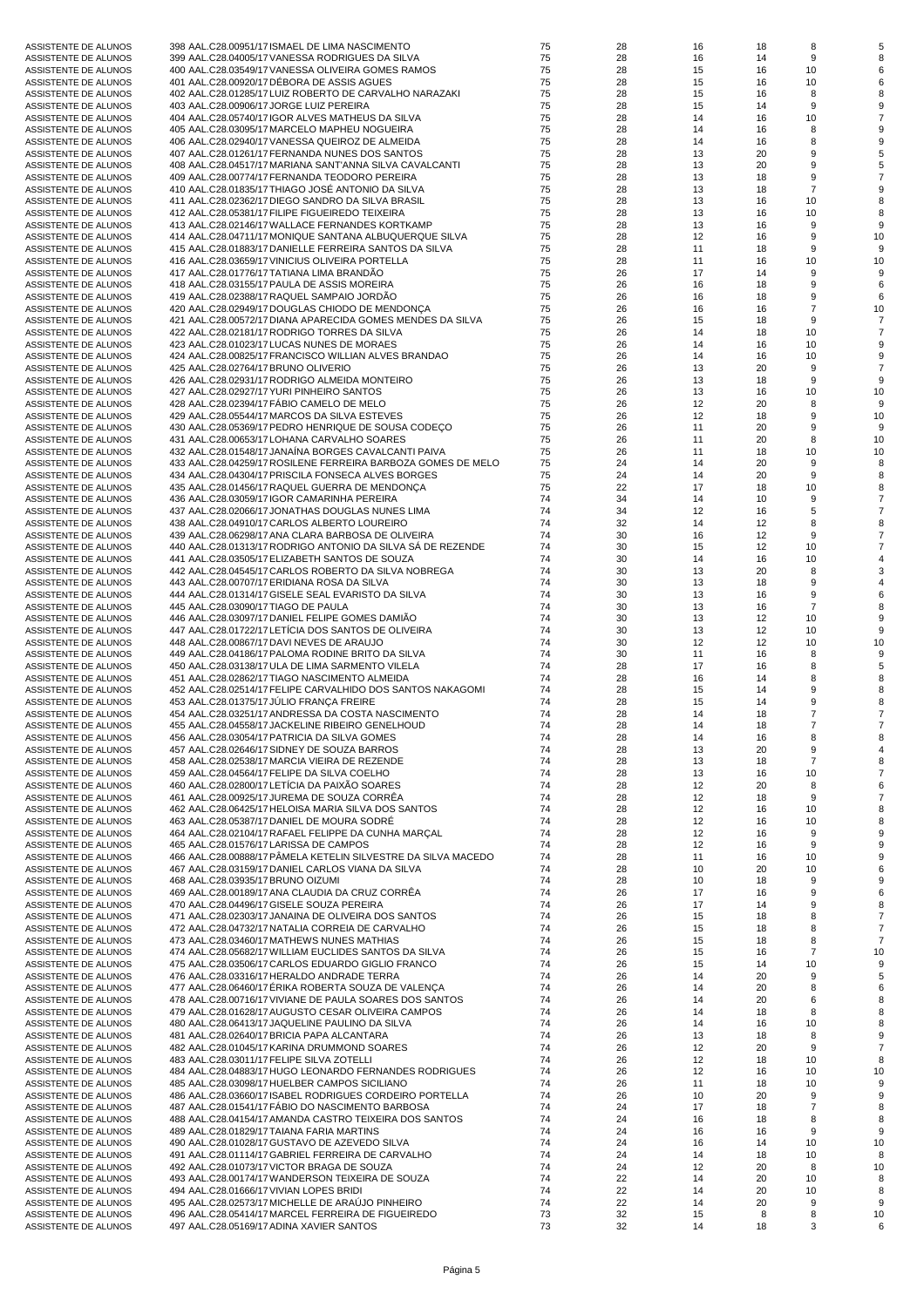| ASSISTENTE DE ALUNOS | 398 AAL.C28.00951/17 ISMAEL DE LIMA NASCIMENTO                |
|----------------------|---------------------------------------------------------------|
| ASSISTENTE DE ALUNOS | 399 AAL.C28.04005/17 VANESSA RODRIGUES DA SILVA               |
|                      |                                                               |
| ASSISTENTE DE ALUNOS | 400 AAL.C28.03549/17 VANESSA OLIVEIRA GOMES RAMOS             |
| ASSISTENTE DE ALUNOS | 401 AAL.C28.00920/17 DÉBORA DE ASSIS AGUES                    |
| ASSISTENTE DE ALUNOS | 402 AAL.C28.01285/17 LUIZ ROBERTO DE CARVALHO NARAZAKI        |
|                      |                                                               |
| ASSISTENTE DE ALUNOS | 403 AAL.C28.00906/17 JORGE LUIZ PEREIRA                       |
| ASSISTENTE DE ALUNOS | 404 AAL.C28.05740/17 IGOR ALVES MATHEUS DA SILVA              |
|                      |                                                               |
| ASSISTENTE DE ALUNOS | 405 AAL.C28.03095/17 MARCELO MAPHEU NOGUEIRA                  |
| ASSISTENTE DE ALUNOS | 406 AAL.C28.02940/17 VANESSA QUEIROZ DE ALMEIDA               |
|                      |                                                               |
| ASSISTENTE DE ALUNOS | 407 AAL.C28.01261/17 FERNANDA NUNES DOS SANTOS                |
| ASSISTENTE DE ALUNOS | 408 AAL.C28.04517/17 MARIANA SANT'ANNA SILVA CAVALCANTI       |
|                      |                                                               |
| ASSISTENTE DE ALUNOS | 409 AAL.C28.00774/17 FERNANDA TEODORO PEREIRA                 |
| ASSISTENTE DE ALUNOS | 410 AAL.C28.01835/17 THIAGO JOSÉ ANTONIO DA SILVA             |
|                      |                                                               |
| ASSISTENTE DE ALUNOS | 411 AAL.C28.02362/17 DIEGO SANDRO DA SILVA BRASIL             |
| ASSISTENTE DE ALUNOS | 412 AAL.C28.05381/17 FILIPE FIGUEIREDO TEIXEIRA               |
| ASSISTENTE DE ALUNOS | 413 AAL.C28.02146/17 WALLACE FERNANDES KORTKAMP               |
|                      |                                                               |
| ASSISTENTE DE ALUNOS | 414 AAL.C28.04711/17 MONIQUE SANTANA ALBUQUERQUE SILVA        |
| ASSISTENTE DE ALUNOS | 415 AAL.C28.01883/17 DANIELLE FERREIRA SANTOS DA SILVA        |
|                      |                                                               |
| ASSISTENTE DE ALUNOS | 416 AAL.C28.03659/17 VINICIUS OLIVEIRA PORTELLA               |
| ASSISTENTE DE ALUNOS | 417 AAL.C28.01776/17 TATIANA LIMA BRANDÃO                     |
|                      |                                                               |
| ASSISTENTE DE ALUNOS | 418 AAL.C28.03155/17 PAULA DE ASSIS MOREIRA                   |
| ASSISTENTE DE ALUNOS | 419 AAL.C28.02388/17 RAQUEL SAMPAIO JORDAO                    |
| ASSISTENTE DE ALUNOS | 420 AAL.C28.02949/17 DOUGLAS CHIODO DE MENDONÇA               |
|                      |                                                               |
| ASSISTENTE DE ALUNOS | 421 AAL.C28.00572/17 DIANA APARECIDA GOMES MENDES DA SILVA    |
| ASSISTENTE DE ALUNOS | 422 AAL.C28.02181/17 RODRIGO TORRES DA SILVA                  |
|                      |                                                               |
| ASSISTENTE DE ALUNOS | 423 AAL.C28.01023/17 LUCAS NUNES DE MORAES                    |
| ASSISTENTE DE ALUNOS | 424 AAL.C28.00825/17 FRANCISCO WILLIAN ALVES BRANDAO          |
|                      |                                                               |
| ASSISTENTE DE ALUNOS | 425 AAL.C28.02764/17 BRUNO OLIVERIO                           |
| ASSISTENTE DE ALUNOS | 426 AAL.C28.02931/17 RODRIGO ALMEIDA MONTEIRO                 |
|                      |                                                               |
| ASSISTENTE DE ALUNOS | 427 AAL.C28.02927/17 YURI PINHEIRO SANTOS                     |
| ASSISTENTE DE ALUNOS | 428 AAL.C28.02394/17 FABIO CAMELO DE MELO                     |
| ASSISTENTE DE ALUNOS |                                                               |
|                      | 429 AAL.C28.05544/17 MARCOS DA SILVA ESTEVES                  |
| ASSISTENTE DE ALUNOS | 430 AAL.C28.05369/17 PEDRO HENRIQUE DE SOUSA CODEÇO           |
| ASSISTENTE DE ALUNOS | 431 AAL.C28.00653/17 LOHANA CARVALHO SOARES                   |
|                      |                                                               |
| ASSISTENTE DE ALUNOS | 432 AAL.C28.01548/17 JANAİNA BORGES CAVALCANTI PAIVA          |
| ASSISTENTE DE ALUNOS | 433 AAL.C28.04259/17 ROSILENE FERREIRA BARBOZA GOMES DE MELO  |
|                      |                                                               |
| ASSISTENTE DE ALUNOS | 434 AAL.C28.04304/17 PRISCILA FONSECA ALVES BORGES            |
| ASSISTENTE DE ALUNOS | 435 AAL.C28.01456/17 RAQUEL GUERRA DE MENDONÇA                |
|                      |                                                               |
| ASSISTENTE DE ALUNOS | 436 AAL.C28.03059/17 IGOR CAMARINHA PEREIRA                   |
| ASSISTENTE DE ALUNOS | 437 AAL.C28.02066/17 JONATHAS DOUGLAS NUNES LIMA              |
| ASSISTENTE DE ALUNOS | 438 AAL.C28.04910/17 CARLOS ALBERTO LOUREIRO                  |
|                      |                                                               |
| ASSISTENTE DE ALUNOS | 439 AAL.C28.06298/17 ANA CLARA BARBOSA DE OLIVEIRA            |
| ASSISTENTE DE ALUNOS | 440 AAL.C28.01313/17 RODRIGO ANTONIO DA SILVA SÁ DE REZENDE   |
|                      |                                                               |
| ASSISTENTE DE ALUNOS | 441 AAL.C28.03505/17 ELIZABETH SANTOS DE SOUZA                |
| ASSISTENTE DE ALUNOS | 442 AAL.C28.04545/17 CARLOS ROBERTO DA SILVA NOBREGA          |
| ASSISTENTE DE ALUNOS | 443 AAL.C28.00707/17 ERIDIANA ROSA DA SILVA                   |
|                      |                                                               |
| ASSISTENTE DE ALUNOS | 444 AAL.C28.01314/17 GISELE SEAL EVARISTO DA SILVA            |
| ASSISTENTE DE ALUNOS | 445 AAL.C28.03090/17 TIAGO DE PAULA                           |
|                      |                                                               |
| ASSISTENTE DE ALUNOS | 446 AAL.C28.03097/17 DANIEL FELIPE GOMES DAMIAO               |
| ASSISTENTE DE ALUNOS | 447 AAL.C28.01722/17 LETICIA DOS SANTOS DE OLIVEIRA           |
|                      |                                                               |
| ASSISTENTE DE ALUNOS | 448 AAL.C28.00867/17 DAVI NEVES DE ARAUJO                     |
| ASSISTENTE DE ALUNOS | 449 AAL.C28.04186/17 PALOMA RODINE BRITO DA SILVA             |
|                      |                                                               |
| ASSISTENTE DE ALUNOS | 450 AAL.C28.03138/17 ULA DE LIMA SARMENTO VILELA              |
| ASSISTENTE DE ALUNOS | 451 AAL.C28.02862/17 TIAGO NASCIMENTO ALMEIDA                 |
|                      |                                                               |
| ASSISTENTE DE ALUNOS | 452 AAL.C28.02514/17 FELIPE CARVALHIDO DOS SANTOS NAKAGOMI    |
| ASSISTENTE DE ALUNOS | 453 AAL.C28.01375/17 JULIO FRANCA FREIRE                      |
| ASSISTENTE DE ALUNOS | 454 AAL.C28.03251/17 ANDRESSA DA COSTA NASCIMENTO             |
|                      |                                                               |
| ASSISTENTE DE ALUNOS | 455 AAL.C28.04558/17 JACKELINE RIBEIRO GENELHOUD              |
| ASSISTENTE DE ALUNOS | 456 AAL.C28.03054/17 PATRICIA DA SILVA GOMES                  |
|                      |                                                               |
| ASSISTENTE DE ALUNOS | 457 AAL.C28.02646/17 SIDNEY DE SOUZA BARROS                   |
| ASSISTENTE DE ALUNOS | 458 AAL.C28.02538/17 MARCIA VIEIRA DE REZENDE                 |
|                      |                                                               |
| ASSISTENTE DE ALUNOS | 459 AAL.C28.04564/17 FELIPE DA SILVA COELHO                   |
| ASSISTENTE DE ALUNOS | 460 AAL.C28.02800/17 LETÍCIA DA PAIXÃO SOARES                 |
|                      | 461 AAL.C28.00925/17 JUREMA DE SOUZA CORRÊA                   |
| ASSISTENTE DE ALUNOS |                                                               |
| ASSISTENTE DE ALUNOS | 462 AAL.C28.06425/17 HELOISA MARIA SILVA DOS SANTOS           |
| ASSISTENTE DE ALUNOS | 463 AAL.C28.05387/17 DANIEL DE MOURA SODRÉ                    |
|                      |                                                               |
| ASSISTENTE DE ALUNOS | 464 AAL.C28.02104/17 RAFAEL FELIPPE DA CUNHA MARÇAL           |
| ASSISTENTE DE ALUNOS | 465 AAL.C28.01576/17 LARISSA DE CAMPOS                        |
|                      |                                                               |
| ASSISTENTE DE ALUNOS | 466 AAL.C28.00888/17 PÄMELA KETELIN SILVESTRE DA SILVA MACEDO |
| ASSISTENTE DE ALUNOS | 467 AAL.C28.03159/17 DANIEL CARLOS VIANA DA SILVA             |
| ASSISTENTE DE ALUNOS | 468 AAL.C28.03935/17 BRUNO OIZUMI                             |
|                      |                                                               |
| ASSISTENTE DE ALUNOS | 469 AAL.C28.00189/17 ANA CLAUDIA DA CRUZ CORRÊA               |
| ASSISTENTE DE ALUNOS | 470 AAL.C28.04496/17 GISELE SOUZA PEREIRA                     |
|                      |                                                               |
| ASSISTENTE DE ALUNOS | 471 AAL.C28.02303/17 JANAINA DE OLIVEIRA DOS SANTOS           |
| ASSISTENTE DE ALUNOS | 472 AAL.C28.04732/17 NATALIA CORREIA DE CARVALHO              |
|                      |                                                               |
| ASSISTENTE DE ALUNOS | 473 AAL.C28.03460/17 MATHEWS NUNES MATHIAS                    |
| ASSISTENTE DE ALUNOS | 474 AAL.C28.05682/17 WILLIAM EUCLIDES SANTOS DA SILVA         |
|                      | 475 AAL.C28.03506/17 CARLOS EDUARDO GIGLIO FRANCO             |
| ASSISTENTE DE ALUNOS |                                                               |
| ASSISTENTE DE ALUNOS | 476 AAL.C28.03316/17 HERALDO ANDRADE TERRA                    |
| ASSISTENTE DE ALUNOS | 477 AAL.C28.06460/17 ERIKA ROBERTA SOUZA DE VALENÇA           |
|                      |                                                               |
| ASSISTENTE DE ALUNOS | 478 AAL.C28.00716/17 VIVIANE DE PAULA SOARES DOS SANTOS       |
| ASSISTENTE DE ALUNOS | 479 AAL.C28.01628/17 AUGUSTO CESAR OLIVEIRA CAMPOS            |
|                      | 480 AAL.C28.06413/17 JAQUELINE PAULINO DA SILVA               |
| ASSISTENTE DE ALUNOS |                                                               |
| ASSISTENTE DE ALUNOS | 481 AAL.C28.02640/17 BRICIA PAPA ALCANTARA                    |
| ASSISTENTE DE ALUNOS | 482 AAL.C28.01045/17 KARINA DRUMMOND SOARES                   |
|                      |                                                               |
| ASSISTENTE DE ALUNOS | 483 AAL.C28.03011/17 FELIPE SILVA ZOTELLI                     |
| ASSISTENTE DE ALUNOS | 484 AAL.C28.04883/17 HUGO LEONARDO FERNANDES RODRIGUES        |
|                      |                                                               |
| ASSISTENTE DE ALUNOS | 485 AAL.C28.03098/17 HUELBER CAMPOS SICILIANO                 |
| ASSISTENTE DE ALUNOS | 486 AAL.C28.03660/17 ISABEL RODRIGUES CORDEIRO PORTELLA       |
|                      |                                                               |
| ASSISTENTE DE ALUNOS | 487 AAL.C28.01541/17 FABIO DO NASCIMENTO BARBOSA              |
| ASSISTENTE DE ALUNOS | 488 AAL.C28.04154/17 AMANDA CASTRO TEIXEIRA DOS SANTOS        |
|                      |                                                               |
| ASSISTENTE DE ALUNOS | 489 AAL.C28.01829/17 TAIANA FARIA MARTINS                     |
| ASSISTENTE DE ALUNOS | 490 AAL.C28.01028/17 GUSTAVO DE AZEVEDO SILVA                 |
| ASSISTENTE DE ALUNOS | 491 AAL.C28.01114/17 GABRIEL FERREIRA DE CARVALHO             |
|                      |                                                               |
| ASSISTENTE DE ALUNOS | 492 AAL.C28.01073/17 VICTOR BRAGA DE SOUZA                    |
| ASSISTENTE DE ALUNOS | 493 AAL.C28.00174/17 WANDERSON TEIXEIRA DE SOUZA              |
|                      |                                                               |
| ASSISTENTE DE ALUNOS | 494 AAL.C28.01666/17 VIVIAN LOPES BRIDI                       |
| ASSISTENTE DE ALUNOS | 495 AAL.C28.02573/17 MICHELLE DE ARAÚJO PINHEIRO              |
| ASSISTENTE DE ALUNOS | 496 AAL.C28.05414/17 MARCEL FERREIRA DE FIGUEIREDO            |
|                      |                                                               |
| ASSISTENTE DE ALUNOS | 497 AAL.C28.05169/17 ADINA XAVIER SANTOS                      |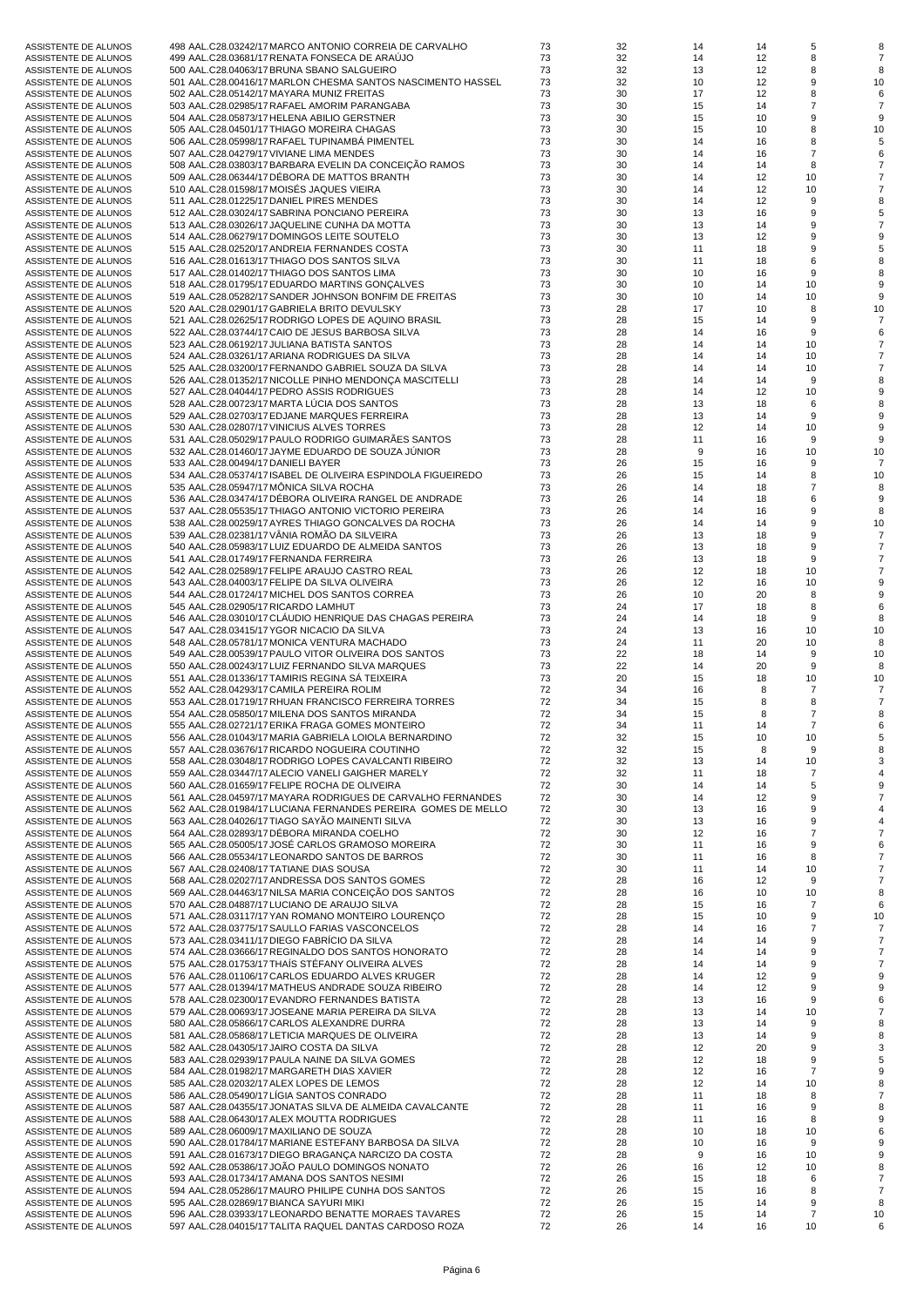| ASSISTENTE DE ALUNOS | 498 AAL.C28.03242/17 MARCO ANTONIO CORREIA DE CARVALHO        | 73 | 32 | 14 | 14 | 5              |    |
|----------------------|---------------------------------------------------------------|----|----|----|----|----------------|----|
| ASSISTENTE DE ALUNOS | 499 AAL.C28.03681/17 RENATA FONSECA DE ARAUJO                 | 73 | 32 | 14 | 12 | 8              |    |
| ASSISTENTE DE ALUNOS | 500 AAL.C28.04063/17 BRUNA SBANO SALGUEIRO                    | 73 | 32 | 13 | 12 | 8              |    |
| ASSISTENTE DE ALUNOS | 501 AAL.C28.00416/17 MARLON CHESMA SANTOS NASCIMENTO HASSEL   | 73 | 32 | 10 | 12 | 9              | 10 |
| ASSISTENTE DE ALUNOS | 502 AAL.C28.05142/17 MAYARA MUNIZ FREITAS                     | 73 | 30 | 17 | 12 | 8              |    |
|                      |                                                               | 73 | 30 | 15 | 14 | $\overline{7}$ |    |
| ASSISTENTE DE ALUNOS | 503 AAL.C28.02985/17 RAFAEL AMORIM PARANGABA                  |    |    |    |    |                |    |
| ASSISTENTE DE ALUNOS | 504 AAL.C28.05873/17 HELENA ABILIO GERSTNER                   | 73 | 30 | 15 | 10 | 9              | 9  |
| ASSISTENTE DE ALUNOS | 505 AAL.C28.04501/17 THIAGO MOREIRA CHAGAS                    | 73 | 30 | 15 | 10 | 8              | 10 |
| ASSISTENTE DE ALUNOS | 506 AAL.C28.05998/17 RAFAEL TUPINAMBA PIMENTEL                | 73 | 30 | 14 | 16 | 8              |    |
| ASSISTENTE DE ALUNOS | 507 AAL.C28.04279/17 VIVIANE LIMA MENDES                      | 73 | 30 | 14 | 16 | $\overline{7}$ |    |
| ASSISTENTE DE ALUNOS | 508 AAL.C28.03803/17 BARBARA EVELIN DA CONCEIÇÃO RAMOS        | 73 | 30 | 14 | 14 | 8              |    |
| ASSISTENTE DE ALUNOS | 509 AAL.C28.06344/17 DEBORA DE MATTOS BRANTH                  | 73 | 30 | 14 | 12 | 10             |    |
| ASSISTENTE DE ALUNOS | 510 AAL.C28.01598/17 MOISÉS JAQUES VIEIRA                     | 73 | 30 | 14 | 12 | 10             |    |
|                      |                                                               |    |    |    |    |                |    |
| ASSISTENTE DE ALUNOS | 511 AAL.C28.01225/17 DANIEL PIRES MENDES                      | 73 | 30 | 14 | 12 | 9              |    |
| ASSISTENTE DE ALUNOS | 512 AAL.C28.03024/17 SABRINA PONCIANO PEREIRA                 | 73 | 30 | 13 | 16 | 9              |    |
| ASSISTENTE DE ALUNOS | 513 AAL.C28.03026/17 JAQUELINE CUNHA DA MOTTA                 | 73 | 30 | 13 | 14 | 9              |    |
| ASSISTENTE DE ALUNOS | 514 AAL.C28.06279/17 DOMINGOS LEITE SOUTELO                   | 73 | 30 | 13 | 12 | 9              |    |
| ASSISTENTE DE ALUNOS | 515 AAL.C28.02520/17 ANDREIA FERNANDES COSTA                  | 73 |    |    |    | 9              |    |
|                      |                                                               |    | 30 | 11 | 18 |                |    |
| ASSISTENTE DE ALUNOS | 516 AAL.C28.01613/17 THIAGO DOS SANTOS SILVA                  | 73 | 30 | 11 | 18 | 6              |    |
| ASSISTENTE DE ALUNOS | 517 AAL.C28.01402/17 THIAGO DOS SANTOS LIMA                   | 73 | 30 | 10 | 16 | 9              |    |
| ASSISTENTE DE ALUNOS | 518 AAL.C28.01795/17 EDUARDO MARTINS GONÇALVES                | 73 | 30 | 10 | 14 | 10             |    |
| ASSISTENTE DE ALUNOS | 519 AAL.C28.05282/17 SANDER JOHNSON BONFIM DE FREITAS         | 73 | 30 | 10 | 14 | 10             | 9  |
| ASSISTENTE DE ALUNOS | 520 AAL.C28.02901/17 GABRIELA BRITO DEVULSKY                  | 73 | 28 | 17 | 10 | 8              | 10 |
|                      |                                                               |    |    |    |    |                |    |
| ASSISTENTE DE ALUNOS | 521 AAL.C28.02625/17 RODRIGO LOPES DE AQUINO BRASIL           | 73 | 28 | 15 | 14 | 9              |    |
| ASSISTENTE DE ALUNOS | 522 AAL.C28.03744/17 CAIO DE JESUS BARBOSA SILVA              | 73 | 28 | 14 | 16 | 9              |    |
| ASSISTENTE DE ALUNOS | 523 AAL.C28.06192/17 JULIANA BATISTA SANTOS                   | 73 | 28 | 14 | 14 | 10             |    |
| ASSISTENTE DE ALUNOS | 524 AAL.C28.03261/17 ARIANA RODRIGUES DA SILVA                | 73 | 28 | 14 | 14 | 10             |    |
| ASSISTENTE DE ALUNOS | 525 AAL.C28.03200/17 FERNANDO GABRIEL SOUZA DA SILVA          | 73 | 28 | 14 | 14 | 10             |    |
|                      |                                                               | 73 | 28 |    |    | 9              |    |
| ASSISTENTE DE ALUNOS | 526 AAL.C28.01352/17 NICOLLE PINHO MENDONÇA MASCITELLI        |    |    | 14 | 14 |                |    |
| ASSISTENTE DE ALUNOS | 527 AAL.C28.04044/17 PEDRO ASSIS RODRIGUES                    | 73 | 28 | 14 | 12 | 10             |    |
| ASSISTENTE DE ALUNOS | 528 AAL.C28.00723/17 MARTA LUCIA DOS SANTOS                   | 73 | 28 | 13 | 18 | 6              |    |
| ASSISTENTE DE ALUNOS | 529 AAL.C28.02703/17 EDJANE MARQUES FERREIRA                  | 73 | 28 | 13 | 14 | 9              |    |
| ASSISTENTE DE ALUNOS | 530 AAL.C28.02807/17 VINICIUS ALVES TORRES                    | 73 | 28 | 12 | 14 | 10             |    |
|                      |                                                               | 73 |    |    |    | 9              |    |
| ASSISTENTE DE ALUNOS | 531 AAL.C28.05029/17 PAULO RODRIGO GUIMARAES SANTOS           |    | 28 | 11 | 16 |                |    |
| ASSISTENTE DE ALUNOS | 532 AAL.C28.01460/17 JAYME EDUARDO DE SOUZA JUNIOR            | 73 | 28 | 9  | 16 | 10             | 10 |
| ASSISTENTE DE ALUNOS | 533 AAL.C28.00494/17 DANIELI BAYER                            | 73 | 26 | 15 | 16 | 9              |    |
| ASSISTENTE DE ALUNOS | 534 AAL.C28.05374/17 ISABEL DE OLIVEIRA ESPINDOLA FIGUEIREDO  | 73 | 26 | 15 | 14 | 8              | 10 |
| ASSISTENTE DE ALUNOS | 535 AAL.C28.05947/17 MÖNICA SILVA ROCHA                       | 73 | 26 | 14 | 18 | $\overline{7}$ |    |
| ASSISTENTE DE ALUNOS | 536 AAL.C28.03474/17 DEBORA OLIVEIRA RANGEL DE ANDRADE        | 73 | 26 | 14 | 18 | 6              | 9  |
|                      |                                                               |    |    |    |    |                |    |
| ASSISTENTE DE ALUNOS | 537 AAL.C28.05535/17 THIAGO ANTONIO VICTORIO PEREIRA          | 73 | 26 | 14 | 16 | 9              | 8  |
| ASSISTENTE DE ALUNOS | 538 AAL.C28.00259/17 AYRES THIAGO GONCALVES DA ROCHA          | 73 | 26 | 14 | 14 | 9              | 10 |
| ASSISTENTE DE ALUNOS | 539 AAL.C28.02381/17 VANIA ROMAO DA SILVEIRA                  | 73 | 26 | 13 | 18 | 9              |    |
| ASSISTENTE DE ALUNOS | 540 AAL.C28.05983/17 LUIZ EDUARDO DE ALMEIDA SANTOS           | 73 | 26 | 13 | 18 | 9              |    |
| ASSISTENTE DE ALUNOS | 541 AAL.C28.01749/17 FERNANDA FERREIRA                        | 73 | 26 | 13 | 18 | 9              |    |
|                      |                                                               | 73 | 26 | 12 | 18 | 10             |    |
| ASSISTENTE DE ALUNOS | 542 AAL.C28.02589/17 FELIPE ARAUJO CASTRO REAL                |    |    |    |    |                |    |
| ASSISTENTE DE ALUNOS | 543 AAL.C28.04003/17 FELIPE DA SILVA OLIVEIRA                 | 73 | 26 | 12 | 16 | 10             |    |
| ASSISTENTE DE ALUNOS | 544 AAL.C28.01724/17 MICHEL DOS SANTOS CORREA                 | 73 | 26 | 10 | 20 | 8              |    |
| ASSISTENTE DE ALUNOS | 545 AAL.C28.02905/17 RICARDO LAMHUT                           | 73 | 24 | 17 | 18 | 8              | 6  |
| ASSISTENTE DE ALUNOS | 546 AAL.C28.03010/17 CLAUDIO HENRIQUE DAS CHAGAS PEREIRA      | 73 | 24 | 14 | 18 | 9              |    |
| ASSISTENTE DE ALUNOS | 547 AAL.C28.03415/17 YGOR NICACIO DA SILVA                    | 73 | 24 | 13 | 16 | 10             | 10 |
|                      | 548 AAL.C28.05781/17 MONICA VENTURA MACHADO                   | 73 |    |    |    |                |    |
| ASSISTENTE DE ALUNOS |                                                               |    | 24 | 11 | 20 | 10             | 8  |
| ASSISTENTE DE ALUNOS | 549 AAL.C28.00539/17 PAULO VITOR OLIVEIRA DOS SANTOS          | 73 | 22 | 18 | 14 | 9              | 10 |
| ASSISTENTE DE ALUNOS | 550 AAL.C28.00243/17 LUIZ FERNANDO SILVA MARQUES              | 73 | 22 | 14 | 20 | 9              |    |
| ASSISTENTE DE ALUNOS | 551 AAL.C28.01336/17 TAMIRIS REGINA SA TEIXEIRA               | 73 | 20 | 15 | 18 | 10             | 10 |
| ASSISTENTE DE ALUNOS | 552 AAL.C28.04293/17 CAMILA PEREIRA ROLIM                     | 72 | 34 | 16 | 8  | $\overline{7}$ |    |
| ASSISTENTE DE ALUNOS | 553 AAL.C28.01719/17 RHUAN FRANCISCO FERREIRA TORRES          | 72 | 34 | 15 | 8  | 8              |    |
|                      |                                                               | 72 |    |    | 8  | $\overline{7}$ |    |
| ASSISTENTE DE ALUNOS | 554 AAL.C28.05850/17 MILENA DOS SANTOS MIRANDA                |    | 34 | 15 |    |                | 8  |
| ASSISTENTE DE ALUNOS | 555 AAL.C28.02721/17 ERIKA FRAGA GOMES MONTEIRO               | 72 | 34 | 11 | 14 | 7              |    |
| ASSISTENTE DE ALUNOS | 556 AAL.C28.01043/17 MARIA GABRIELA LOIOLA BERNARDINO         | 72 | 32 | 15 | 10 | 10             |    |
| ASSISTENTE DE ALUNOS | 557 AAL.C28.03676/17 RICARDO NOGUEIRA COUTINHO                | 72 | 32 | 15 | 8  | 9              |    |
| ASSISTENTE DE ALUNOS | 558 AAL.C28.03048/17 RODRIGO LOPES CAVALCANTI RIBEIRO         | 72 | 32 | 13 | 14 | 10             |    |
| ASSISTENTE DE ALUNOS | 559 AAL.C28.03447/17 ALECIO VANELI GAIGHER MARELY             | 72 | 32 | 11 | 18 | $\overline{7}$ |    |
| ASSISTENTE DE ALUNOS | 560 AAL.C28.01659/17 FELIPE ROCHA DE OLIVEIRA                 | 72 | 30 | 14 | 14 | 5              |    |
|                      |                                                               |    |    |    |    |                |    |
| ASSISTENTE DE ALUNOS | 561 AAL.C28.04597/17 MAYARA RODRIGUES DE CARVALHO FERNANDES   | 72 | 30 | 14 | 12 | 9              |    |
| ASSISTENTE DE ALUNOS | 562 AAL.C28.01984/17 LUCIANA FERNANDES PEREIRA GOMES DE MELLO | 72 | 30 | 13 | 16 | 9              |    |
| ASSISTENTE DE ALUNOS | 563 AAL.C28.04026/17 TIAGO SAYÃO MAINENTI SILVA               | 72 | 30 | 13 | 16 | 9              |    |
| ASSISTENTE DE ALUNOS | 564 AAL.C28.02893/17 DÉBORA MIRANDA COELHO                    | 72 | 30 | 12 | 16 | $\overline{7}$ |    |
| ASSISTENTE DE ALUNOS | 565 AAL.C28.05005/17 JOSÉ CARLOS GRAMOSO MOREIRA              | 72 | 30 | 11 | 16 | 9              |    |
| ASSISTENTE DE ALUNOS | 566 AAL.C28.05534/17 LEONARDO SANTOS DE BARROS                | 72 | 30 | 11 | 16 | 8              |    |
|                      | 567 AAL.C28.02408/17 TATIANE DIAS SOUSA                       |    |    |    |    |                |    |
| ASSISTENTE DE ALUNOS |                                                               | 72 | 30 | 11 | 14 | 10             |    |
| ASSISTENTE DE ALUNOS | 568 AAL.C28.02027/17 ANDRESSA DOS SANTOS GOMES                | 72 | 28 | 16 | 12 | 9              |    |
| ASSISTENTE DE ALUNOS | 569 AAL.C28.04463/17 NILSA MARIA CONCEIÇÃO DOS SANTOS         | 72 | 28 | 16 | 10 | 10             | 8  |
| ASSISTENTE DE ALUNOS | 570 AAL.C28.04887/17 LUCIANO DE ARAUJO SILVA                  | 72 | 28 | 15 | 16 | $\overline{7}$ | 6  |
| ASSISTENTE DE ALUNOS | 571 AAL.C28.03117/17 YAN ROMANO MONTEIRO LOURENCO             | 72 | 28 | 15 | 10 | 9              | 10 |
| ASSISTENTE DE ALUNOS | 572 AAL.C28.03775/17 SAULLO FARIAS VASCONCELOS                | 72 | 28 | 14 | 16 | $\overline{7}$ |    |
| ASSISTENTE DE ALUNOS | 573 AAL.C28.03411/17 DIEGO FABRÍCIO DA SILVA                  | 72 | 28 | 14 | 14 | 9              | 7  |
|                      |                                                               |    |    |    |    |                |    |
| ASSISTENTE DE ALUNOS | 574 AAL.C28.03666/17 REGINALDO DOS SANTOS HONORATO            | 72 | 28 | 14 | 14 | 9              |    |
| ASSISTENTE DE ALUNOS | 575 AAL.C28.01753/17 THAIS STEFANY OLIVEIRA ALVES             | 72 | 28 | 14 | 14 | 9              |    |
| ASSISTENTE DE ALUNOS | 576 AAL.C28.01106/17 CARLOS EDUARDO ALVES KRUGER              | 72 | 28 | 14 | 12 | 9              |    |
| ASSISTENTE DE ALUNOS | 577 AAL.C28.01394/17 MATHEUS ANDRADE SOUZA RIBEIRO            | 72 | 28 | 14 | 12 | 9              |    |
| ASSISTENTE DE ALUNOS | 578 AAL.C28.02300/17 EVANDRO FERNANDES BATISTA                | 72 | 28 | 13 | 16 | 9              |    |
|                      |                                                               |    |    |    |    |                |    |
| ASSISTENTE DE ALUNOS | 579 AAL.C28.00693/17 JOSEANE MARIA PEREIRA DA SILVA           | 72 | 28 | 13 | 14 | 10             |    |
| ASSISTENTE DE ALUNOS | 580 AAL.C28.05866/17 CARLOS ALEXANDRE DURRA                   | 72 | 28 | 13 | 14 | 9              |    |
| ASSISTENTE DE ALUNOS | 581 AAL.C28.05868/17 LETICIA MARQUES DE OLIVEIRA              | 72 | 28 | 13 | 14 | 9              |    |
| ASSISTENTE DE ALUNOS | 582 AAL.C28.04305/17 JAIRO COSTA DA SILVA                     | 72 | 28 | 12 | 20 | 9              |    |
| ASSISTENTE DE ALUNOS | 583 AAL.C28.02939/17 PAULA NAINE DA SILVA GOMES               | 72 | 28 | 12 | 18 | 9              |    |
| ASSISTENTE DE ALUNOS | 584 AAL.C28.01982/17 MARGARETH DIAS XAVIER                    | 72 | 28 | 12 | 16 | $\overline{7}$ |    |
|                      |                                                               |    |    |    |    |                |    |
| ASSISTENTE DE ALUNOS | 585 AAL.C28.02032/17 ALEX LOPES DE LEMOS                      | 72 | 28 | 12 | 14 | 10             |    |
| ASSISTENTE DE ALUNOS | 586 AAL.C28.05490/17 LİGIA SANTOS CONRADO                     | 72 | 28 | 11 | 18 | 8              |    |
| ASSISTENTE DE ALUNOS | 587 AAL.C28.04355/17 JONATAS SILVA DE ALMEIDA CAVALCANTE      | 72 | 28 | 11 | 16 | 9              |    |
| ASSISTENTE DE ALUNOS | 588 AAL.C28.06430/17 ALEX MOUTTA RODRIGUES                    | 72 | 28 | 11 | 16 | 8              |    |
| ASSISTENTE DE ALUNOS | 589 AAL.C28.06009/17 MAXILIANO DE SOUZA                       | 72 | 28 | 10 | 18 | 10             |    |
| ASSISTENTE DE ALUNOS | 590 AAL.C28.01784/17 MARIANE ESTEFANY BARBOSA DA SILVA        | 72 | 28 | 10 | 16 | 9              |    |
|                      |                                                               |    |    |    |    |                |    |
| ASSISTENTE DE ALUNOS | 591 AAL.C28.01673/17 DIEGO BRAGANÇA NARCIZO DA COSTA          | 72 | 28 | 9  | 16 | 10             |    |
| ASSISTENTE DE ALUNOS | 592 AAL.C28.05386/17 JOÃO PAULO DOMINGOS NONATO               | 72 | 26 | 16 | 12 | 10             |    |
| ASSISTENTE DE ALUNOS | 593 AAL.C28.01734/17 AMANA DOS SANTOS NESIMI                  | 72 | 26 | 15 | 18 | 6              |    |
| ASSISTENTE DE ALUNOS | 594 AAL.C28.05286/17 MAURO PHILIPE CUNHA DOS SANTOS           | 72 | 26 | 15 | 16 | 8              |    |
| ASSISTENTE DE ALUNOS | 595 AAL.C28.02869/17 BIANCA SAYURI MIKI                       | 72 | 26 | 15 | 14 | 9              | 8  |
| ASSISTENTE DE ALUNOS | 596 AAL.C28.03933/17 LEONARDO BENATTE MORAES TAVARES          | 72 | 26 | 15 | 14 | $\overline{7}$ | 10 |
|                      |                                                               |    |    |    |    |                |    |
| ASSISTENTE DE ALUNOS | 597 AAL.C28.04015/17 TALITA RAQUEL DANTAS CARDOSO ROZA        | 72 | 26 | 14 | 16 | 10             | 6  |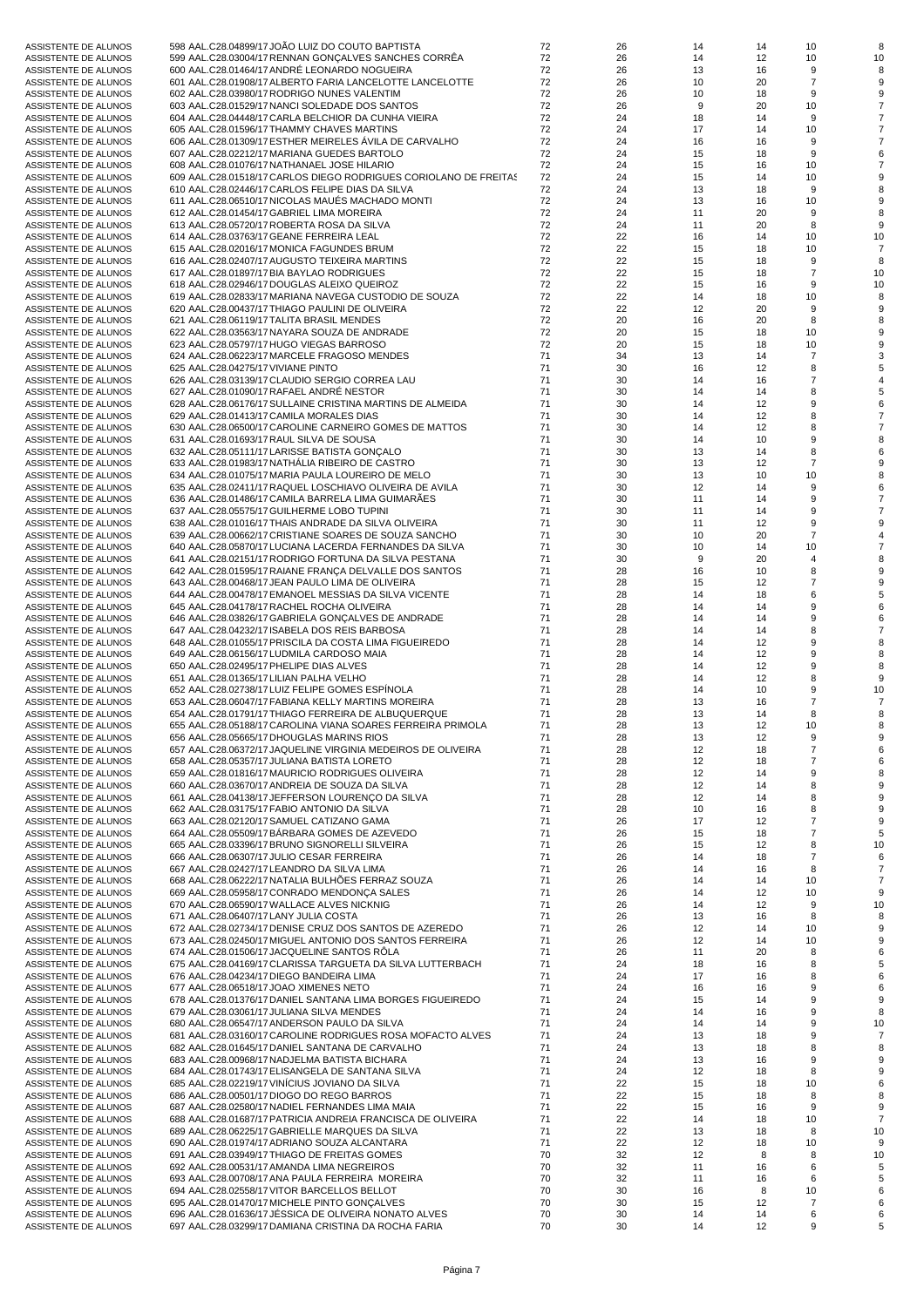| ASSISTENTE DE ALUNOS | 598 AAL.C28.04899/17 JOÃO LUIZ DO COUTO BAPTISTA                 | 72 | 26 | 14 | 14 | 10             | 8  |
|----------------------|------------------------------------------------------------------|----|----|----|----|----------------|----|
|                      | 599 AAL.C28.03004/17 RENNAN GONÇALVES SANCHES CORRÊA             | 72 | 26 | 14 | 12 | 10             | 10 |
| ASSISTENTE DE ALUNOS |                                                                  |    |    |    |    |                |    |
| ASSISTENTE DE ALUNOS | 600 AAL.C28.01464/17 ANDRÉ LEONARDO NOGUEIRA                     | 72 | 26 | 13 | 16 | 9              |    |
| ASSISTENTE DE ALUNOS | 601 AAL.C28.01908/17 ALBERTO FARIA LANCELOTTE LANCELOTTE         | 72 | 26 | 10 | 20 | $\overline{7}$ |    |
| ASSISTENTE DE ALUNOS | 602 AAL.C28.03980/17 RODRIGO NUNES VALENTIM                      | 72 | 26 | 10 | 18 | 9              |    |
| ASSISTENTE DE ALUNOS | 603 AAL.C28.01529/17 NANCI SOLEDADE DOS SANTOS                   | 72 | 26 | 9  | 20 | 10             |    |
| ASSISTENTE DE ALUNOS | 604 AAL.C28.04448/17 CARLA BELCHIOR DA CUNHA VIEIRA              | 72 | 24 | 18 | 14 | 9              |    |
| ASSISTENTE DE ALUNOS | 605 AAL.C28.01596/17 THAMMY CHAVES MARTINS                       | 72 | 24 | 17 | 14 | 10             |    |
| ASSISTENTE DE ALUNOS | 606 AAL.C28.01309/17 ESTHER MEIRELES AVILA DE CARVALHO           | 72 | 24 | 16 | 16 | 9              |    |
| ASSISTENTE DE ALUNOS | 607 AAL.C28.02212/17 MARIANA GUEDES BARTOLO                      | 72 | 24 | 15 | 18 | 9              |    |
|                      |                                                                  | 72 | 24 | 15 |    | 10             |    |
| ASSISTENTE DE ALUNOS | 608 AAL.C28.01076/17 NATHANAEL JOSE HILARIO                      |    |    |    | 16 |                |    |
| ASSISTENTE DE ALUNOS | 609 AAL.C28.01518/17 CARLOS DIEGO RODRIGUES CORIOLANO DE FREITAS | 72 | 24 | 15 | 14 | 10             |    |
| ASSISTENTE DE ALUNOS | 610 AAL.C28.02446/17 CARLOS FELIPE DIAS DA SILVA                 | 72 | 24 | 13 | 18 | 9              |    |
| ASSISTENTE DE ALUNOS | 611 AAL.C28.06510/17 NICOLAS MAUES MACHADO MONTI                 | 72 | 24 | 13 | 16 | 10             |    |
| ASSISTENTE DE ALUNOS | 612 AAL.C28.01454/17 GABRIEL LIMA MOREIRA                        | 72 | 24 | 11 | 20 | 9              | 8  |
| ASSISTENTE DE ALUNOS | 613 AAL.C28.05720/17 ROBERTA ROSA DA SILVA                       | 72 | 24 | 11 | 20 | 8              | 9  |
| ASSISTENTE DE ALUNOS | 614 AAL.C28.03763/17 GEANE FERREIRA LEAL                         | 72 | 22 | 16 | 14 | 10             | 10 |
| ASSISTENTE DE ALUNOS | 615 AAL.C28.02016/17 MONICA FAGUNDES BRUM                        | 72 | 22 | 15 | 18 | 10             |    |
|                      |                                                                  | 72 | 22 | 15 |    | 9              | 8  |
| ASSISTENTE DE ALUNOS | 616 AAL.C28.02407/17 AUGUSTO TEIXEIRA MARTINS                    |    |    |    | 18 |                |    |
| ASSISTENTE DE ALUNOS | 617 AAL.C28.01897/17 BIA BAYLAO RODRIGUES                        | 72 | 22 | 15 | 18 | $\overline{7}$ | 10 |
| ASSISTENTE DE ALUNOS | 618 AAL.C28.02946/17 DOUGLAS ALEIXO QUEIROZ                      | 72 | 22 | 15 | 16 | 9              | 10 |
| ASSISTENTE DE ALUNOS | 619 AAL.C28.02833/17 MARIANA NAVEGA CUSTODIO DE SOUZA            | 72 | 22 | 14 | 18 | 10             |    |
| ASSISTENTE DE ALUNOS | 620 AAL.C28.00437/17 THIAGO PAULINI DE OLIVEIRA                  | 72 | 22 | 12 | 20 | 9              |    |
| ASSISTENTE DE ALUNOS | 621 AAL.C28.06119/17 TALITA BRASIL MENDES                        | 72 | 20 | 16 | 20 | 8              |    |
| ASSISTENTE DE ALUNOS | 622 AAL.C28.03563/17 NAYARA SOUZA DE ANDRADE                     | 72 | 20 | 15 | 18 | 10             |    |
| ASSISTENTE DE ALUNOS | 623 AAL.C28.05797/17 HUGO VIEGAS BARROSO                         | 72 | 20 | 15 | 18 | 10             |    |
| ASSISTENTE DE ALUNOS | 624 AAL.C28.06223/17 MARCELE FRAGOSO MENDES                      | 71 | 34 | 13 | 14 | $\overline{7}$ |    |
|                      |                                                                  | 71 |    |    |    |                |    |
| ASSISTENTE DE ALUNOS | 625 AAL.C28.04275/17 VIVIANE PINTO                               |    | 30 | 16 | 12 | 8              |    |
| ASSISTENTE DE ALUNOS | 626 AAL.C28.03139/17 CLAUDIO SERGIO CORREA LAU                   | 71 | 30 | 14 | 16 | $\overline{7}$ |    |
| ASSISTENTE DE ALUNOS | 627 AAL.C28.01090/17 RAFAEL ANDRE NESTOR                         | 71 | 30 | 14 | 14 | 8              |    |
| ASSISTENTE DE ALUNOS | 628 AAL.C28.06176/17 SULLAINE CRISTINA MARTINS DE ALMEIDA        | 71 | 30 | 14 | 12 | 9              |    |
| ASSISTENTE DE ALUNOS | 629 AAL.C28.01413/17 CAMILA MORALES DIAS                         | 71 | 30 | 14 | 12 | 8              |    |
| ASSISTENTE DE ALUNOS | 630 AAL.C28.06500/17 CAROLINE CARNEIRO GOMES DE MATTOS           | 71 | 30 | 14 | 12 | 8              |    |
| ASSISTENTE DE ALUNOS | 631 AAL.C28.01693/17 RAUL SILVA DE SOUSA                         | 71 | 30 | 14 | 10 | 9              |    |
| ASSISTENTE DE ALUNOS | 632 AAL.C28.05111/17 LARISSE BATISTA GONÇALO                     | 71 | 30 | 13 | 14 | 8              |    |
|                      |                                                                  |    |    |    |    | $\overline{7}$ |    |
| ASSISTENTE DE ALUNOS | 633 AAL.C28.01983/17 NATHALIA RIBEIRO DE CASTRO                  | 71 | 30 | 13 | 12 |                |    |
| ASSISTENTE DE ALUNOS | 634 AAL.C28.01075/17 MARIA PAULA LOUREIRO DE MELO                | 71 | 30 | 13 | 10 | 10             |    |
| ASSISTENTE DE ALUNOS | 635 AAL.C28.02411/17 RAQUEL LOSCHIAVO OLIVEIRA DE AVILA          | 71 | 30 | 12 | 14 | 9              |    |
| ASSISTENTE DE ALUNOS | 636 AAL.C28.01486/17 CAMILA BARRELA LIMA GUIMARÃES               | 71 | 30 | 11 | 14 | 9              |    |
| ASSISTENTE DE ALUNOS | 637 AAL.C28.05575/17 GUILHERME LOBO TUPINI                       | 71 | 30 | 11 | 14 | 9              |    |
| ASSISTENTE DE ALUNOS | 638 AAL.C28.01016/17 THAIS ANDRADE DA SILVA OLIVEIRA             | 71 | 30 | 11 | 12 | 9              |    |
| ASSISTENTE DE ALUNOS | 639 AAL.C28.00662/17 CRISTIANE SOARES DE SOUZA SANCHO            | 71 | 30 | 10 | 20 | $\overline{7}$ |    |
| ASSISTENTE DE ALUNOS | 640 AAL.C28.05870/17 LUCIANA LACERDA FERNANDES DA SILVA          | 71 | 30 | 10 | 14 | 10             |    |
|                      | 641 AAL.C28.02151/17 RODRIGO FORTUNA DA SILVA PESTANA            | 71 | 30 | 9  | 20 | $\overline{4}$ |    |
| ASSISTENTE DE ALUNOS |                                                                  |    |    |    |    |                |    |
| ASSISTENTE DE ALUNOS | 642 AAL.C28.01595/17 RAIANE FRANÇA DELVALLE DOS SANTOS           | 71 | 28 | 16 | 10 | 8              |    |
| ASSISTENTE DE ALUNOS | 643 AAL.C28.00468/17 JEAN PAULO LIMA DE OLIVEIRA                 | 71 | 28 | 15 | 12 | $\overline{7}$ |    |
| ASSISTENTE DE ALUNOS | 644 AAL.C28.00478/17 EMANOEL MESSIAS DA SILVA VICENTE            | 71 | 28 | 14 | 18 | 6              |    |
| ASSISTENTE DE ALUNOS | 645 AAL.C28.04178/17 RACHEL ROCHA OLIVEIRA                       | 71 | 28 | 14 | 14 | 9              |    |
| ASSISTENTE DE ALUNOS | 646 AAL.C28.03826/17 GABRIELA GONÇALVES DE ANDRADE               | 71 | 28 | 14 | 14 | 9              |    |
| ASSISTENTE DE ALUNOS | 647 AAL.C28.04232/17 ISABELA DOS REIS BARBOSA                    | 71 | 28 | 14 | 14 | 8              |    |
| ASSISTENTE DE ALUNOS | 648 AAL.C28.01055/17 PRISCILA DA COSTA LIMA FIGUEIREDO           | 71 | 28 | 14 | 12 | 9              |    |
|                      | 649 AAL.C28.06156/17 LUDMILA CARDOSO MAIA                        | 71 | 28 | 14 | 12 | 9              |    |
| ASSISTENTE DE ALUNOS |                                                                  |    |    |    |    |                |    |
| ASSISTENTE DE ALUNOS | 650 AAL.C28.02495/17 PHELIPE DIAS ALVES                          | 71 | 28 | 14 | 12 | 9              |    |
| ASSISTENTE DE ALUNOS | 651 AAL.C28.01365/17 LILIAN PALHA VELHO                          | 71 | 28 | 14 | 12 | 8              |    |
| ASSISTENTE DE ALUNOS | 652 AAL.C28.02738/17 LUIZ FELIPE GOMES ESPINOLA                  | 71 | 28 | 14 | 10 | 9              | 10 |
| ASSISTENTE DE ALUNOS | 653 AAL.C28.06047/17 FABIANA KELLY MARTINS MOREIRA               | 71 | 28 | 13 | 16 | $\overline{7}$ |    |
| ASSISTENTE DE ALUNOS | 654 AAL.C28.01791/17 THIAGO FERREIRA DE ALBUQUERQUE              | 71 | 28 | 13 | 14 | 8              | 8  |
| ASSISTENTE DE ALUNOS | 655 AAL.C28.05188/17 CAROLINA VIANA SOARES FERREIRA PRIMOLA      | 71 | 28 | 13 | 12 | 10             | R  |
| ASSISTENTE DE ALUNOS | 656 AAL.C28.05665/17 DHOUGLAS MARINS RIOS                        | 71 | 28 | 13 | 12 | 9              |    |
| ASSISTENTE DE ALUNOS | 657 AAL.C28.06372/17 JAQUELINE VIRGINIA MEDEIROS DE OLIVEIRA     | 71 | 28 |    | 18 | $\overline{7}$ |    |
|                      |                                                                  |    |    | 12 |    |                |    |
| ASSISTENTE DE ALUNOS | 658 AAL.C28.05357/17 JULIANA BATISTA LORETO                      | 71 | 28 | 12 | 18 | $\overline{7}$ |    |
| ASSISTENTE DE ALUNOS | 659 AAL.C28.01816/17 MAURICIO RODRIGUES OLIVEIRA                 | 71 | 28 | 12 | 14 | 9              |    |
| ASSISTENTE DE ALUNOS | 660 AAL.C28.03670/17 ANDREIA DE SOUZA DA SILVA                   | 71 | 28 | 12 | 14 | 8              |    |
| ASSISTENTE DE ALUNOS | 661 AAL.C28.04138/17 JEFFERSON LOURENÇO DA SILVA                 | 71 | 28 | 12 | 14 | 8              |    |
| ASSISTENTE DE ALUNOS | 662 AAL.C28.03175/17 FABIO ANTONIO DA SILVA                      | 71 | 28 | 10 | 16 | 8              |    |
| ASSISTENTE DE ALUNOS | 663 AAL.C28.02120/17 SAMUEL CATIZANO GAMA                        | 71 | 26 | 17 | 12 | $\overline{7}$ |    |
| ASSISTENTE DE ALUNOS | 664 AAL.C28.05509/17 BÁRBARA GOMES DE AZEVEDO                    | 71 | 26 | 15 | 18 | $\overline{7}$ |    |
| ASSISTENTE DE ALUNOS | 665 AAL.C28.03396/17 BRUNO SIGNORELLI SILVEIRA                   | 71 | 26 | 15 | 12 | 8              | 10 |
| ASSISTENTE DE ALUNOS | 666 AAL.C28.06307/17 JULIO CESAR FERREIRA                        | 71 |    |    |    |                |    |
|                      |                                                                  |    | 26 | 14 | 18 | $\overline{7}$ |    |
| ASSISTENTE DE ALUNOS | 667 AAL.C28.02427/17 LEANDRO DA SILVA LIMA                       | 71 | 26 | 14 | 16 | 8              |    |
| ASSISTENTE DE ALUNOS | 668 AAL.C28.06222/17 NATALIA BULHÕES FERRAZ SOUZA                | 71 | 26 | 14 | 14 | 10             |    |
| ASSISTENTE DE ALUNOS | 669 AAL.C28.05958/17 CONRADO MENDONCA SALES                      | 71 | 26 | 14 | 12 | 10             | 9  |
| ASSISTENTE DE ALUNOS | 670 AAL.C28.06590/17 WALLACE ALVES NICKNIG                       | 71 | 26 | 14 | 12 | 9              | 10 |
| ASSISTENTE DE ALUNOS | 671 AAL.C28.06407/17 LANY JULIA COSTA                            | 71 | 26 | 13 | 16 | 8              |    |
| ASSISTENTE DE ALUNOS | 672 AAL.C28.02734/17 DENISE CRUZ DOS SANTOS DE AZEREDO           | 71 | 26 | 12 | 14 | 10             |    |
| ASSISTENTE DE ALUNOS | 673 AAL.C28.02450/17 MIGUEL ANTONIO DOS SANTOS FERREIRA          | 71 | 26 | 12 | 14 | 10             |    |
| ASSISTENTE DE ALUNOS | 674 AAL.C28.01506/17 JACQUELINE SANTOS RÖLA                      | 71 | 26 | 11 | 20 | 8              |    |
|                      | 675 AAL.C28.04169/17 CLARISSA TARGUETA DA SILVA LUTTERBACH       | 71 | 24 |    | 16 | 8              |    |
| ASSISTENTE DE ALUNOS |                                                                  |    |    | 18 |    |                |    |
| ASSISTENTE DE ALUNOS | 676 AAL.C28.04234/17 DIEGO BANDEIRA LIMA                         | 71 | 24 | 17 | 16 | 8              |    |
| ASSISTENTE DE ALUNOS | 677 AAL.C28.06518/17 JOAO XIMENES NETO                           | 71 | 24 | 16 | 16 | 9              |    |
| ASSISTENTE DE ALUNOS | 678 AAL.C28.01376/17 DANIEL SANTANA LIMA BORGES FIGUEIREDO       | 71 | 24 | 15 | 14 | 9              |    |
| ASSISTENTE DE ALUNOS | 679 AAL.C28.03061/17 JULIANA SILVA MENDES                        | 71 | 24 | 14 | 16 | 9              | 8  |
| ASSISTENTE DE ALUNOS | 680 AAL.C28.06547/17 ANDERSON PAULO DA SILVA                     | 71 | 24 | 14 | 14 | 9              | 10 |
| ASSISTENTE DE ALUNOS | 681 AAL.C28.03160/17 CAROLINE RODRIGUES ROSA MOFACTO ALVES       | 71 | 24 | 13 | 18 | 9              |    |
| ASSISTENTE DE ALUNOS | 682 AAL.C28.01645/17 DANIEL SANTANA DE CARVALHO                  | 71 | 24 | 13 | 18 | 8              |    |
|                      |                                                                  | 71 |    |    |    |                |    |
| ASSISTENTE DE ALUNOS | 683 AAL.C28.00968/17 NADJELMA BATISTA BICHARA                    |    | 24 | 13 | 16 | 9              |    |
| ASSISTENTE DE ALUNOS | 684 AAL.C28.01743/17 ELISANGELA DE SANTANA SILVA                 | 71 | 24 | 12 | 18 | 8              |    |
| ASSISTENTE DE ALUNOS | 685 AAL.C28.02219/17 VINICIUS JOVIANO DA SILVA                   | 71 | 22 | 15 | 18 | 10             |    |
| ASSISTENTE DE ALUNOS | 686 AAL.C28.00501/17 DIOGO DO REGO BARROS                        | 71 | 22 | 15 | 18 | 8              |    |
| ASSISTENTE DE ALUNOS | 687 AAL.C28.02580/17 NADIEL FERNANDES LIMA MAIA                  | 71 | 22 | 15 | 16 | 9              | 9  |
| ASSISTENTE DE ALUNOS | 688 AAL.C28.01687/17 PATRICIA ANDREIA FRANCISCA DE OLIVEIRA      | 71 | 22 | 14 | 18 | 10             | 7  |
| ASSISTENTE DE ALUNOS | 689 AAL.C28.06225/17 GABRIELLE MARQUES DA SILVA                  | 71 | 22 | 13 | 18 | 8              | 10 |
| ASSISTENTE DE ALUNOS | 690 AAL.C28.01974/17 ADRIANO SOUZA ALCANTARA                     | 71 | 22 | 12 | 18 | 10             |    |
|                      | 691 AAL.C28.03949/17 THIAGO DE FREITAS GOMES                     | 70 | 32 | 12 | 8  | 8              |    |
| ASSISTENTE DE ALUNOS |                                                                  |    |    |    |    |                | 10 |
| ASSISTENTE DE ALUNOS | 692 AAL.C28.00531/17 AMANDA LIMA NEGREIROS                       | 70 | 32 | 11 | 16 | 6              |    |
| ASSISTENTE DE ALUNOS | 693 AAL.C28.00708/17 ANA PAULA FERREIRA MOREIRA                  | 70 | 32 | 11 | 16 | 6              |    |
| ASSISTENTE DE ALUNOS | 694 AAL.C28.02558/17 VITOR BARCELLOS BELLOT                      | 70 | 30 | 16 | 8  | 10             |    |
| ASSISTENTE DE ALUNOS | 695 AAL.C28.01470/17 MICHELE PINTO GONÇALVES                     | 70 | 30 | 15 | 12 | $\overline{7}$ |    |
| ASSISTENTE DE ALUNOS | 696 AAL.C28.01636/17 JÉSSICA DE OLIVEIRA NONATO ALVES            | 70 | 30 | 14 | 14 | 6              |    |
| ASSISTENTE DE ALUNOS | 697 AAL.C28.03299/17 DAMIANA CRISTINA DA ROCHA FARIA             | 70 | 30 | 14 | 12 | 9              |    |
|                      |                                                                  |    |    |    |    |                |    |